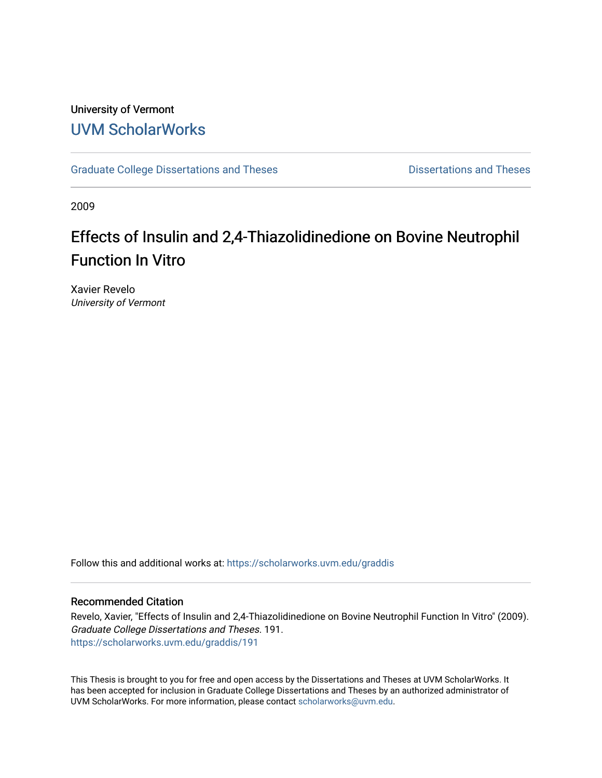### University of Vermont [UVM ScholarWorks](https://scholarworks.uvm.edu/)

[Graduate College Dissertations and Theses](https://scholarworks.uvm.edu/graddis) **Dissertations and Theses** Dissertations and Theses

2009

# Effects of Insulin and 2,4-Thiazolidinedione on Bovine Neutrophil Function In Vitro

Xavier Revelo University of Vermont

Follow this and additional works at: [https://scholarworks.uvm.edu/graddis](https://scholarworks.uvm.edu/graddis?utm_source=scholarworks.uvm.edu%2Fgraddis%2F191&utm_medium=PDF&utm_campaign=PDFCoverPages)

#### Recommended Citation

Revelo, Xavier, "Effects of Insulin and 2,4-Thiazolidinedione on Bovine Neutrophil Function In Vitro" (2009). Graduate College Dissertations and Theses. 191. [https://scholarworks.uvm.edu/graddis/191](https://scholarworks.uvm.edu/graddis/191?utm_source=scholarworks.uvm.edu%2Fgraddis%2F191&utm_medium=PDF&utm_campaign=PDFCoverPages)

This Thesis is brought to you for free and open access by the Dissertations and Theses at UVM ScholarWorks. It has been accepted for inclusion in Graduate College Dissertations and Theses by an authorized administrator of UVM ScholarWorks. For more information, please contact [scholarworks@uvm.edu.](mailto:scholarworks@uvm.edu)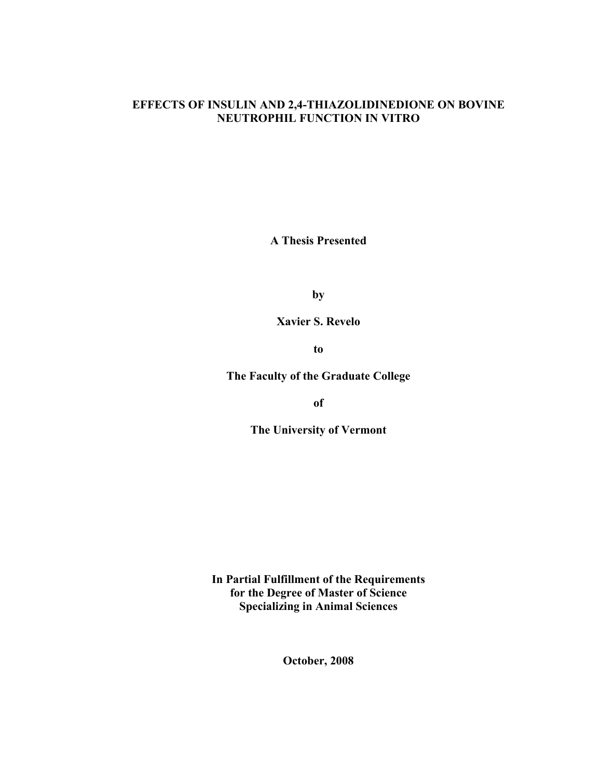#### **EFFECTS OF INSULIN AND 2,4-THIAZOLIDINEDIONE ON BOVINE NEUTROPHIL FUNCTION IN VITRO**

**A Thesis Presented** 

**by**

**Xavier S. Revelo**

**to** 

**The Faculty of the Graduate College** 

**of** 

**The University of Vermont** 

**In Partial Fulfillment of the Requirements for the Degree of Master of Science Specializing in Animal Sciences**

**October, 2008**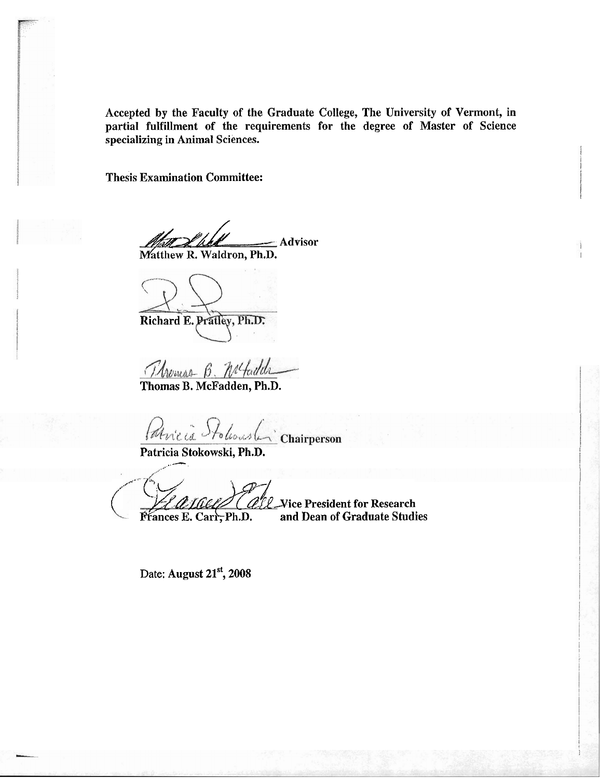Accepted by the Faculty of the Graduate College, The University of Vermont, in partial fulfillment of the requirements for the degree of Master of Science specializing in Animal Sciences.

Thesis Examination Committee:

*/xZ/h----,-* Advisor Matthew **R.** Waldron, **Ph.D.** 

Richard E. Pratley, Ph.D.

Thomas B. Nefadela

Thomas B. McFadden, **Ph.D.** 

Paricia Stolenship Chairperson

Patricia Stokowski, Ph.D.

,<

*VIMIGEN (ALL* Vice President for Research<br>Frances E. Carr, Ph.D. and Dean of Graduate Studi and Dean of Graduate Studies

Date: August 21<sup>st</sup>, 2008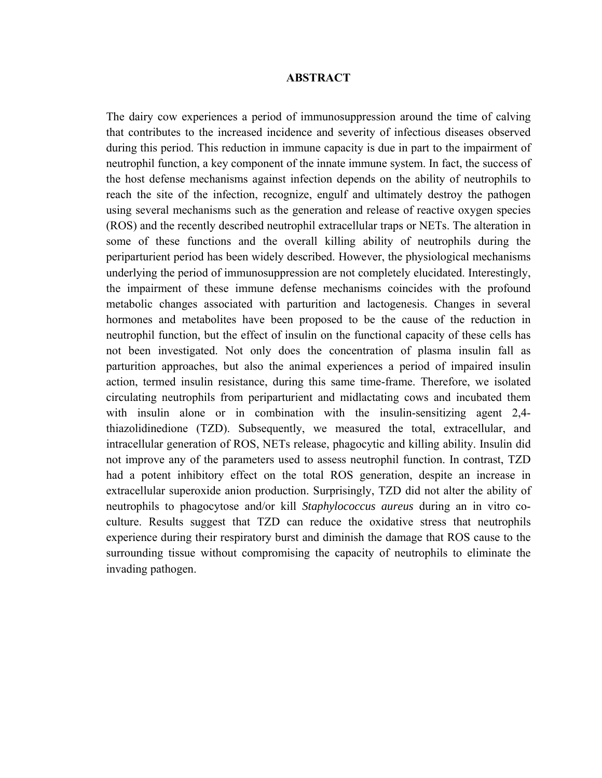#### **ABSTRACT**

The dairy cow experiences a period of immunosuppression around the time of calving that contributes to the increased incidence and severity of infectious diseases observed during this period. This reduction in immune capacity is due in part to the impairment of neutrophil function, a key component of the innate immune system. In fact, the success of the host defense mechanisms against infection depends on the ability of neutrophils to reach the site of the infection, recognize, engulf and ultimately destroy the pathogen using several mechanisms such as the generation and release of reactive oxygen species (ROS) and the recently described neutrophil extracellular traps or NETs. The alteration in some of these functions and the overall killing ability of neutrophils during the periparturient period has been widely described. However, the physiological mechanisms underlying the period of immunosuppression are not completely elucidated. Interestingly, the impairment of these immune defense mechanisms coincides with the profound metabolic changes associated with parturition and lactogenesis. Changes in several hormones and metabolites have been proposed to be the cause of the reduction in neutrophil function, but the effect of insulin on the functional capacity of these cells has not been investigated. Not only does the concentration of plasma insulin fall as parturition approaches, but also the animal experiences a period of impaired insulin action, termed insulin resistance, during this same time-frame. Therefore, we isolated circulating neutrophils from periparturient and midlactating cows and incubated them with insulin alone or in combination with the insulin-sensitizing agent 2,4thiazolidinedione (TZD). Subsequently, we measured the total, extracellular, and intracellular generation of ROS, NETs release, phagocytic and killing ability. Insulin did not improve any of the parameters used to assess neutrophil function. In contrast, TZD had a potent inhibitory effect on the total ROS generation, despite an increase in extracellular superoxide anion production. Surprisingly, TZD did not alter the ability of neutrophils to phagocytose and/or kill *Staphylococcus aureus* during an in vitro coculture. Results suggest that TZD can reduce the oxidative stress that neutrophils experience during their respiratory burst and diminish the damage that ROS cause to the surrounding tissue without compromising the capacity of neutrophils to eliminate the invading pathogen.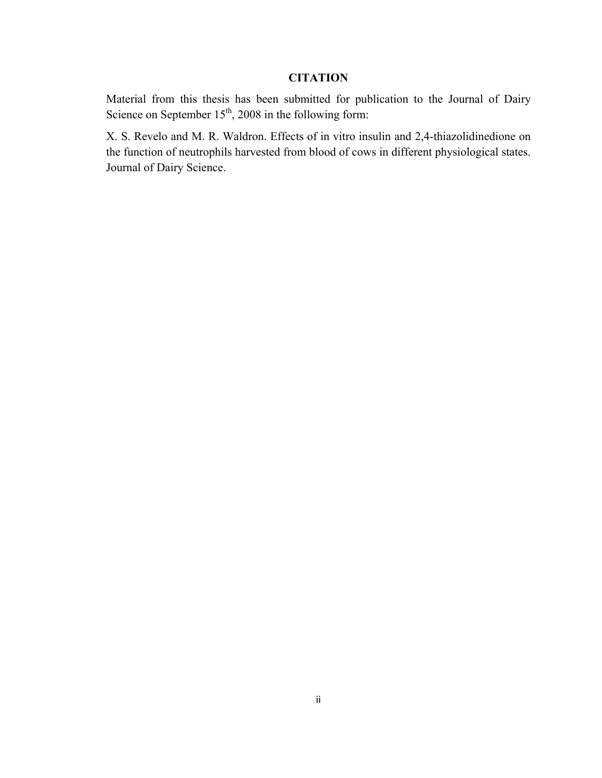### **CITATION**

Material from this thesis has been submitted for publication to the Journal of Dairy Science on September  $15<sup>th</sup>$ , 2008 in the following form:

X. S. Revelo and M. R. Waldron. Effects of in vitro insulin and 2,4-thiazolidinedione on the function of neutrophils harvested from blood of cows in different physiological states. Journal of Dairy Science.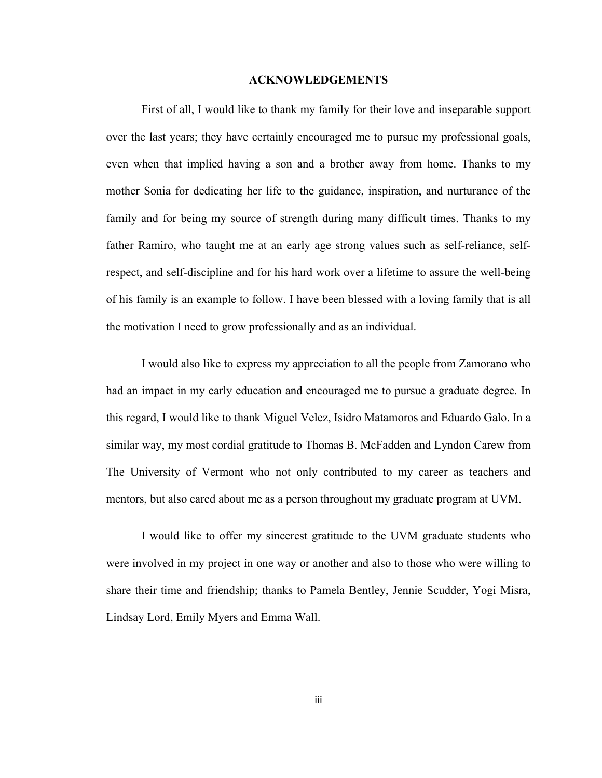#### **ACKNOWLEDGEMENTS**

First of all, I would like to thank my family for their love and inseparable support over the last years; they have certainly encouraged me to pursue my professional goals, even when that implied having a son and a brother away from home. Thanks to my mother Sonia for dedicating her life to the guidance, inspiration, and nurturance of the family and for being my source of strength during many difficult times. Thanks to my father Ramiro, who taught me at an early age strong values such as self-reliance, selfrespect, and self-discipline and for his hard work over a lifetime to assure the well-being of his family is an example to follow. I have been blessed with a loving family that is all the motivation I need to grow professionally and as an individual.

I would also like to express my appreciation to all the people from Zamorano who had an impact in my early education and encouraged me to pursue a graduate degree. In this regard, I would like to thank Miguel Velez, Isidro Matamoros and Eduardo Galo. In a similar way, my most cordial gratitude to Thomas B. McFadden and Lyndon Carew from The University of Vermont who not only contributed to my career as teachers and mentors, but also cared about me as a person throughout my graduate program at UVM.

I would like to offer my sincerest gratitude to the UVM graduate students who were involved in my project in one way or another and also to those who were willing to share their time and friendship; thanks to Pamela Bentley, Jennie Scudder, Yogi Misra, Lindsay Lord, Emily Myers and Emma Wall.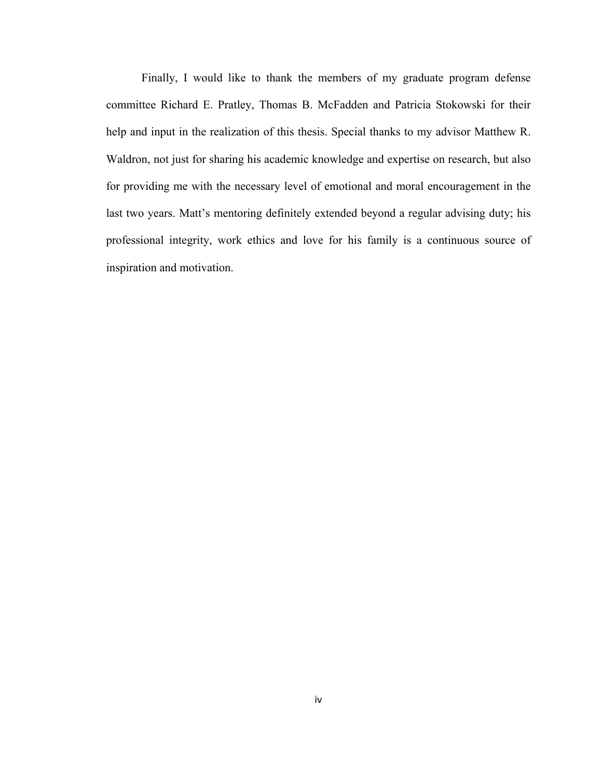Finally, I would like to thank the members of my graduate program defense committee Richard E. Pratley, Thomas B. McFadden and Patricia Stokowski for their help and input in the realization of this thesis. Special thanks to my advisor Matthew R. Waldron, not just for sharing his academic knowledge and expertise on research, but also for providing me with the necessary level of emotional and moral encouragement in the last two years. Matt's mentoring definitely extended beyond a regular advising duty; his professional integrity, work ethics and love for his family is a continuous source of inspiration and motivation.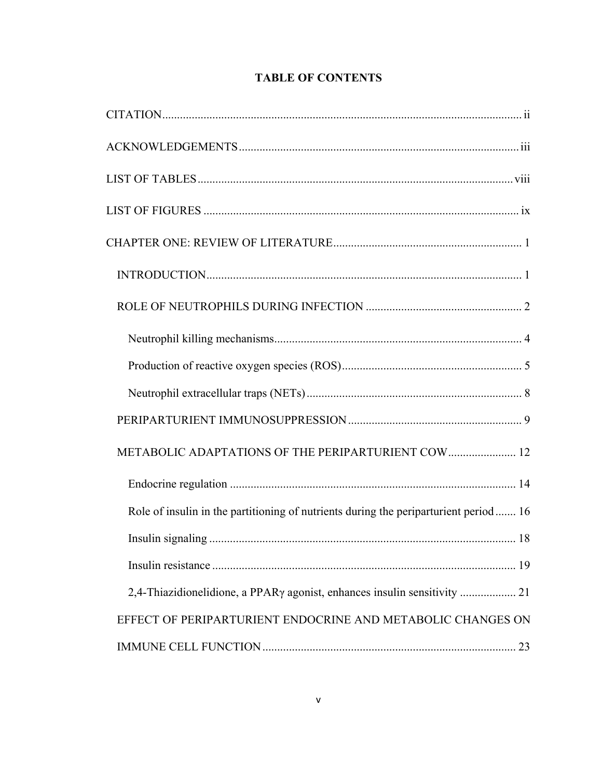| METABOLIC ADAPTATIONS OF THE PERIPARTURIENT COW 12                                    |  |
|---------------------------------------------------------------------------------------|--|
|                                                                                       |  |
| Role of insulin in the partitioning of nutrients during the periparturient period  16 |  |
|                                                                                       |  |
|                                                                                       |  |
|                                                                                       |  |
| EFFECT OF PERIPARTURIENT ENDOCRINE AND METABOLIC CHANGES ON                           |  |
|                                                                                       |  |

### **TABLE OF CONTENTS**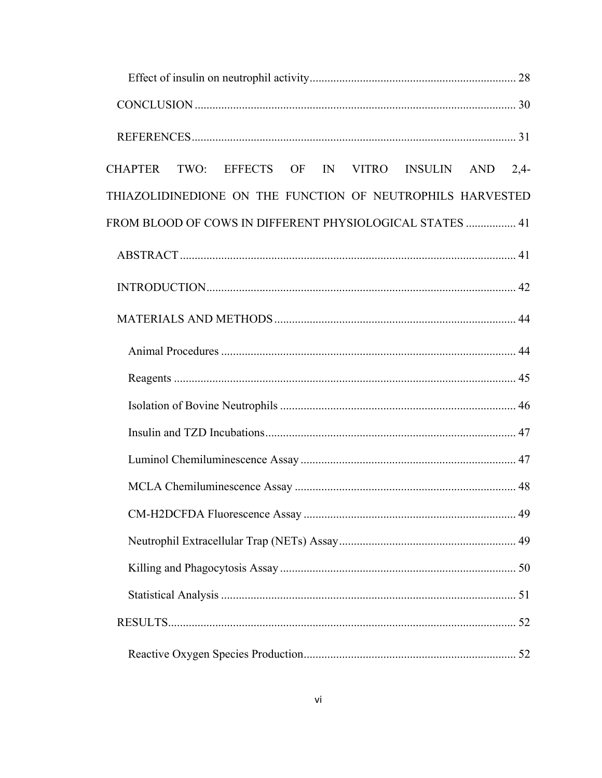| CHAPTER TWO: EFFECTS OF IN VITRO INSULIN AND 2,4-          |  |
|------------------------------------------------------------|--|
| THIAZOLIDINEDIONE ON THE FUNCTION OF NEUTROPHILS HARVESTED |  |
| FROM BLOOD OF COWS IN DIFFERENT PHYSIOLOGICAL STATES  41   |  |
|                                                            |  |
|                                                            |  |
|                                                            |  |
|                                                            |  |
|                                                            |  |
|                                                            |  |
|                                                            |  |
|                                                            |  |
|                                                            |  |
|                                                            |  |
|                                                            |  |
|                                                            |  |
|                                                            |  |
|                                                            |  |
|                                                            |  |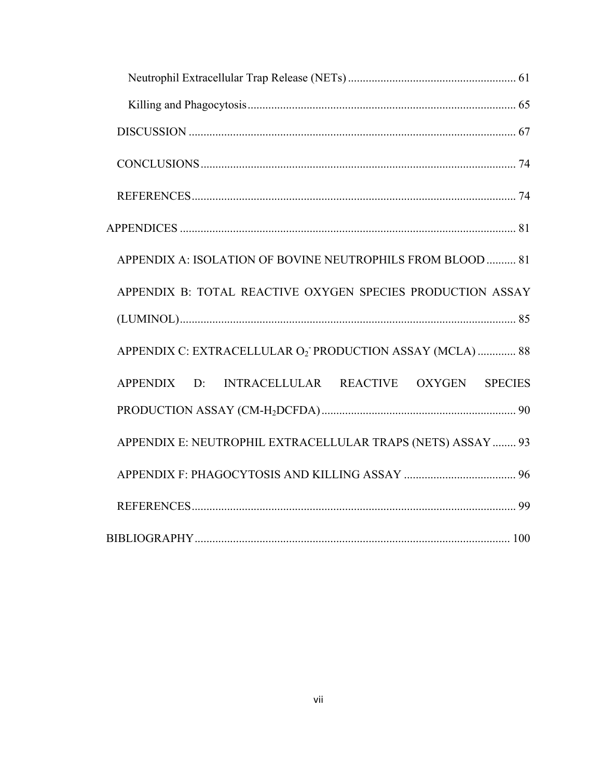| APPENDIX A: ISOLATION OF BOVINE NEUTROPHILS FROM BLOOD  81  |
|-------------------------------------------------------------|
| APPENDIX B: TOTAL REACTIVE OXYGEN SPECIES PRODUCTION ASSAY  |
|                                                             |
| APPENDIX C: EXTRACELLULAR O2 PRODUCTION ASSAY (MCLA)  88    |
| APPENDIX D: INTRACELLULAR REACTIVE OXYGEN SPECIES           |
|                                                             |
| APPENDIX E: NEUTROPHIL EXTRACELLULAR TRAPS (NETS) ASSAY  93 |
|                                                             |
|                                                             |
|                                                             |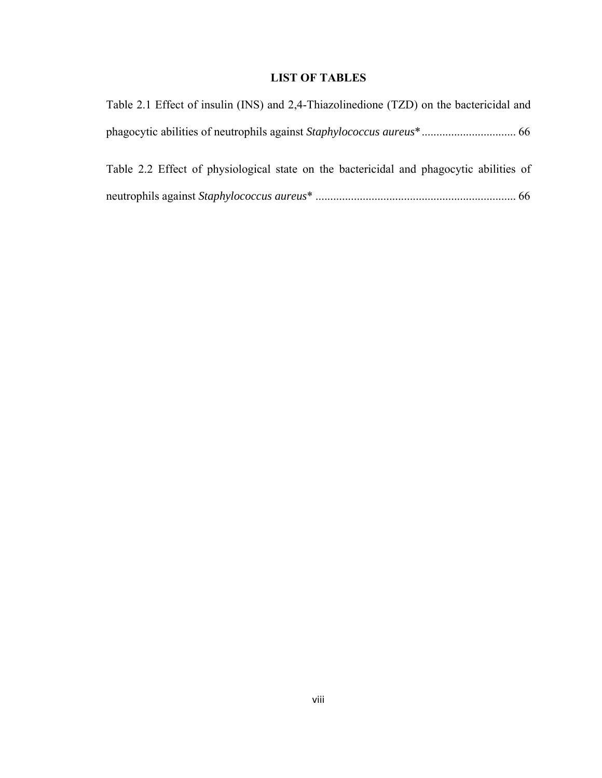### **LIST OF TABLES**

| Table 2.1 Effect of insulin (INS) and 2,4-Thiazolinedione (TZD) on the bactericidal and |  |
|-----------------------------------------------------------------------------------------|--|
|                                                                                         |  |
| Table 2.2 Effect of physiological state on the bactericidal and phagocytic abilities of |  |
|                                                                                         |  |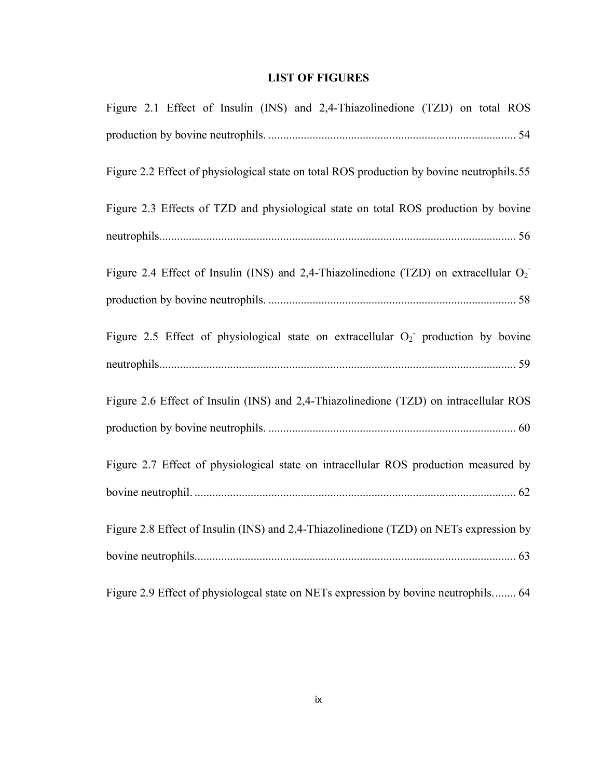### **LIST OF FIGURES**

| Figure 2.1 Effect of Insulin (INS) and 2,4-Thiazolinedione (TZD) on total ROS             |
|-------------------------------------------------------------------------------------------|
|                                                                                           |
| Figure 2.2 Effect of physiological state on total ROS production by bovine neutrophils.55 |
| Figure 2.3 Effects of TZD and physiological state on total ROS production by bovine       |
|                                                                                           |
| Figure 2.4 Effect of Insulin (INS) and 2,4-Thiazolinedione (TZD) on extracellular $O_2$   |
|                                                                                           |
| Figure 2.5 Effect of physiological state on extracellular $O_2$ production by bovine      |
|                                                                                           |
| Figure 2.6 Effect of Insulin (INS) and 2,4-Thiazolinedione (TZD) on intracellular ROS     |
|                                                                                           |
| Figure 2.7 Effect of physiological state on intracellular ROS production measured by      |
|                                                                                           |
| Figure 2.8 Effect of Insulin (INS) and 2,4-Thiazolinedione (TZD) on NETs expression by    |
|                                                                                           |
| Figure 2.9 Effect of physiologial state on NETs expression by bovine neutrophils 64       |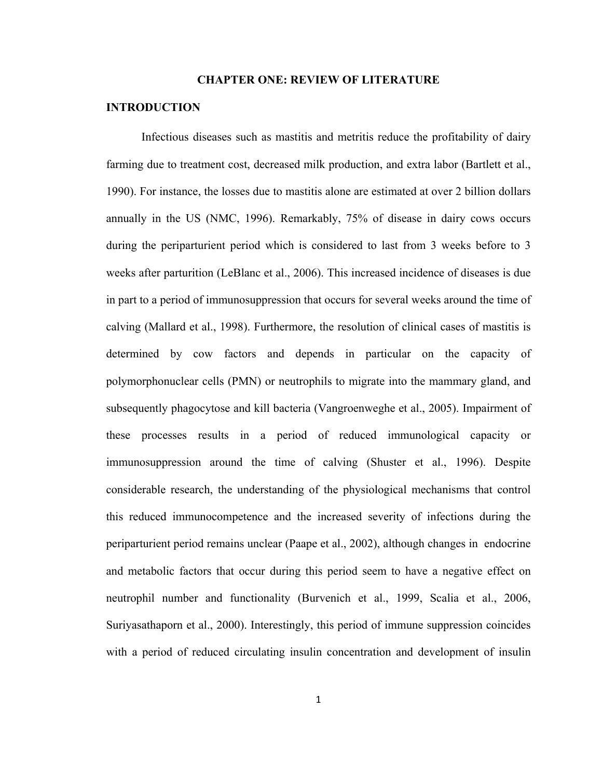#### **CHAPTER ONE: REVIEW OF LITERATURE**

#### **INTRODUCTION**

Infectious diseases such as mastitis and metritis reduce the profitability of dairy farming due to treatment cost, decreased milk production, and extra labor (Bartlett et al., 1990). For instance, the losses due to mastitis alone are estimated at over 2 billion dollars annually in the US (NMC, 1996). Remarkably, 75% of disease in dairy cows occurs during the periparturient period which is considered to last from 3 weeks before to 3 weeks after parturition (LeBlanc et al., 2006). This increased incidence of diseases is due in part to a period of immunosuppression that occurs for several weeks around the time of calving (Mallard et al., 1998). Furthermore, the resolution of clinical cases of mastitis is determined by cow factors and depends in particular on the capacity of polymorphonuclear cells (PMN) or neutrophils to migrate into the mammary gland, and subsequently phagocytose and kill bacteria (Vangroenweghe et al., 2005). Impairment of these processes results in a period of reduced immunological capacity or immunosuppression around the time of calving (Shuster et al., 1996). Despite considerable research, the understanding of the physiological mechanisms that control this reduced immunocompetence and the increased severity of infections during the periparturient period remains unclear (Paape et al., 2002), although changes in endocrine and metabolic factors that occur during this period seem to have a negative effect on neutrophil number and functionality (Burvenich et al., 1999, Scalia et al., 2006, Suriyasathaporn et al., 2000). Interestingly, this period of immune suppression coincides with a period of reduced circulating insulin concentration and development of insulin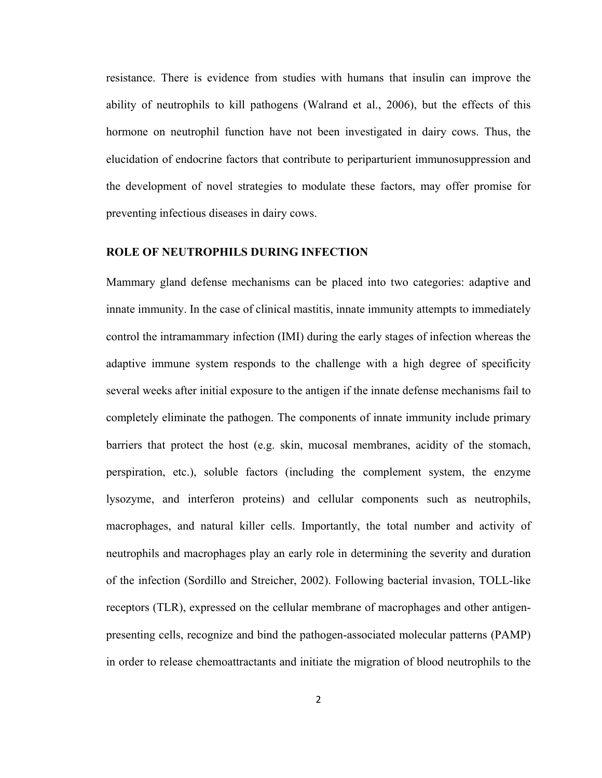resistance. There is evidence from studies with humans that insulin can improve the ability of neutrophils to kill pathogens (Walrand et al., 2006), but the effects of this hormone on neutrophil function have not been investigated in dairy cows. Thus, the elucidation of endocrine factors that contribute to periparturient immunosuppression and the development of novel strategies to modulate these factors, may offer promise for preventing infectious diseases in dairy cows.

#### **ROLE OF NEUTROPHILS DURING INFECTION**

Mammary gland defense mechanisms can be placed into two categories: adaptive and innate immunity. In the case of clinical mastitis, innate immunity attempts to immediately control the intramammary infection (IMI) during the early stages of infection whereas the adaptive immune system responds to the challenge with a high degree of specificity several weeks after initial exposure to the antigen if the innate defense mechanisms fail to completely eliminate the pathogen. The components of innate immunity include primary barriers that protect the host (e.g. skin, mucosal membranes, acidity of the stomach, perspiration, etc.), soluble factors (including the complement system, the enzyme lysozyme, and interferon proteins) and cellular components such as neutrophils, macrophages, and natural killer cells. Importantly, the total number and activity of neutrophils and macrophages play an early role in determining the severity and duration of the infection (Sordillo and Streicher, 2002). Following bacterial invasion, TOLL-like receptors (TLR), expressed on the cellular membrane of macrophages and other antigenpresenting cells, recognize and bind the pathogen-associated molecular patterns (PAMP) in order to release chemoattractants and initiate the migration of blood neutrophils to the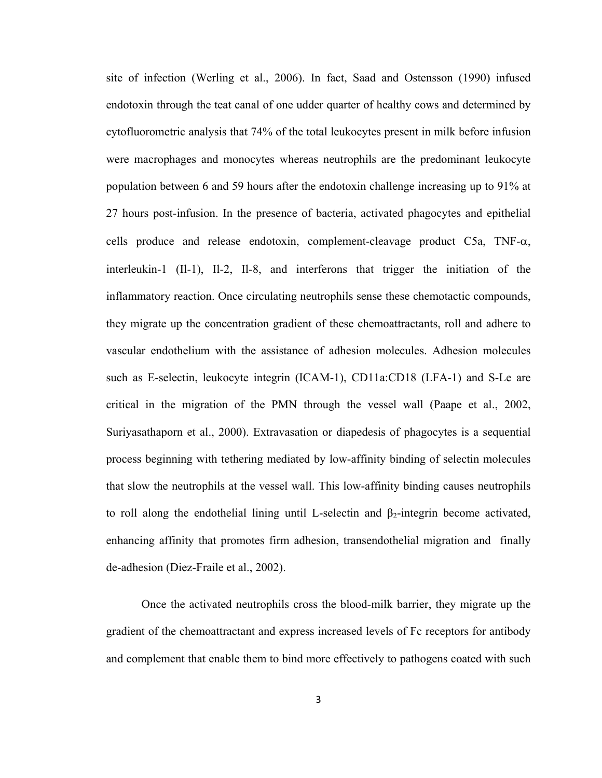site of infection (Werling et al., 2006). In fact, Saad and Ostensson (1990) infused endotoxin through the teat canal of one udder quarter of healthy cows and determined by cytofluorometric analysis that 74% of the total leukocytes present in milk before infusion were macrophages and monocytes whereas neutrophils are the predominant leukocyte population between 6 and 59 hours after the endotoxin challenge increasing up to 91% at 27 hours post-infusion. In the presence of bacteria, activated phagocytes and epithelial cells produce and release endotoxin, complement-cleavage product C5a, TNF- $\alpha$ , interleukin-1 (Il-1), Il-2, Il-8, and interferons that trigger the initiation of the inflammatory reaction. Once circulating neutrophils sense these chemotactic compounds, they migrate up the concentration gradient of these chemoattractants, roll and adhere to vascular endothelium with the assistance of adhesion molecules. Adhesion molecules such as E-selectin, leukocyte integrin (ICAM-1), CD11a:CD18 (LFA-1) and S-Le are critical in the migration of the PMN through the vessel wall (Paape et al., 2002, Suriyasathaporn et al., 2000). Extravasation or diapedesis of phagocytes is a sequential process beginning with tethering mediated by low-affinity binding of selectin molecules that slow the neutrophils at the vessel wall. This low-affinity binding causes neutrophils to roll along the endothelial lining until L-selectin and  $\beta_2$ -integrin become activated, enhancing affinity that promotes firm adhesion, transendothelial migration and finally de-adhesion (Diez-Fraile et al., 2002).

Once the activated neutrophils cross the blood-milk barrier, they migrate up the gradient of the chemoattractant and express increased levels of Fc receptors for antibody and complement that enable them to bind more effectively to pathogens coated with such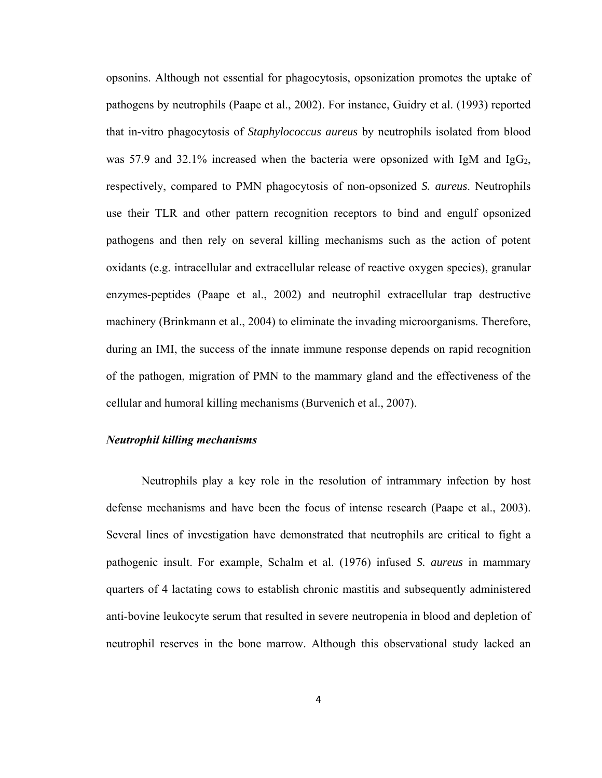opsonins. Although not essential for phagocytosis, opsonization promotes the uptake of pathogens by neutrophils (Paape et al., 2002). For instance, Guidry et al. (1993) reported that in-vitro phagocytosis of *Staphylococcus aureus* by neutrophils isolated from blood was 57.9 and 32.1% increased when the bacteria were opsonized with IgM and IgG<sub>2</sub>, respectively, compared to PMN phagocytosis of non-opsonized *S. aureus*. Neutrophils use their TLR and other pattern recognition receptors to bind and engulf opsonized pathogens and then rely on several killing mechanisms such as the action of potent oxidants (e.g. intracellular and extracellular release of reactive oxygen species), granular enzymes-peptides (Paape et al., 2002) and neutrophil extracellular trap destructive machinery (Brinkmann et al., 2004) to eliminate the invading microorganisms. Therefore, during an IMI, the success of the innate immune response depends on rapid recognition of the pathogen, migration of PMN to the mammary gland and the effectiveness of the cellular and humoral killing mechanisms (Burvenich et al., 2007).

#### *Neutrophil killing mechanisms*

Neutrophils play a key role in the resolution of intrammary infection by host defense mechanisms and have been the focus of intense research (Paape et al., 2003). Several lines of investigation have demonstrated that neutrophils are critical to fight a pathogenic insult. For example, Schalm et al. (1976) infused *S. aureus* in mammary quarters of 4 lactating cows to establish chronic mastitis and subsequently administered anti-bovine leukocyte serum that resulted in severe neutropenia in blood and depletion of neutrophil reserves in the bone marrow. Although this observational study lacked an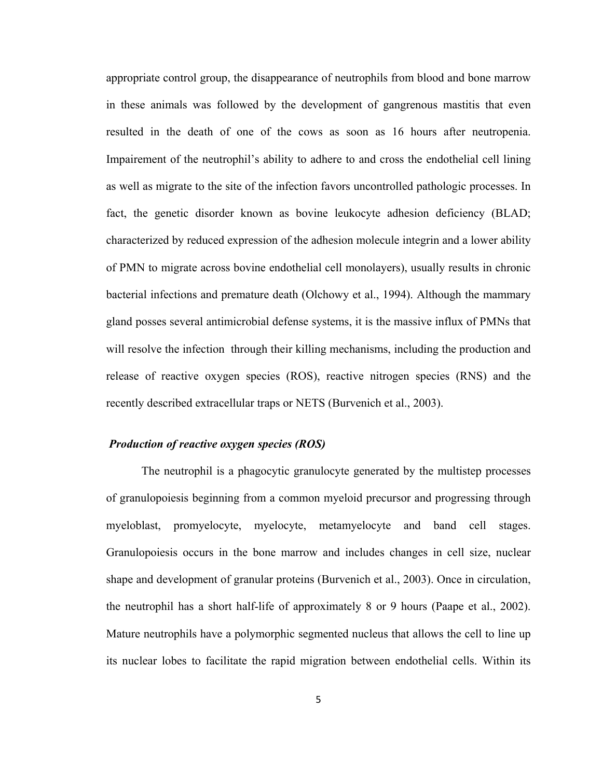appropriate control group, the disappearance of neutrophils from blood and bone marrow in these animals was followed by the development of gangrenous mastitis that even resulted in the death of one of the cows as soon as 16 hours after neutropenia. Impairement of the neutrophil's ability to adhere to and cross the endothelial cell lining as well as migrate to the site of the infection favors uncontrolled pathologic processes. In fact, the genetic disorder known as bovine leukocyte adhesion deficiency (BLAD; characterized by reduced expression of the adhesion molecule integrin and a lower ability of PMN to migrate across bovine endothelial cell monolayers), usually results in chronic bacterial infections and premature death (Olchowy et al., 1994). Although the mammary gland posses several antimicrobial defense systems, it is the massive influx of PMNs that will resolve the infection through their killing mechanisms, including the production and release of reactive oxygen species (ROS), reactive nitrogen species (RNS) and the recently described extracellular traps or NETS (Burvenich et al., 2003).

#### *Production of reactive oxygen species (ROS)*

The neutrophil is a phagocytic granulocyte generated by the multistep processes of granulopoiesis beginning from a common myeloid precursor and progressing through myeloblast, promyelocyte, myelocyte, metamyelocyte and band cell stages. Granulopoiesis occurs in the bone marrow and includes changes in cell size, nuclear shape and development of granular proteins (Burvenich et al., 2003). Once in circulation, the neutrophil has a short half-life of approximately 8 or 9 hours (Paape et al., 2002). Mature neutrophils have a polymorphic segmented nucleus that allows the cell to line up its nuclear lobes to facilitate the rapid migration between endothelial cells. Within its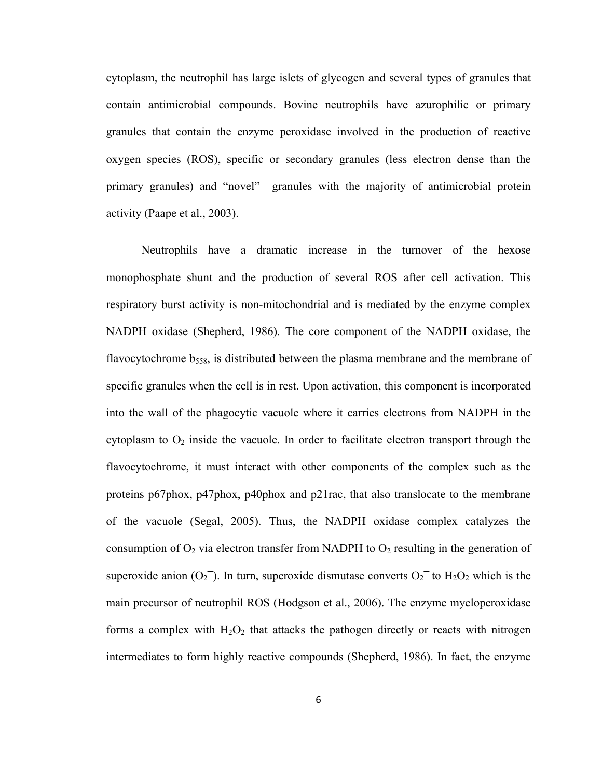cytoplasm, the neutrophil has large islets of glycogen and several types of granules that contain antimicrobial compounds. Bovine neutrophils have azurophilic or primary granules that contain the enzyme peroxidase involved in the production of reactive oxygen species (ROS), specific or secondary granules (less electron dense than the primary granules) and "novel" granules with the majority of antimicrobial protein activity (Paape et al., 2003).

Neutrophils have a dramatic increase in the turnover of the hexose monophosphate shunt and the production of several ROS after cell activation. This respiratory burst activity is non-mitochondrial and is mediated by the enzyme complex NADPH oxidase (Shepherd, 1986). The core component of the NADPH oxidase, the flavocytochrome  $b_{558}$ , is distributed between the plasma membrane and the membrane of specific granules when the cell is in rest. Upon activation, this component is incorporated into the wall of the phagocytic vacuole where it carries electrons from NADPH in the cytoplasm to  $O_2$  inside the vacuole. In order to facilitate electron transport through the flavocytochrome, it must interact with other components of the complex such as the proteins p67phox, p47phox, p40phox and p21rac, that also translocate to the membrane of the vacuole (Segal, 2005). Thus, the NADPH oxidase complex catalyzes the consumption of  $O_2$  via electron transfer from NADPH to  $O_2$  resulting in the generation of superoxide anion  $(O_2)$ . In turn, superoxide dismutase converts  $O_2$ <sup>-</sup> to  $H_2O_2$  which is the main precursor of neutrophil ROS (Hodgson et al., 2006). The enzyme myeloperoxidase forms a complex with  $H_2O_2$  that attacks the pathogen directly or reacts with nitrogen intermediates to form highly reactive compounds (Shepherd, 1986). In fact, the enzyme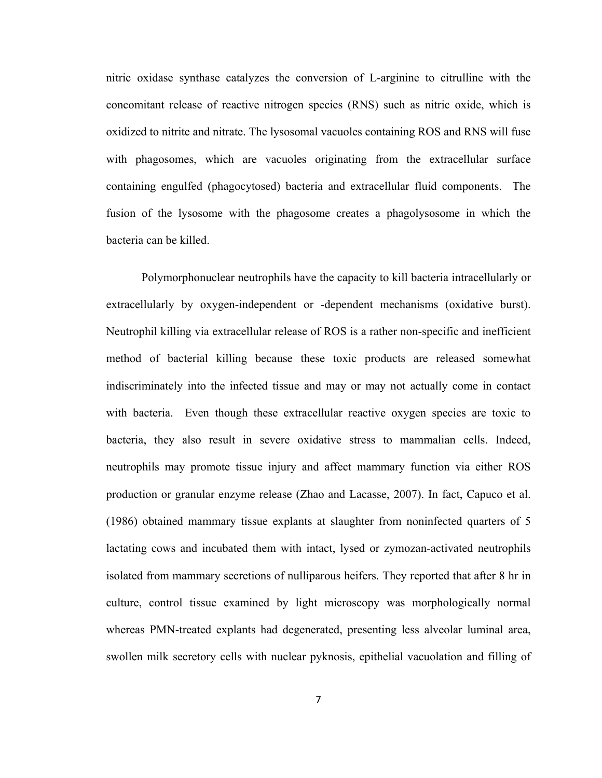nitric oxidase synthase catalyzes the conversion of L-arginine to citrulline with the concomitant release of reactive nitrogen species (RNS) such as nitric oxide, which is oxidized to nitrite and nitrate. The lysosomal vacuoles containing ROS and RNS will fuse with phagosomes, which are vacuoles originating from the extracellular surface containing engulfed (phagocytosed) bacteria and extracellular fluid components. The fusion of the lysosome with the phagosome creates a phagolysosome in which the bacteria can be killed.

Polymorphonuclear neutrophils have the capacity to kill bacteria intracellularly or extracellularly by oxygen-independent or -dependent mechanisms (oxidative burst). Neutrophil killing via extracellular release of ROS is a rather non-specific and inefficient method of bacterial killing because these toxic products are released somewhat indiscriminately into the infected tissue and may or may not actually come in contact with bacteria. Even though these extracellular reactive oxygen species are toxic to bacteria, they also result in severe oxidative stress to mammalian cells. Indeed, neutrophils may promote tissue injury and affect mammary function via either ROS production or granular enzyme release (Zhao and Lacasse, 2007). In fact, Capuco et al. (1986) obtained mammary tissue explants at slaughter from noninfected quarters of 5 lactating cows and incubated them with intact, lysed or zymozan-activated neutrophils isolated from mammary secretions of nulliparous heifers. They reported that after 8 hr in culture, control tissue examined by light microscopy was morphologically normal whereas PMN-treated explants had degenerated, presenting less alveolar luminal area, swollen milk secretory cells with nuclear pyknosis, epithelial vacuolation and filling of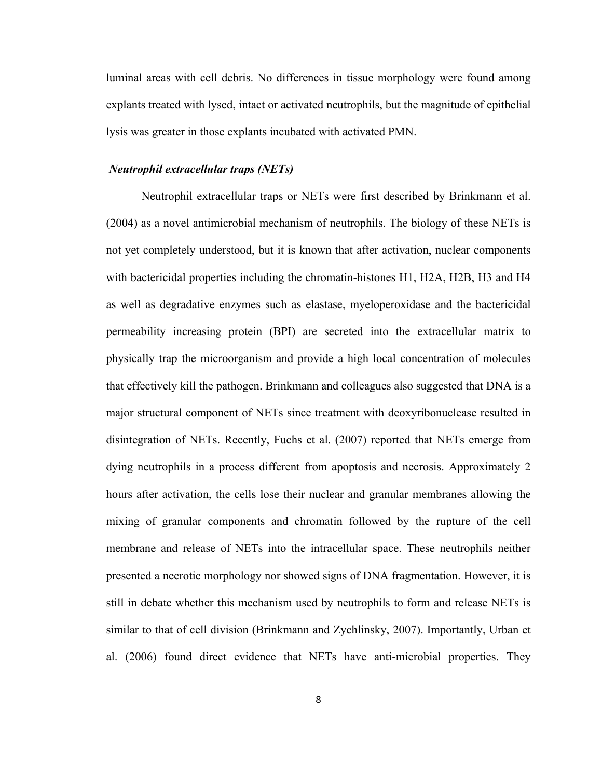luminal areas with cell debris. No differences in tissue morphology were found among explants treated with lysed, intact or activated neutrophils, but the magnitude of epithelial lysis was greater in those explants incubated with activated PMN.

#### *Neutrophil extracellular traps (NETs)*

Neutrophil extracellular traps or NETs were first described by Brinkmann et al. (2004) as a novel antimicrobial mechanism of neutrophils. The biology of these NETs is not yet completely understood, but it is known that after activation, nuclear components with bactericidal properties including the chromatin-histones H1, H2A, H2B, H3 and H4 as well as degradative enzymes such as elastase, myeloperoxidase and the bactericidal permeability increasing protein (BPI) are secreted into the extracellular matrix to physically trap the microorganism and provide a high local concentration of molecules that effectively kill the pathogen. Brinkmann and colleagues also suggested that DNA is a major structural component of NETs since treatment with deoxyribonuclease resulted in disintegration of NETs. Recently, Fuchs et al. (2007) reported that NETs emerge from dying neutrophils in a process different from apoptosis and necrosis. Approximately 2 hours after activation, the cells lose their nuclear and granular membranes allowing the mixing of granular components and chromatin followed by the rupture of the cell membrane and release of NETs into the intracellular space. These neutrophils neither presented a necrotic morphology nor showed signs of DNA fragmentation. However, it is still in debate whether this mechanism used by neutrophils to form and release NETs is similar to that of cell division (Brinkmann and Zychlinsky, 2007). Importantly, Urban et al. (2006) found direct evidence that NETs have anti-microbial properties. They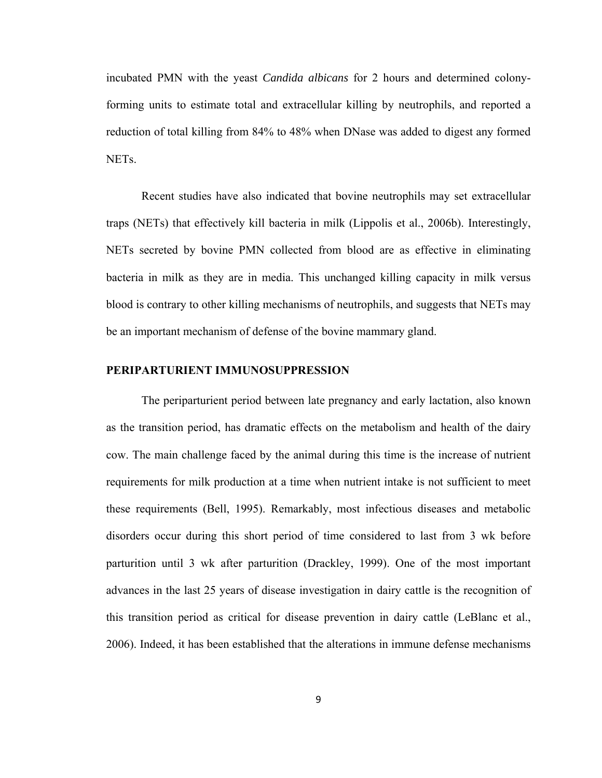incubated PMN with the yeast *Candida albicans* for 2 hours and determined colonyforming units to estimate total and extracellular killing by neutrophils, and reported a reduction of total killing from 84% to 48% when DNase was added to digest any formed NETs.

Recent studies have also indicated that bovine neutrophils may set extracellular traps (NETs) that effectively kill bacteria in milk (Lippolis et al., 2006b). Interestingly, NETs secreted by bovine PMN collected from blood are as effective in eliminating bacteria in milk as they are in media. This unchanged killing capacity in milk versus blood is contrary to other killing mechanisms of neutrophils, and suggests that NETs may be an important mechanism of defense of the bovine mammary gland.

#### **PERIPARTURIENT IMMUNOSUPPRESSION**

The periparturient period between late pregnancy and early lactation, also known as the transition period, has dramatic effects on the metabolism and health of the dairy cow. The main challenge faced by the animal during this time is the increase of nutrient requirements for milk production at a time when nutrient intake is not sufficient to meet these requirements (Bell, 1995). Remarkably, most infectious diseases and metabolic disorders occur during this short period of time considered to last from 3 wk before parturition until 3 wk after parturition (Drackley, 1999). One of the most important advances in the last 25 years of disease investigation in dairy cattle is the recognition of this transition period as critical for disease prevention in dairy cattle (LeBlanc et al., 2006). Indeed, it has been established that the alterations in immune defense mechanisms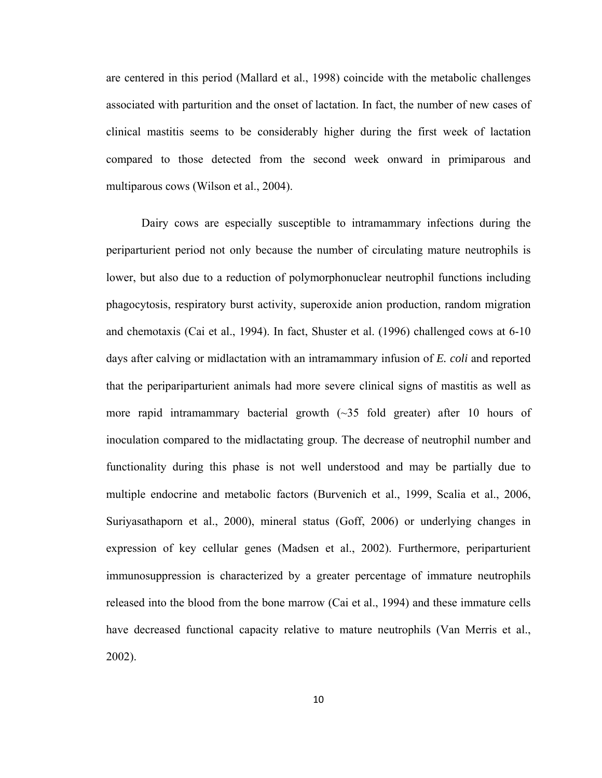are centered in this period (Mallard et al., 1998) coincide with the metabolic challenges associated with parturition and the onset of lactation. In fact, the number of new cases of clinical mastitis seems to be considerably higher during the first week of lactation compared to those detected from the second week onward in primiparous and multiparous cows (Wilson et al., 2004).

Dairy cows are especially susceptible to intramammary infections during the periparturient period not only because the number of circulating mature neutrophils is lower, but also due to a reduction of polymorphonuclear neutrophil functions including phagocytosis, respiratory burst activity, superoxide anion production, random migration and chemotaxis (Cai et al., 1994). In fact, Shuster et al. (1996) challenged cows at 6-10 days after calving or midlactation with an intramammary infusion of *E. coli* and reported that the peripariparturient animals had more severe clinical signs of mastitis as well as more rapid intramammary bacterial growth  $(\sim]35$  fold greater) after 10 hours of inoculation compared to the midlactating group. The decrease of neutrophil number and functionality during this phase is not well understood and may be partially due to multiple endocrine and metabolic factors (Burvenich et al., 1999, Scalia et al., 2006, Suriyasathaporn et al., 2000), mineral status (Goff, 2006) or underlying changes in expression of key cellular genes (Madsen et al., 2002). Furthermore, periparturient immunosuppression is characterized by a greater percentage of immature neutrophils released into the blood from the bone marrow (Cai et al., 1994) and these immature cells have decreased functional capacity relative to mature neutrophils (Van Merris et al., 2002).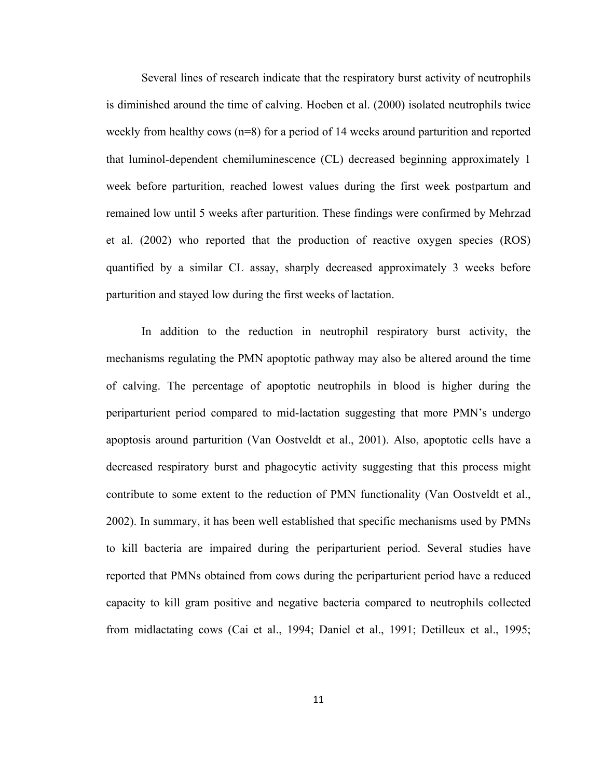Several lines of research indicate that the respiratory burst activity of neutrophils is diminished around the time of calving. Hoeben et al. (2000) isolated neutrophils twice weekly from healthy cows (n=8) for a period of 14 weeks around parturition and reported that luminol-dependent chemiluminescence (CL) decreased beginning approximately 1 week before parturition, reached lowest values during the first week postpartum and remained low until 5 weeks after parturition. These findings were confirmed by Mehrzad et al. (2002) who reported that the production of reactive oxygen species (ROS) quantified by a similar CL assay, sharply decreased approximately 3 weeks before parturition and stayed low during the first weeks of lactation.

In addition to the reduction in neutrophil respiratory burst activity, the mechanisms regulating the PMN apoptotic pathway may also be altered around the time of calving. The percentage of apoptotic neutrophils in blood is higher during the periparturient period compared to mid-lactation suggesting that more PMN's undergo apoptosis around parturition (Van Oostveldt et al., 2001). Also, apoptotic cells have a decreased respiratory burst and phagocytic activity suggesting that this process might contribute to some extent to the reduction of PMN functionality (Van Oostveldt et al., 2002). In summary, it has been well established that specific mechanisms used by PMNs to kill bacteria are impaired during the periparturient period. Several studies have reported that PMNs obtained from cows during the periparturient period have a reduced capacity to kill gram positive and negative bacteria compared to neutrophils collected from midlactating cows (Cai et al., 1994; Daniel et al., 1991; Detilleux et al., 1995;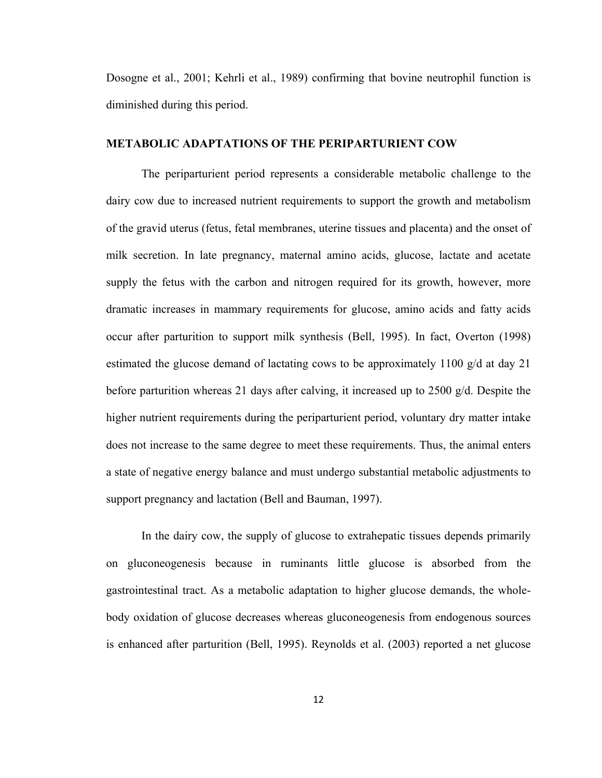Dosogne et al., 2001; Kehrli et al., 1989) confirming that bovine neutrophil function is diminished during this period.

#### **METABOLIC ADAPTATIONS OF THE PERIPARTURIENT COW**

The periparturient period represents a considerable metabolic challenge to the dairy cow due to increased nutrient requirements to support the growth and metabolism of the gravid uterus (fetus, fetal membranes, uterine tissues and placenta) and the onset of milk secretion. In late pregnancy, maternal amino acids, glucose, lactate and acetate supply the fetus with the carbon and nitrogen required for its growth, however, more dramatic increases in mammary requirements for glucose, amino acids and fatty acids occur after parturition to support milk synthesis (Bell, 1995). In fact, Overton (1998) estimated the glucose demand of lactating cows to be approximately 1100 g/d at day 21 before parturition whereas 21 days after calving, it increased up to 2500 g/d. Despite the higher nutrient requirements during the periparturient period, voluntary dry matter intake does not increase to the same degree to meet these requirements. Thus, the animal enters a state of negative energy balance and must undergo substantial metabolic adjustments to support pregnancy and lactation (Bell and Bauman, 1997).

In the dairy cow, the supply of glucose to extrahepatic tissues depends primarily on gluconeogenesis because in ruminants little glucose is absorbed from the gastrointestinal tract. As a metabolic adaptation to higher glucose demands, the wholebody oxidation of glucose decreases whereas gluconeogenesis from endogenous sources is enhanced after parturition (Bell, 1995). Reynolds et al. (2003) reported a net glucose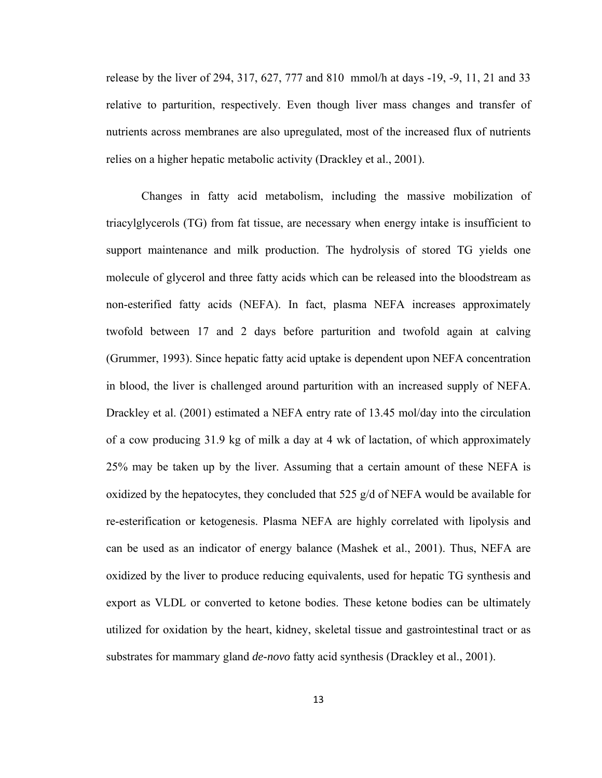release by the liver of 294, 317, 627, 777 and 810 mmol/h at days -19, -9, 11, 21 and 33 relative to parturition, respectively. Even though liver mass changes and transfer of nutrients across membranes are also upregulated, most of the increased flux of nutrients relies on a higher hepatic metabolic activity (Drackley et al., 2001).

Changes in fatty acid metabolism, including the massive mobilization of triacylglycerols (TG) from fat tissue, are necessary when energy intake is insufficient to support maintenance and milk production. The hydrolysis of stored TG yields one molecule of glycerol and three fatty acids which can be released into the bloodstream as non-esterified fatty acids (NEFA). In fact, plasma NEFA increases approximately twofold between 17 and 2 days before parturition and twofold again at calving (Grummer, 1993). Since hepatic fatty acid uptake is dependent upon NEFA concentration in blood, the liver is challenged around parturition with an increased supply of NEFA. Drackley et al. (2001) estimated a NEFA entry rate of 13.45 mol/day into the circulation of a cow producing 31.9 kg of milk a day at 4 wk of lactation, of which approximately 25% may be taken up by the liver. Assuming that a certain amount of these NEFA is oxidized by the hepatocytes, they concluded that 525 g/d of NEFA would be available for re-esterification or ketogenesis. Plasma NEFA are highly correlated with lipolysis and can be used as an indicator of energy balance (Mashek et al., 2001). Thus, NEFA are oxidized by the liver to produce reducing equivalents, used for hepatic TG synthesis and export as VLDL or converted to ketone bodies. These ketone bodies can be ultimately utilized for oxidation by the heart, kidney, skeletal tissue and gastrointestinal tract or as substrates for mammary gland *de-novo* fatty acid synthesis (Drackley et al., 2001).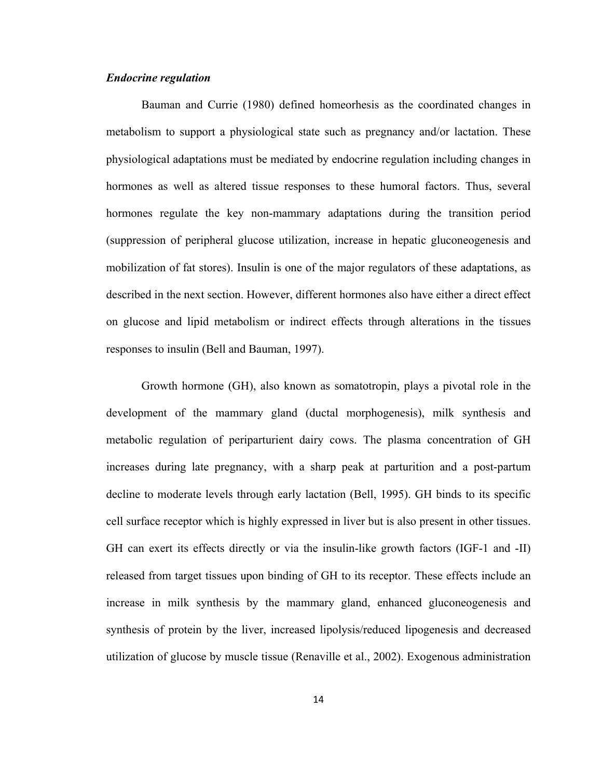#### *Endocrine regulation*

Bauman and Currie (1980) defined homeorhesis as the coordinated changes in metabolism to support a physiological state such as pregnancy and/or lactation. These physiological adaptations must be mediated by endocrine regulation including changes in hormones as well as altered tissue responses to these humoral factors. Thus, several hormones regulate the key non-mammary adaptations during the transition period (suppression of peripheral glucose utilization, increase in hepatic gluconeogenesis and mobilization of fat stores). Insulin is one of the major regulators of these adaptations, as described in the next section. However, different hormones also have either a direct effect on glucose and lipid metabolism or indirect effects through alterations in the tissues responses to insulin (Bell and Bauman, 1997).

Growth hormone (GH), also known as somatotropin, plays a pivotal role in the development of the mammary gland (ductal morphogenesis), milk synthesis and metabolic regulation of periparturient dairy cows. The plasma concentration of GH increases during late pregnancy, with a sharp peak at parturition and a post-partum decline to moderate levels through early lactation (Bell, 1995). GH binds to its specific cell surface receptor which is highly expressed in liver but is also present in other tissues. GH can exert its effects directly or via the insulin-like growth factors (IGF-1 and -II) released from target tissues upon binding of GH to its receptor. These effects include an increase in milk synthesis by the mammary gland, enhanced gluconeogenesis and synthesis of protein by the liver, increased lipolysis/reduced lipogenesis and decreased utilization of glucose by muscle tissue (Renaville et al., 2002). Exogenous administration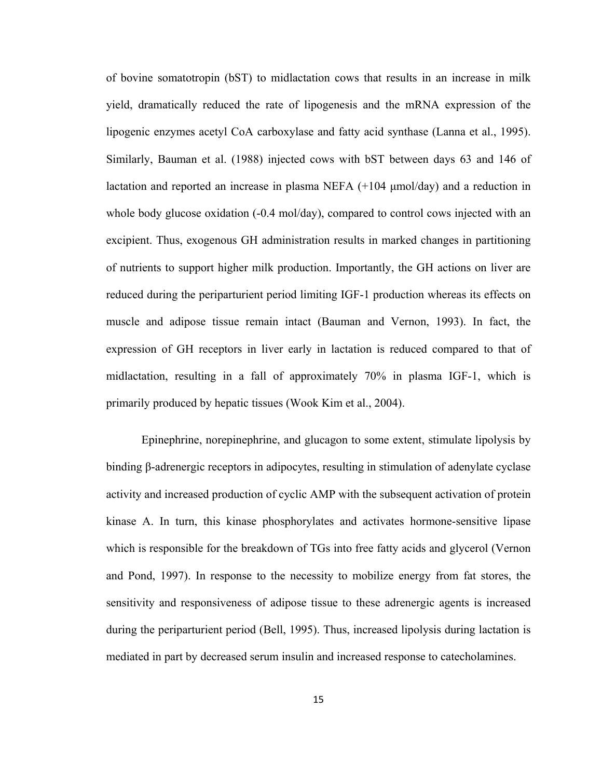of bovine somatotropin (bST) to midlactation cows that results in an increase in milk yield, dramatically reduced the rate of lipogenesis and the mRNA expression of the lipogenic enzymes acetyl CoA carboxylase and fatty acid synthase (Lanna et al., 1995). Similarly, Bauman et al. (1988) injected cows with bST between days 63 and 146 of lactation and reported an increase in plasma NEFA (+104 μmol/day) and a reduction in whole body glucose oxidation (-0.4 mol/day), compared to control cows injected with an excipient. Thus, exogenous GH administration results in marked changes in partitioning of nutrients to support higher milk production. Importantly, the GH actions on liver are reduced during the periparturient period limiting IGF-1 production whereas its effects on muscle and adipose tissue remain intact (Bauman and Vernon, 1993). In fact, the expression of GH receptors in liver early in lactation is reduced compared to that of midlactation, resulting in a fall of approximately 70% in plasma IGF-1, which is primarily produced by hepatic tissues (Wook Kim et al., 2004).

Epinephrine, norepinephrine, and glucagon to some extent, stimulate lipolysis by binding β-adrenergic receptors in adipocytes, resulting in stimulation of adenylate cyclase activity and increased production of cyclic AMP with the subsequent activation of protein kinase A. In turn, this kinase phosphorylates and activates hormone-sensitive lipase which is responsible for the breakdown of TGs into free fatty acids and glycerol (Vernon and Pond, 1997). In response to the necessity to mobilize energy from fat stores, the sensitivity and responsiveness of adipose tissue to these adrenergic agents is increased during the periparturient period (Bell, 1995). Thus, increased lipolysis during lactation is mediated in part by decreased serum insulin and increased response to catecholamines.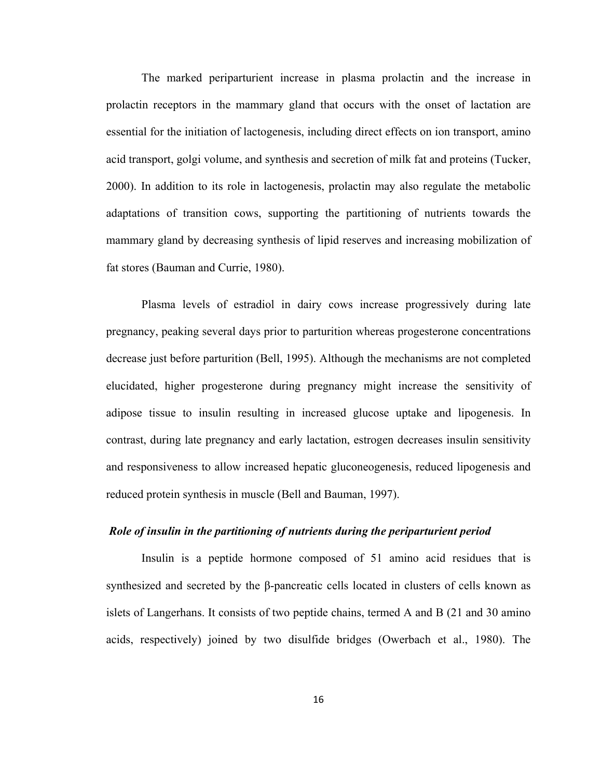The marked periparturient increase in plasma prolactin and the increase in prolactin receptors in the mammary gland that occurs with the onset of lactation are essential for the initiation of lactogenesis, including direct effects on ion transport, amino acid transport, golgi volume, and synthesis and secretion of milk fat and proteins (Tucker, 2000). In addition to its role in lactogenesis, prolactin may also regulate the metabolic adaptations of transition cows, supporting the partitioning of nutrients towards the mammary gland by decreasing synthesis of lipid reserves and increasing mobilization of fat stores (Bauman and Currie, 1980).

Plasma levels of estradiol in dairy cows increase progressively during late pregnancy, peaking several days prior to parturition whereas progesterone concentrations decrease just before parturition (Bell, 1995). Although the mechanisms are not completed elucidated, higher progesterone during pregnancy might increase the sensitivity of adipose tissue to insulin resulting in increased glucose uptake and lipogenesis. In contrast, during late pregnancy and early lactation, estrogen decreases insulin sensitivity and responsiveness to allow increased hepatic gluconeogenesis, reduced lipogenesis and reduced protein synthesis in muscle (Bell and Bauman, 1997).

#### *Role of insulin in the partitioning of nutrients during the periparturient period*

Insulin is a peptide hormone composed of 51 amino acid residues that is synthesized and secreted by the  $\beta$ -pancreatic cells located in clusters of cells known as islets of Langerhans. It consists of two peptide chains, termed A and B (21 and 30 amino acids, respectively) joined by two disulfide bridges (Owerbach et al., 1980). The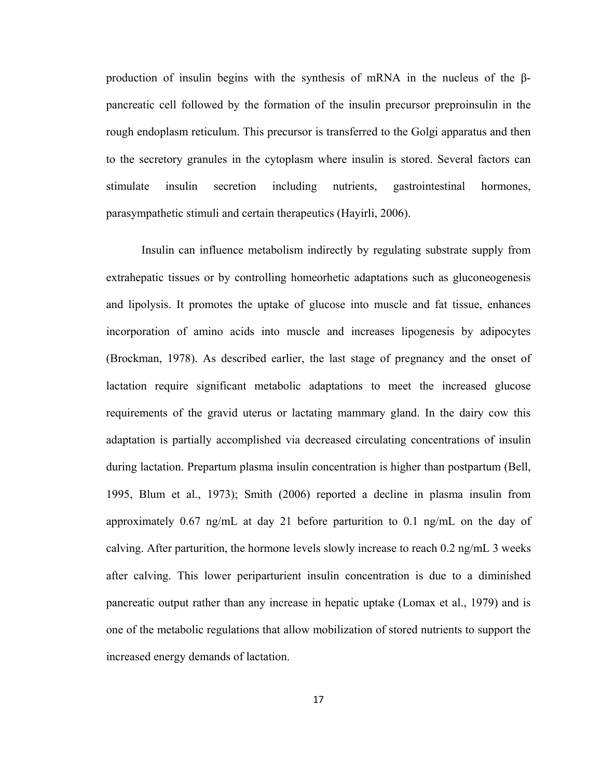production of insulin begins with the synthesis of mRNA in the nucleus of the βpancreatic cell followed by the formation of the insulin precursor preproinsulin in the rough endoplasm reticulum. This precursor is transferred to the Golgi apparatus and then to the secretory granules in the cytoplasm where insulin is stored. Several factors can stimulate insulin secretion including nutrients, gastrointestinal hormones, parasympathetic stimuli and certain therapeutics (Hayirli, 2006).

Insulin can influence metabolism indirectly by regulating substrate supply from extrahepatic tissues or by controlling homeorhetic adaptations such as gluconeogenesis and lipolysis. It promotes the uptake of glucose into muscle and fat tissue, enhances incorporation of amino acids into muscle and increases lipogenesis by adipocytes (Brockman, 1978). As described earlier, the last stage of pregnancy and the onset of lactation require significant metabolic adaptations to meet the increased glucose requirements of the gravid uterus or lactating mammary gland. In the dairy cow this adaptation is partially accomplished via decreased circulating concentrations of insulin during lactation. Prepartum plasma insulin concentration is higher than postpartum (Bell, 1995, Blum et al., 1973); Smith (2006) reported a decline in plasma insulin from approximately 0.67 ng/mL at day 21 before parturition to 0.1 ng/mL on the day of calving. After parturition, the hormone levels slowly increase to reach 0.2 ng/mL 3 weeks after calving. This lower periparturient insulin concentration is due to a diminished pancreatic output rather than any increase in hepatic uptake (Lomax et al., 1979) and is one of the metabolic regulations that allow mobilization of stored nutrients to support the increased energy demands of lactation.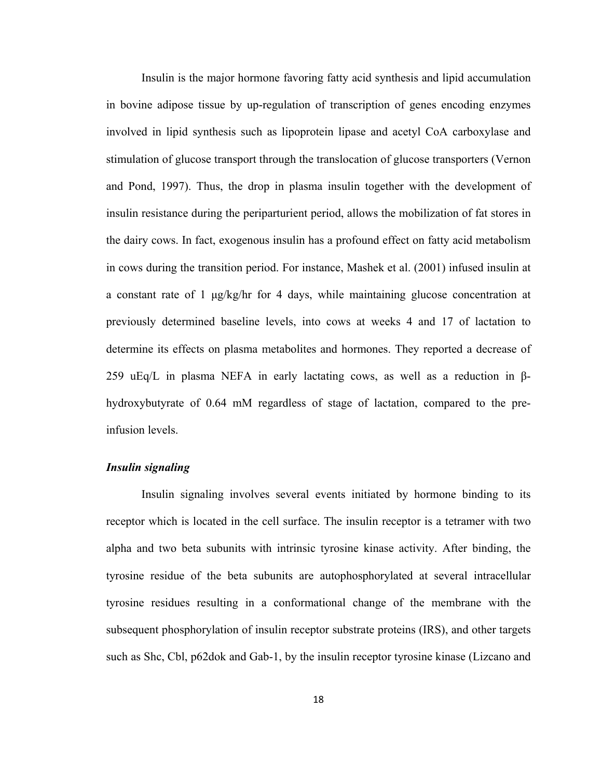Insulin is the major hormone favoring fatty acid synthesis and lipid accumulation in bovine adipose tissue by up-regulation of transcription of genes encoding enzymes involved in lipid synthesis such as lipoprotein lipase and acetyl CoA carboxylase and stimulation of glucose transport through the translocation of glucose transporters (Vernon and Pond, 1997). Thus, the drop in plasma insulin together with the development of insulin resistance during the periparturient period, allows the mobilization of fat stores in the dairy cows. In fact, exogenous insulin has a profound effect on fatty acid metabolism in cows during the transition period. For instance, Mashek et al. (2001) infused insulin at a constant rate of 1 μg/kg/hr for 4 days, while maintaining glucose concentration at previously determined baseline levels, into cows at weeks 4 and 17 of lactation to determine its effects on plasma metabolites and hormones. They reported a decrease of 259 uEq/L in plasma NEFA in early lactating cows, as well as a reduction in βhydroxybutyrate of 0.64 mM regardless of stage of lactation, compared to the preinfusion levels.

#### *Insulin signaling*

Insulin signaling involves several events initiated by hormone binding to its receptor which is located in the cell surface. The insulin receptor is a tetramer with two alpha and two beta subunits with intrinsic tyrosine kinase activity. After binding, the tyrosine residue of the beta subunits are autophosphorylated at several intracellular tyrosine residues resulting in a conformational change of the membrane with the subsequent phosphorylation of insulin receptor substrate proteins (IRS), and other targets such as Shc, Cbl, p62dok and Gab-1, by the insulin receptor tyrosine kinase (Lizcano and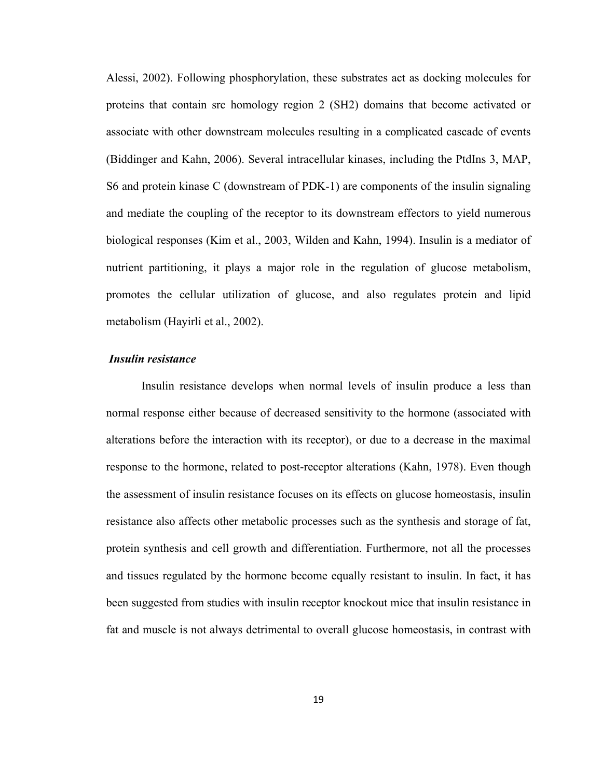Alessi, 2002). Following phosphorylation, these substrates act as docking molecules for proteins that contain src homology region 2 (SH2) domains that become activated or associate with other downstream molecules resulting in a complicated cascade of events (Biddinger and Kahn, 2006). Several intracellular kinases, including the PtdIns 3, MAP, S6 and protein kinase C (downstream of PDK-1) are components of the insulin signaling and mediate the coupling of the receptor to its downstream effectors to yield numerous biological responses (Kim et al., 2003, Wilden and Kahn, 1994). Insulin is a mediator of nutrient partitioning, it plays a major role in the regulation of glucose metabolism, promotes the cellular utilization of glucose, and also regulates protein and lipid metabolism (Hayirli et al., 2002).

#### *Insulin resistance*

Insulin resistance develops when normal levels of insulin produce a less than normal response either because of decreased sensitivity to the hormone (associated with alterations before the interaction with its receptor), or due to a decrease in the maximal response to the hormone, related to post-receptor alterations (Kahn, 1978). Even though the assessment of insulin resistance focuses on its effects on glucose homeostasis, insulin resistance also affects other metabolic processes such as the synthesis and storage of fat, protein synthesis and cell growth and differentiation. Furthermore, not all the processes and tissues regulated by the hormone become equally resistant to insulin. In fact, it has been suggested from studies with insulin receptor knockout mice that insulin resistance in fat and muscle is not always detrimental to overall glucose homeostasis, in contrast with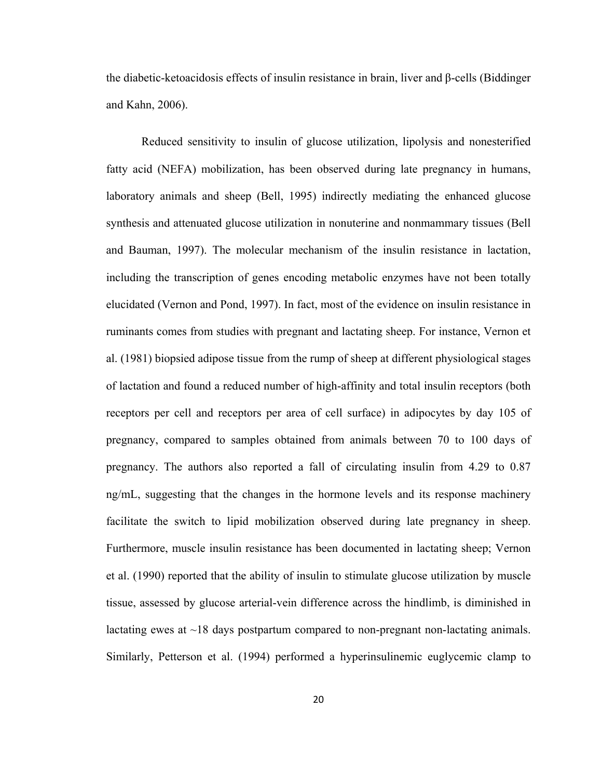the diabetic-ketoacidosis effects of insulin resistance in brain, liver and β-cells (Biddinger and Kahn, 2006).

Reduced sensitivity to insulin of glucose utilization, lipolysis and nonesterified fatty acid (NEFA) mobilization, has been observed during late pregnancy in humans, laboratory animals and sheep (Bell, 1995) indirectly mediating the enhanced glucose synthesis and attenuated glucose utilization in nonuterine and nonmammary tissues (Bell and Bauman, 1997). The molecular mechanism of the insulin resistance in lactation, including the transcription of genes encoding metabolic enzymes have not been totally elucidated (Vernon and Pond, 1997). In fact, most of the evidence on insulin resistance in ruminants comes from studies with pregnant and lactating sheep. For instance, Vernon et al. (1981) biopsied adipose tissue from the rump of sheep at different physiological stages of lactation and found a reduced number of high-affinity and total insulin receptors (both receptors per cell and receptors per area of cell surface) in adipocytes by day 105 of pregnancy, compared to samples obtained from animals between 70 to 100 days of pregnancy. The authors also reported a fall of circulating insulin from 4.29 to 0.87 ng/mL, suggesting that the changes in the hormone levels and its response machinery facilitate the switch to lipid mobilization observed during late pregnancy in sheep. Furthermore, muscle insulin resistance has been documented in lactating sheep; Vernon et al. (1990) reported that the ability of insulin to stimulate glucose utilization by muscle tissue, assessed by glucose arterial-vein difference across the hindlimb, is diminished in lactating ewes at  $\sim$ 18 days postpartum compared to non-pregnant non-lactating animals. Similarly, Petterson et al. (1994) performed a hyperinsulinemic euglycemic clamp to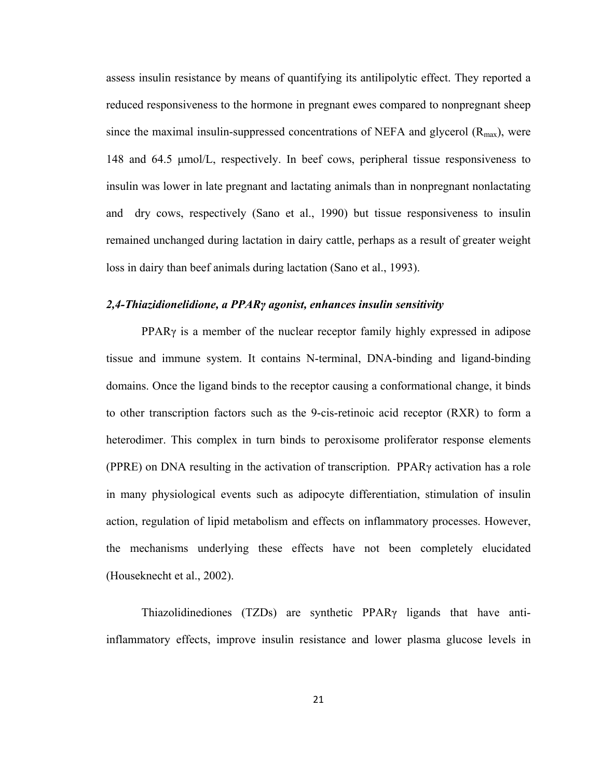assess insulin resistance by means of quantifying its antilipolytic effect. They reported a reduced responsiveness to the hormone in pregnant ewes compared to nonpregnant sheep since the maximal insulin-suppressed concentrations of NEFA and glycerol  $(R_{max})$ , were 148 and 64.5 μmol/L, respectively. In beef cows, peripheral tissue responsiveness to insulin was lower in late pregnant and lactating animals than in nonpregnant nonlactating and dry cows, respectively (Sano et al., 1990) but tissue responsiveness to insulin remained unchanged during lactation in dairy cattle, perhaps as a result of greater weight loss in dairy than beef animals during lactation (Sano et al., 1993).

#### *2,4-Thiazidionelidione, a PPARγ agonist, enhances insulin sensitivity*

PPARγ is a member of the nuclear receptor family highly expressed in adipose tissue and immune system. It contains N-terminal, DNA-binding and ligand-binding domains. Once the ligand binds to the receptor causing a conformational change, it binds to other transcription factors such as the 9-cis-retinoic acid receptor (RXR) to form a heterodimer. This complex in turn binds to peroxisome proliferator response elements (PPRE) on DNA resulting in the activation of transcription. PPARγ activation has a role in many physiological events such as adipocyte differentiation, stimulation of insulin action, regulation of lipid metabolism and effects on inflammatory processes. However, the mechanisms underlying these effects have not been completely elucidated (Houseknecht et al., 2002).

Thiazolidinediones (TZDs) are synthetic PPARγ ligands that have antiinflammatory effects, improve insulin resistance and lower plasma glucose levels in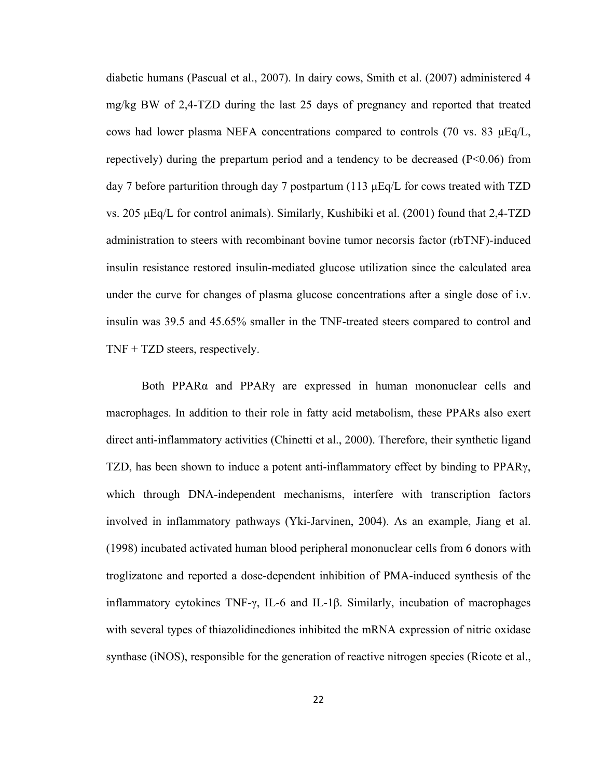diabetic humans (Pascual et al., 2007). In dairy cows, Smith et al. (2007) administered 4 mg/kg BW of 2,4-TZD during the last 25 days of pregnancy and reported that treated cows had lower plasma NEFA concentrations compared to controls (70 vs. 83  $\mu$ Eq/L, repectively) during the prepartum period and a tendency to be decreased (P<0.06) from day 7 before parturition through day 7 postpartum (113  $\mu$ Eq/L for cows treated with TZD vs. 205 μEq/L for control animals). Similarly, Kushibiki et al. (2001) found that 2,4-TZD administration to steers with recombinant bovine tumor necorsis factor (rbTNF)-induced insulin resistance restored insulin-mediated glucose utilization since the calculated area under the curve for changes of plasma glucose concentrations after a single dose of i.v. insulin was 39.5 and 45.65% smaller in the TNF-treated steers compared to control and TNF + TZD steers, respectively.

Both PPAR $\alpha$  and PPAR $\gamma$  are expressed in human mononuclear cells and macrophages. In addition to their role in fatty acid metabolism, these PPARs also exert direct anti-inflammatory activities (Chinetti et al., 2000). Therefore, their synthetic ligand TZD, has been shown to induce a potent anti-inflammatory effect by binding to PPARγ, which through DNA-independent mechanisms, interfere with transcription factors involved in inflammatory pathways (Yki-Jarvinen, 2004). As an example, Jiang et al. (1998) incubated activated human blood peripheral mononuclear cells from 6 donors with troglizatone and reported a dose-dependent inhibition of PMA-induced synthesis of the inflammatory cytokines TNF-γ, IL-6 and IL-1β. Similarly, incubation of macrophages with several types of thiazolidinediones inhibited the mRNA expression of nitric oxidase synthase (iNOS), responsible for the generation of reactive nitrogen species (Ricote et al.,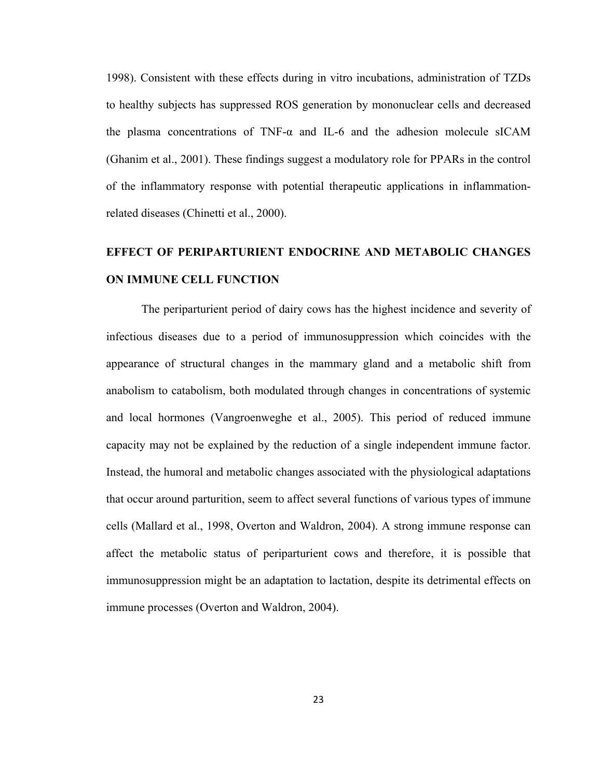1998). Consistent with these effects during in vitro incubations, administration of TZDs to healthy subjects has suppressed ROS generation by mononuclear cells and decreased the plasma concentrations of TNF- $\alpha$  and IL-6 and the adhesion molecule sICAM (Ghanim et al., 2001). These findings suggest a modulatory role for PPARs in the control of the inflammatory response with potential therapeutic applications in inflammationrelated diseases (Chinetti et al., 2000).

## **EFFECT OF PERIPARTURIENT ENDOCRINE AND METABOLIC CHANGES ON IMMUNE CELL FUNCTION**

The periparturient period of dairy cows has the highest incidence and severity of infectious diseases due to a period of immunosuppression which coincides with the appearance of structural changes in the mammary gland and a metabolic shift from anabolism to catabolism, both modulated through changes in concentrations of systemic and local hormones (Vangroenweghe et al., 2005). This period of reduced immune capacity may not be explained by the reduction of a single independent immune factor. Instead, the humoral and metabolic changes associated with the physiological adaptations that occur around parturition, seem to affect several functions of various types of immune cells (Mallard et al., 1998, Overton and Waldron, 2004). A strong immune response can affect the metabolic status of periparturient cows and therefore, it is possible that immunosuppression might be an adaptation to lactation, despite its detrimental effects on immune processes (Overton and Waldron, 2004).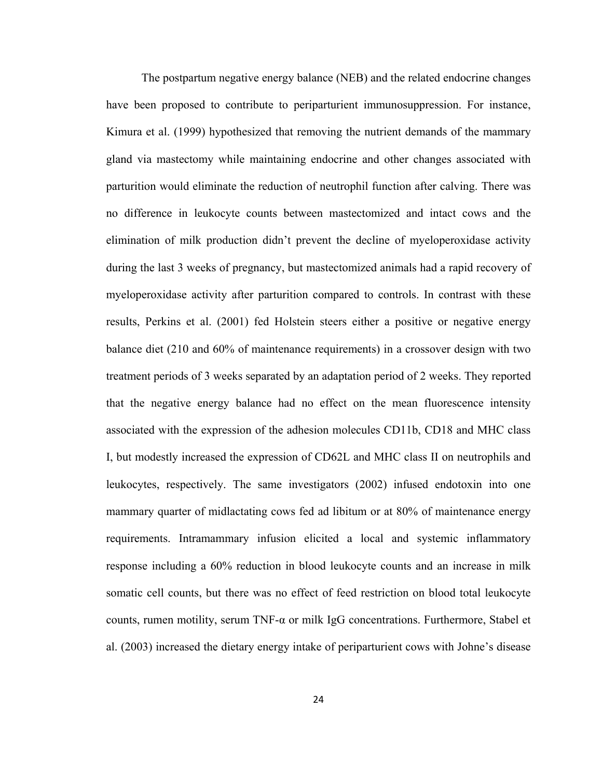The postpartum negative energy balance (NEB) and the related endocrine changes have been proposed to contribute to periparturient immunosuppression. For instance, Kimura et al. (1999) hypothesized that removing the nutrient demands of the mammary gland via mastectomy while maintaining endocrine and other changes associated with parturition would eliminate the reduction of neutrophil function after calving. There was no difference in leukocyte counts between mastectomized and intact cows and the elimination of milk production didn't prevent the decline of myeloperoxidase activity during the last 3 weeks of pregnancy, but mastectomized animals had a rapid recovery of myeloperoxidase activity after parturition compared to controls. In contrast with these results, Perkins et al. (2001) fed Holstein steers either a positive or negative energy balance diet (210 and 60% of maintenance requirements) in a crossover design with two treatment periods of 3 weeks separated by an adaptation period of 2 weeks. They reported that the negative energy balance had no effect on the mean fluorescence intensity associated with the expression of the adhesion molecules CD11b, CD18 and MHC class I, but modestly increased the expression of CD62L and MHC class II on neutrophils and leukocytes, respectively. The same investigators (2002) infused endotoxin into one mammary quarter of midlactating cows fed ad libitum or at 80% of maintenance energy requirements. Intramammary infusion elicited a local and systemic inflammatory response including a 60% reduction in blood leukocyte counts and an increase in milk somatic cell counts, but there was no effect of feed restriction on blood total leukocyte counts, rumen motility, serum TNF- $\alpha$  or milk IgG concentrations. Furthermore, Stabel et al. (2003) increased the dietary energy intake of periparturient cows with Johne's disease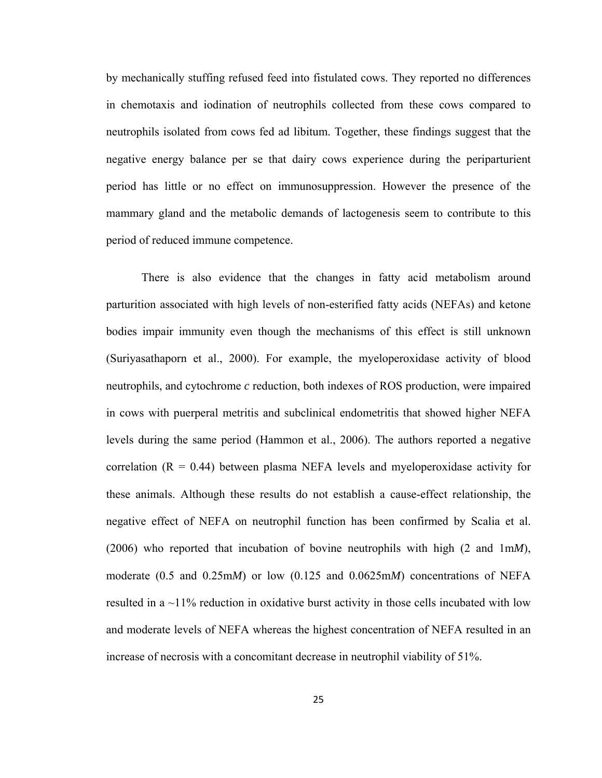by mechanically stuffing refused feed into fistulated cows. They reported no differences in chemotaxis and iodination of neutrophils collected from these cows compared to neutrophils isolated from cows fed ad libitum. Together, these findings suggest that the negative energy balance per se that dairy cows experience during the periparturient period has little or no effect on immunosuppression. However the presence of the mammary gland and the metabolic demands of lactogenesis seem to contribute to this period of reduced immune competence.

There is also evidence that the changes in fatty acid metabolism around parturition associated with high levels of non-esterified fatty acids (NEFAs) and ketone bodies impair immunity even though the mechanisms of this effect is still unknown (Suriyasathaporn et al., 2000). For example, the myeloperoxidase activity of blood neutrophils, and cytochrome *c* reduction, both indexes of ROS production, were impaired in cows with puerperal metritis and subclinical endometritis that showed higher NEFA levels during the same period (Hammon et al., 2006). The authors reported a negative correlation  $(R = 0.44)$  between plasma NEFA levels and myeloperoxidase activity for these animals. Although these results do not establish a cause-effect relationship, the negative effect of NEFA on neutrophil function has been confirmed by Scalia et al. (2006) who reported that incubation of bovine neutrophils with high (2 and 1m*M*), moderate (0.5 and 0.25m*M*) or low (0.125 and 0.0625m*M*) concentrations of NEFA resulted in a ~11% reduction in oxidative burst activity in those cells incubated with low and moderate levels of NEFA whereas the highest concentration of NEFA resulted in an increase of necrosis with a concomitant decrease in neutrophil viability of 51%.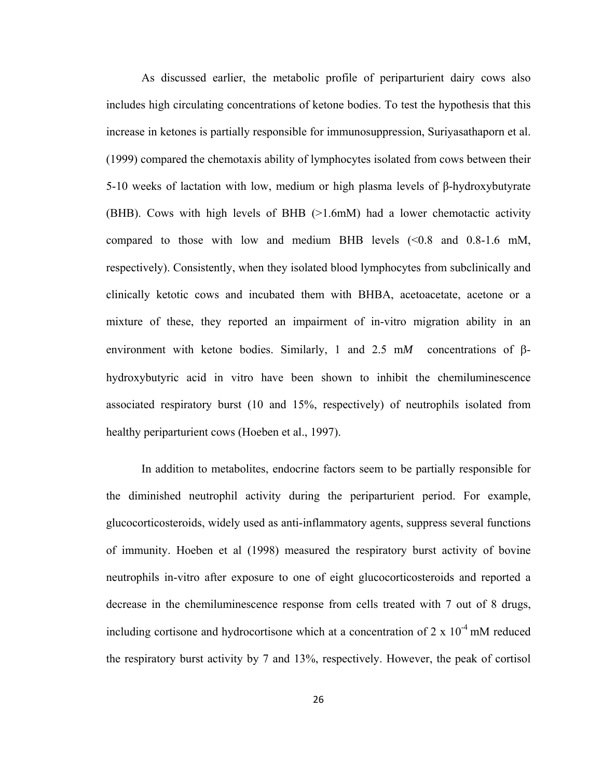As discussed earlier, the metabolic profile of periparturient dairy cows also includes high circulating concentrations of ketone bodies. To test the hypothesis that this increase in ketones is partially responsible for immunosuppression, Suriyasathaporn et al. (1999) compared the chemotaxis ability of lymphocytes isolated from cows between their 5-10 weeks of lactation with low, medium or high plasma levels of β-hydroxybutyrate (BHB). Cows with high levels of BHB (>1.6mM) had a lower chemotactic activity compared to those with low and medium BHB levels  $\ll 0.8$  and 0.8-1.6 mM, respectively). Consistently, when they isolated blood lymphocytes from subclinically and clinically ketotic cows and incubated them with BHBA, acetoacetate, acetone or a mixture of these, they reported an impairment of in-vitro migration ability in an environment with ketone bodies. Similarly, 1 and 2.5 m*M* concentrations of βhydroxybutyric acid in vitro have been shown to inhibit the chemiluminescence associated respiratory burst (10 and 15%, respectively) of neutrophils isolated from healthy periparturient cows (Hoeben et al., 1997).

In addition to metabolites, endocrine factors seem to be partially responsible for the diminished neutrophil activity during the periparturient period. For example, glucocorticosteroids, widely used as anti-inflammatory agents, suppress several functions of immunity. Hoeben et al (1998) measured the respiratory burst activity of bovine neutrophils in-vitro after exposure to one of eight glucocorticosteroids and reported a decrease in the chemiluminescence response from cells treated with 7 out of 8 drugs, including cortisone and hydrocortisone which at a concentration of  $2 \times 10^{-4}$  mM reduced the respiratory burst activity by 7 and 13%, respectively. However, the peak of cortisol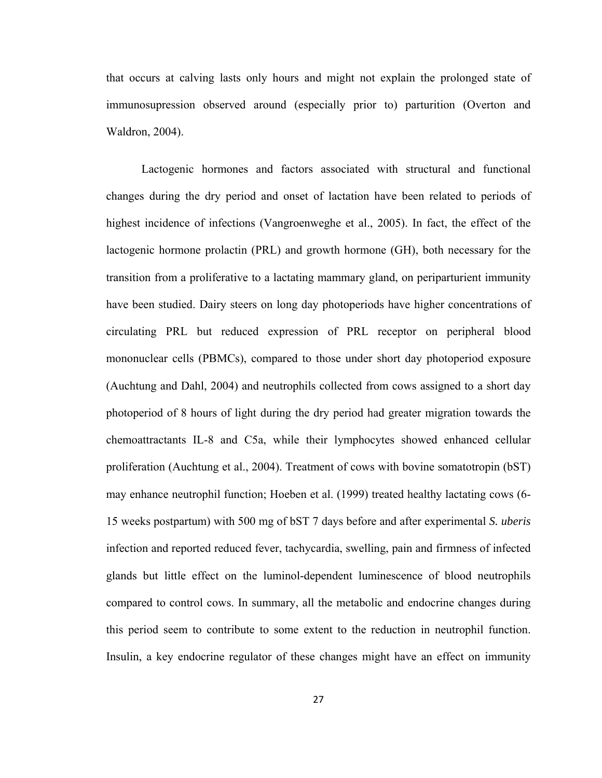that occurs at calving lasts only hours and might not explain the prolonged state of immunosupression observed around (especially prior to) parturition (Overton and Waldron, 2004).

Lactogenic hormones and factors associated with structural and functional changes during the dry period and onset of lactation have been related to periods of highest incidence of infections (Vangroenweghe et al., 2005). In fact, the effect of the lactogenic hormone prolactin (PRL) and growth hormone (GH), both necessary for the transition from a proliferative to a lactating mammary gland, on periparturient immunity have been studied. Dairy steers on long day photoperiods have higher concentrations of circulating PRL but reduced expression of PRL receptor on peripheral blood mononuclear cells (PBMCs), compared to those under short day photoperiod exposure (Auchtung and Dahl, 2004) and neutrophils collected from cows assigned to a short day photoperiod of 8 hours of light during the dry period had greater migration towards the chemoattractants IL-8 and C5a, while their lymphocytes showed enhanced cellular proliferation (Auchtung et al., 2004). Treatment of cows with bovine somatotropin (bST) may enhance neutrophil function; Hoeben et al. (1999) treated healthy lactating cows (6- 15 weeks postpartum) with 500 mg of bST 7 days before and after experimental *S. uberis* infection and reported reduced fever, tachycardia, swelling, pain and firmness of infected glands but little effect on the luminol-dependent luminescence of blood neutrophils compared to control cows. In summary, all the metabolic and endocrine changes during this period seem to contribute to some extent to the reduction in neutrophil function. Insulin, a key endocrine regulator of these changes might have an effect on immunity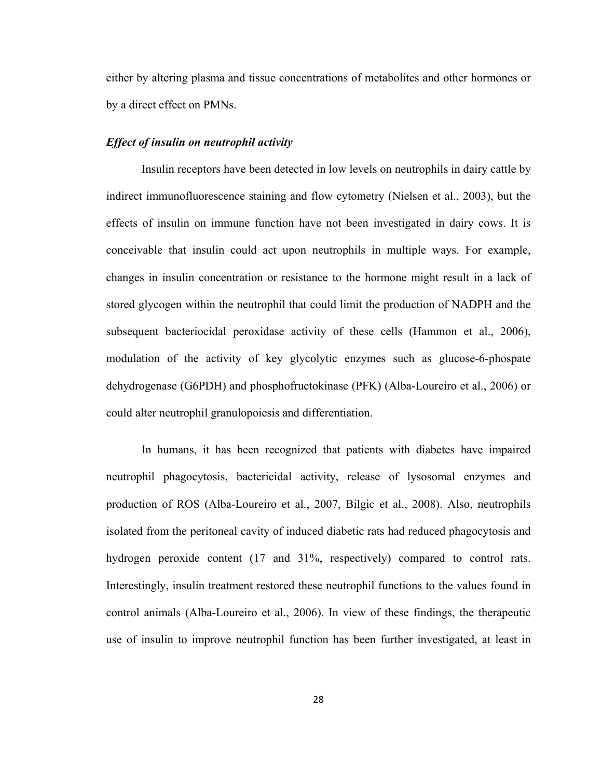either by altering plasma and tissue concentrations of metabolites and other hormones or by a direct effect on PMNs.

#### *Effect of insulin on neutrophil activity*

Insulin receptors have been detected in low levels on neutrophils in dairy cattle by indirect immunofluorescence staining and flow cytometry (Nielsen et al., 2003), but the effects of insulin on immune function have not been investigated in dairy cows. It is conceivable that insulin could act upon neutrophils in multiple ways. For example, changes in insulin concentration or resistance to the hormone might result in a lack of stored glycogen within the neutrophil that could limit the production of NADPH and the subsequent bacteriocidal peroxidase activity of these cells (Hammon et al., 2006), modulation of the activity of key glycolytic enzymes such as glucose-6-phospate dehydrogenase (G6PDH) and phosphofructokinase (PFK) (Alba-Loureiro et al., 2006) or could alter neutrophil granulopoiesis and differentiation.

In humans, it has been recognized that patients with diabetes have impaired neutrophil phagocytosis, bactericidal activity, release of lysosomal enzymes and production of ROS (Alba-Loureiro et al., 2007, Bilgic et al., 2008). Also, neutrophils isolated from the peritoneal cavity of induced diabetic rats had reduced phagocytosis and hydrogen peroxide content (17 and 31%, respectively) compared to control rats. Interestingly, insulin treatment restored these neutrophil functions to the values found in control animals (Alba-Loureiro et al., 2006). In view of these findings, the therapeutic use of insulin to improve neutrophil function has been further investigated, at least in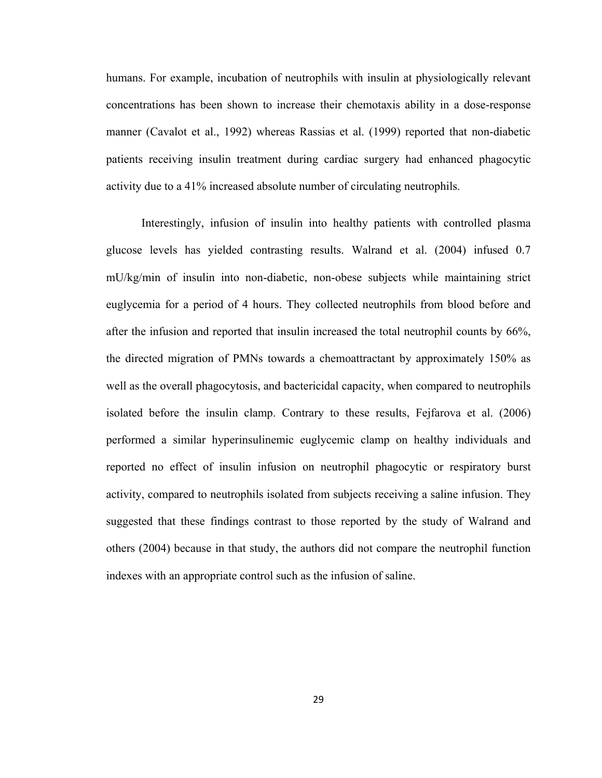humans. For example, incubation of neutrophils with insulin at physiologically relevant concentrations has been shown to increase their chemotaxis ability in a dose-response manner (Cavalot et al., 1992) whereas Rassias et al. (1999) reported that non-diabetic patients receiving insulin treatment during cardiac surgery had enhanced phagocytic activity due to a 41% increased absolute number of circulating neutrophils.

Interestingly, infusion of insulin into healthy patients with controlled plasma glucose levels has yielded contrasting results. Walrand et al. (2004) infused 0.7 mU/kg/min of insulin into non-diabetic, non-obese subjects while maintaining strict euglycemia for a period of 4 hours. They collected neutrophils from blood before and after the infusion and reported that insulin increased the total neutrophil counts by 66%, the directed migration of PMNs towards a chemoattractant by approximately 150% as well as the overall phagocytosis, and bactericidal capacity, when compared to neutrophils isolated before the insulin clamp. Contrary to these results, Fejfarova et al. (2006) performed a similar hyperinsulinemic euglycemic clamp on healthy individuals and reported no effect of insulin infusion on neutrophil phagocytic or respiratory burst activity, compared to neutrophils isolated from subjects receiving a saline infusion. They suggested that these findings contrast to those reported by the study of Walrand and others (2004) because in that study, the authors did not compare the neutrophil function indexes with an appropriate control such as the infusion of saline.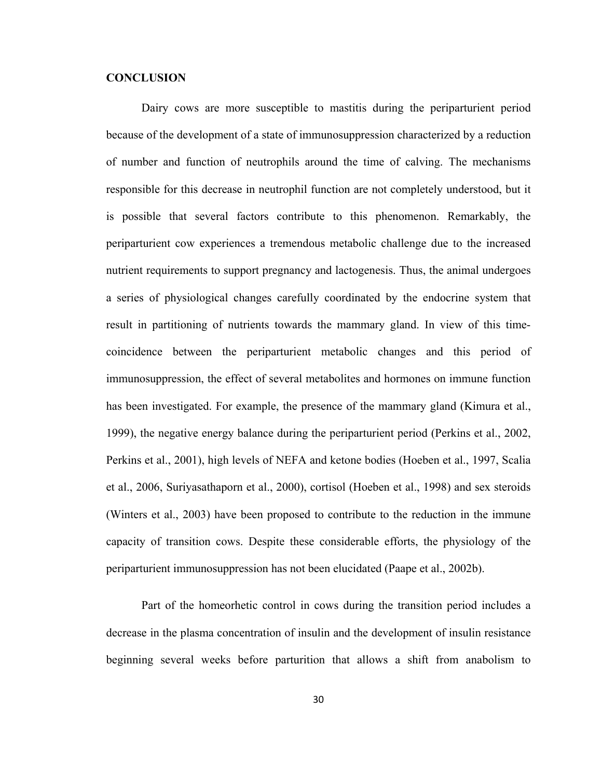#### **CONCLUSION**

Dairy cows are more susceptible to mastitis during the periparturient period because of the development of a state of immunosuppression characterized by a reduction of number and function of neutrophils around the time of calving. The mechanisms responsible for this decrease in neutrophil function are not completely understood, but it is possible that several factors contribute to this phenomenon. Remarkably, the periparturient cow experiences a tremendous metabolic challenge due to the increased nutrient requirements to support pregnancy and lactogenesis. Thus, the animal undergoes a series of physiological changes carefully coordinated by the endocrine system that result in partitioning of nutrients towards the mammary gland. In view of this timecoincidence between the periparturient metabolic changes and this period of immunosuppression, the effect of several metabolites and hormones on immune function has been investigated. For example, the presence of the mammary gland (Kimura et al., 1999), the negative energy balance during the periparturient period (Perkins et al., 2002, Perkins et al., 2001), high levels of NEFA and ketone bodies (Hoeben et al., 1997, Scalia et al., 2006, Suriyasathaporn et al., 2000), cortisol (Hoeben et al., 1998) and sex steroids (Winters et al., 2003) have been proposed to contribute to the reduction in the immune capacity of transition cows. Despite these considerable efforts, the physiology of the periparturient immunosuppression has not been elucidated (Paape et al., 2002b).

Part of the homeorhetic control in cows during the transition period includes a decrease in the plasma concentration of insulin and the development of insulin resistance beginning several weeks before parturition that allows a shift from anabolism to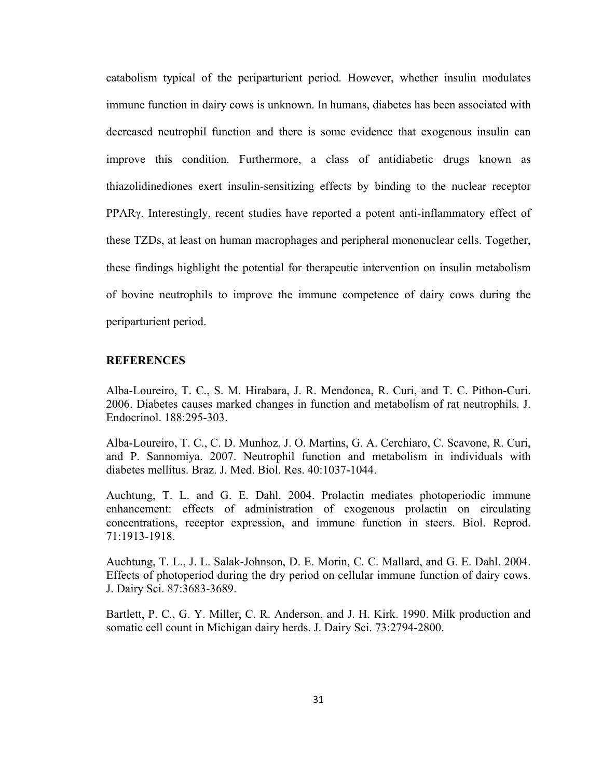catabolism typical of the periparturient period. However, whether insulin modulates immune function in dairy cows is unknown. In humans, diabetes has been associated with decreased neutrophil function and there is some evidence that exogenous insulin can improve this condition. Furthermore, a class of antidiabetic drugs known as thiazolidinediones exert insulin-sensitizing effects by binding to the nuclear receptor PPARγ. Interestingly, recent studies have reported a potent anti-inflammatory effect of these TZDs, at least on human macrophages and peripheral mononuclear cells. Together, these findings highlight the potential for therapeutic intervention on insulin metabolism of bovine neutrophils to improve the immune competence of dairy cows during the periparturient period.

#### **REFERENCES**

Alba-Loureiro, T. C., S. M. Hirabara, J. R. Mendonca, R. Curi, and T. C. Pithon-Curi. 2006. Diabetes causes marked changes in function and metabolism of rat neutrophils. J. Endocrinol. 188:295-303.

Alba-Loureiro, T. C., C. D. Munhoz, J. O. Martins, G. A. Cerchiaro, C. Scavone, R. Curi, and P. Sannomiya. 2007. Neutrophil function and metabolism in individuals with diabetes mellitus. Braz. J. Med. Biol. Res. 40:1037-1044.

Auchtung, T. L. and G. E. Dahl. 2004. Prolactin mediates photoperiodic immune enhancement: effects of administration of exogenous prolactin on circulating concentrations, receptor expression, and immune function in steers. Biol. Reprod. 71:1913-1918.

Auchtung, T. L., J. L. Salak-Johnson, D. E. Morin, C. C. Mallard, and G. E. Dahl. 2004. Effects of photoperiod during the dry period on cellular immune function of dairy cows. J. Dairy Sci. 87:3683-3689.

Bartlett, P. C., G. Y. Miller, C. R. Anderson, and J. H. Kirk. 1990. Milk production and somatic cell count in Michigan dairy herds. J. Dairy Sci. 73:2794-2800.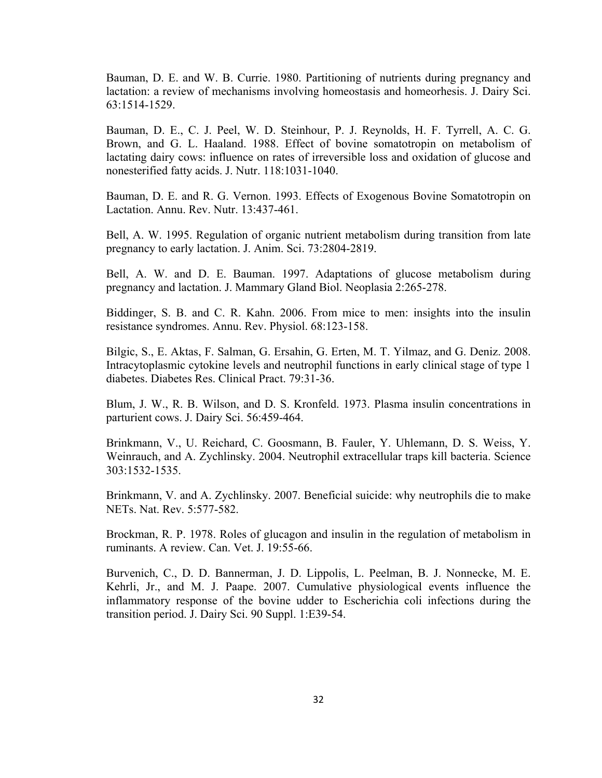Bauman, D. E. and W. B. Currie. 1980. Partitioning of nutrients during pregnancy and lactation: a review of mechanisms involving homeostasis and homeorhesis. J. Dairy Sci. 63:1514-1529.

Bauman, D. E., C. J. Peel, W. D. Steinhour, P. J. Reynolds, H. F. Tyrrell, A. C. G. Brown, and G. L. Haaland. 1988. Effect of bovine somatotropin on metabolism of lactating dairy cows: influence on rates of irreversible loss and oxidation of glucose and nonesterified fatty acids. J. Nutr. 118:1031-1040.

Bauman, D. E. and R. G. Vernon. 1993. Effects of Exogenous Bovine Somatotropin on Lactation. Annu. Rev. Nutr. 13:437-461.

Bell, A. W. 1995. Regulation of organic nutrient metabolism during transition from late pregnancy to early lactation. J. Anim. Sci. 73:2804-2819.

Bell, A. W. and D. E. Bauman. 1997. Adaptations of glucose metabolism during pregnancy and lactation. J. Mammary Gland Biol. Neoplasia 2:265-278.

Biddinger, S. B. and C. R. Kahn. 2006. From mice to men: insights into the insulin resistance syndromes. Annu. Rev. Physiol. 68:123-158.

Bilgic, S., E. Aktas, F. Salman, G. Ersahin, G. Erten, M. T. Yilmaz, and G. Deniz. 2008. Intracytoplasmic cytokine levels and neutrophil functions in early clinical stage of type 1 diabetes. Diabetes Res. Clinical Pract. 79:31-36.

Blum, J. W., R. B. Wilson, and D. S. Kronfeld. 1973. Plasma insulin concentrations in parturient cows. J. Dairy Sci. 56:459-464.

Brinkmann, V., U. Reichard, C. Goosmann, B. Fauler, Y. Uhlemann, D. S. Weiss, Y. Weinrauch, and A. Zychlinsky. 2004. Neutrophil extracellular traps kill bacteria. Science 303:1532-1535.

Brinkmann, V. and A. Zychlinsky. 2007. Beneficial suicide: why neutrophils die to make NETs. Nat. Rev. 5:577-582.

Brockman, R. P. 1978. Roles of glucagon and insulin in the regulation of metabolism in ruminants. A review. Can. Vet. J. 19:55-66.

Burvenich, C., D. D. Bannerman, J. D. Lippolis, L. Peelman, B. J. Nonnecke, M. E. Kehrli, Jr., and M. J. Paape. 2007. Cumulative physiological events influence the inflammatory response of the bovine udder to Escherichia coli infections during the transition period. J. Dairy Sci. 90 Suppl. 1:E39-54.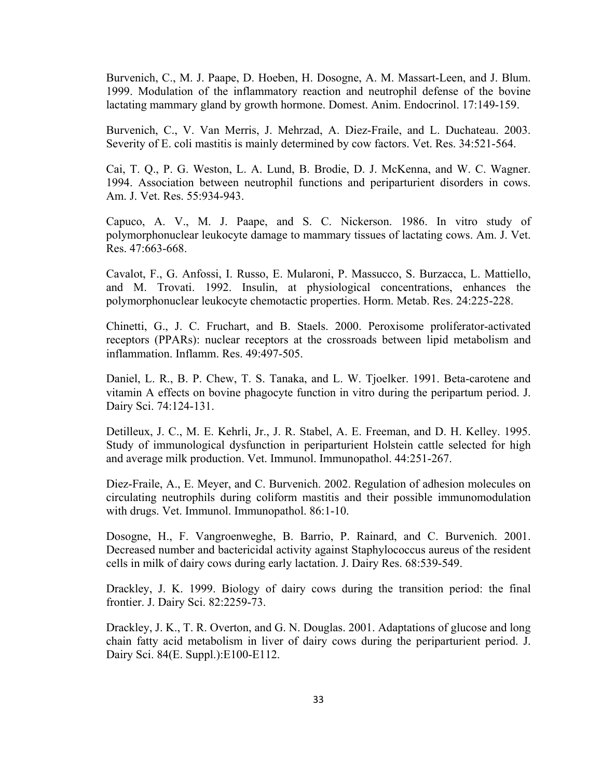Burvenich, C., M. J. Paape, D. Hoeben, H. Dosogne, A. M. Massart-Leen, and J. Blum. 1999. Modulation of the inflammatory reaction and neutrophil defense of the bovine lactating mammary gland by growth hormone. Domest. Anim. Endocrinol. 17:149-159.

Burvenich, C., V. Van Merris, J. Mehrzad, A. Diez-Fraile, and L. Duchateau. 2003. Severity of E. coli mastitis is mainly determined by cow factors. Vet. Res. 34:521-564.

Cai, T. Q., P. G. Weston, L. A. Lund, B. Brodie, D. J. McKenna, and W. C. Wagner. 1994. Association between neutrophil functions and periparturient disorders in cows. Am. J. Vet. Res. 55:934-943.

Capuco, A. V., M. J. Paape, and S. C. Nickerson. 1986. In vitro study of polymorphonuclear leukocyte damage to mammary tissues of lactating cows. Am. J. Vet. Res. 47:663-668.

Cavalot, F., G. Anfossi, I. Russo, E. Mularoni, P. Massucco, S. Burzacca, L. Mattiello, and M. Trovati. 1992. Insulin, at physiological concentrations, enhances the polymorphonuclear leukocyte chemotactic properties. Horm. Metab. Res. 24:225-228.

Chinetti, G., J. C. Fruchart, and B. Staels. 2000. Peroxisome proliferator-activated receptors (PPARs): nuclear receptors at the crossroads between lipid metabolism and inflammation. Inflamm. Res. 49:497-505.

Daniel, L. R., B. P. Chew, T. S. Tanaka, and L. W. Tjoelker. 1991. Beta-carotene and vitamin A effects on bovine phagocyte function in vitro during the peripartum period. J. Dairy Sci. 74:124-131.

Detilleux, J. C., M. E. Kehrli, Jr., J. R. Stabel, A. E. Freeman, and D. H. Kelley. 1995. Study of immunological dysfunction in periparturient Holstein cattle selected for high and average milk production. Vet. Immunol. Immunopathol. 44:251-267.

Diez-Fraile, A., E. Meyer, and C. Burvenich. 2002. Regulation of adhesion molecules on circulating neutrophils during coliform mastitis and their possible immunomodulation with drugs. Vet. Immunol. Immunopathol. 86:1-10.

Dosogne, H., F. Vangroenweghe, B. Barrio, P. Rainard, and C. Burvenich. 2001. Decreased number and bactericidal activity against Staphylococcus aureus of the resident cells in milk of dairy cows during early lactation. J. Dairy Res. 68:539-549.

Drackley, J. K. 1999. Biology of dairy cows during the transition period: the final frontier. J. Dairy Sci. 82:2259-73.

Drackley, J. K., T. R. Overton, and G. N. Douglas. 2001. Adaptations of glucose and long chain fatty acid metabolism in liver of dairy cows during the periparturient period. J. Dairy Sci. 84(E. Suppl.):E100-E112.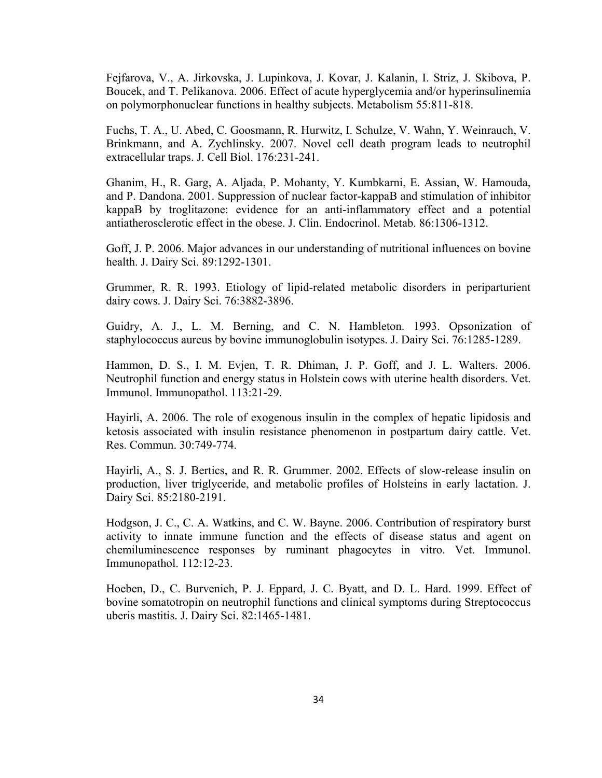Fejfarova, V., A. Jirkovska, J. Lupinkova, J. Kovar, J. Kalanin, I. Striz, J. Skibova, P. Boucek, and T. Pelikanova. 2006. Effect of acute hyperglycemia and/or hyperinsulinemia on polymorphonuclear functions in healthy subjects. Metabolism 55:811-818.

Fuchs, T. A., U. Abed, C. Goosmann, R. Hurwitz, I. Schulze, V. Wahn, Y. Weinrauch, V. Brinkmann, and A. Zychlinsky. 2007. Novel cell death program leads to neutrophil extracellular traps. J. Cell Biol. 176:231-241.

Ghanim, H., R. Garg, A. Aljada, P. Mohanty, Y. Kumbkarni, E. Assian, W. Hamouda, and P. Dandona. 2001. Suppression of nuclear factor-kappaB and stimulation of inhibitor kappaB by troglitazone: evidence for an anti-inflammatory effect and a potential antiatherosclerotic effect in the obese. J. Clin. Endocrinol. Metab. 86:1306-1312.

Goff, J. P. 2006. Major advances in our understanding of nutritional influences on bovine health. J. Dairy Sci. 89:1292-1301.

Grummer, R. R. 1993. Etiology of lipid-related metabolic disorders in periparturient dairy cows. J. Dairy Sci. 76:3882-3896.

Guidry, A. J., L. M. Berning, and C. N. Hambleton. 1993. Opsonization of staphylococcus aureus by bovine immunoglobulin isotypes. J. Dairy Sci. 76:1285-1289.

Hammon, D. S., I. M. Evjen, T. R. Dhiman, J. P. Goff, and J. L. Walters. 2006. Neutrophil function and energy status in Holstein cows with uterine health disorders. Vet. Immunol. Immunopathol. 113:21-29.

Hayirli, A. 2006. The role of exogenous insulin in the complex of hepatic lipidosis and ketosis associated with insulin resistance phenomenon in postpartum dairy cattle. Vet. Res. Commun. 30:749-774.

Hayirli, A., S. J. Bertics, and R. R. Grummer. 2002. Effects of slow-release insulin on production, liver triglyceride, and metabolic profiles of Holsteins in early lactation. J. Dairy Sci. 85:2180-2191.

Hodgson, J. C., C. A. Watkins, and C. W. Bayne. 2006. Contribution of respiratory burst activity to innate immune function and the effects of disease status and agent on chemiluminescence responses by ruminant phagocytes in vitro. Vet. Immunol. Immunopathol. 112:12-23.

Hoeben, D., C. Burvenich, P. J. Eppard, J. C. Byatt, and D. L. Hard. 1999. Effect of bovine somatotropin on neutrophil functions and clinical symptoms during Streptococcus uberis mastitis. J. Dairy Sci. 82:1465-1481.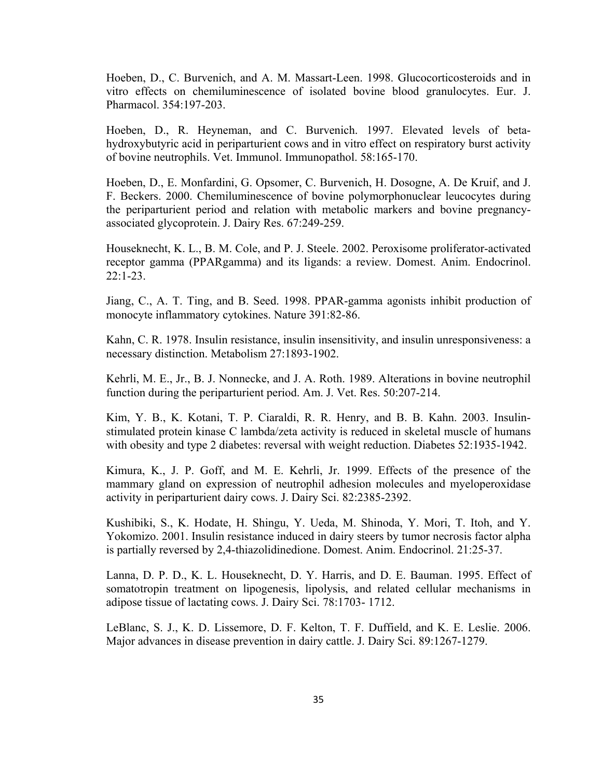Hoeben, D., C. Burvenich, and A. M. Massart-Leen. 1998. Glucocorticosteroids and in vitro effects on chemiluminescence of isolated bovine blood granulocytes. Eur. J. Pharmacol. 354:197-203.

Hoeben, D., R. Heyneman, and C. Burvenich. 1997. Elevated levels of betahydroxybutyric acid in periparturient cows and in vitro effect on respiratory burst activity of bovine neutrophils. Vet. Immunol. Immunopathol. 58:165-170.

Hoeben, D., E. Monfardini, G. Opsomer, C. Burvenich, H. Dosogne, A. De Kruif, and J. F. Beckers. 2000. Chemiluminescence of bovine polymorphonuclear leucocytes during the periparturient period and relation with metabolic markers and bovine pregnancyassociated glycoprotein. J. Dairy Res. 67:249-259.

Houseknecht, K. L., B. M. Cole, and P. J. Steele. 2002. Peroxisome proliferator-activated receptor gamma (PPARgamma) and its ligands: a review. Domest. Anim. Endocrinol. 22:1-23.

Jiang, C., A. T. Ting, and B. Seed. 1998. PPAR-gamma agonists inhibit production of monocyte inflammatory cytokines. Nature 391:82-86.

Kahn, C. R. 1978. Insulin resistance, insulin insensitivity, and insulin unresponsiveness: a necessary distinction. Metabolism 27:1893-1902.

Kehrli, M. E., Jr., B. J. Nonnecke, and J. A. Roth. 1989. Alterations in bovine neutrophil function during the periparturient period. Am. J. Vet. Res. 50:207-214.

Kim, Y. B., K. Kotani, T. P. Ciaraldi, R. R. Henry, and B. B. Kahn. 2003. Insulinstimulated protein kinase C lambda/zeta activity is reduced in skeletal muscle of humans with obesity and type 2 diabetes: reversal with weight reduction. Diabetes 52:1935-1942.

Kimura, K., J. P. Goff, and M. E. Kehrli, Jr. 1999. Effects of the presence of the mammary gland on expression of neutrophil adhesion molecules and myeloperoxidase activity in periparturient dairy cows. J. Dairy Sci. 82:2385-2392.

Kushibiki, S., K. Hodate, H. Shingu, Y. Ueda, M. Shinoda, Y. Mori, T. Itoh, and Y. Yokomizo. 2001. Insulin resistance induced in dairy steers by tumor necrosis factor alpha is partially reversed by 2,4-thiazolidinedione. Domest. Anim. Endocrinol. 21:25-37.

Lanna, D. P. D., K. L. Houseknecht, D. Y. Harris, and D. E. Bauman. 1995. Effect of somatotropin treatment on lipogenesis, lipolysis, and related cellular mechanisms in adipose tissue of lactating cows. J. Dairy Sci. 78:1703- 1712.

LeBlanc, S. J., K. D. Lissemore, D. F. Kelton, T. F. Duffield, and K. E. Leslie. 2006. Major advances in disease prevention in dairy cattle. J. Dairy Sci. 89:1267-1279.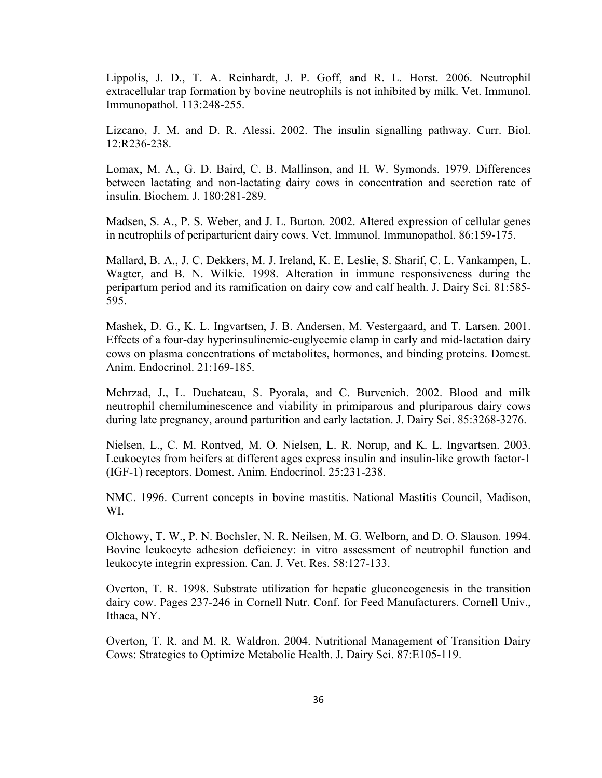Lippolis, J. D., T. A. Reinhardt, J. P. Goff, and R. L. Horst. 2006. Neutrophil extracellular trap formation by bovine neutrophils is not inhibited by milk. Vet. Immunol. Immunopathol. 113:248-255.

Lizcano, J. M. and D. R. Alessi. 2002. The insulin signalling pathway. Curr. Biol. 12:R236-238.

Lomax, M. A., G. D. Baird, C. B. Mallinson, and H. W. Symonds. 1979. Differences between lactating and non-lactating dairy cows in concentration and secretion rate of insulin. Biochem. J. 180:281-289.

Madsen, S. A., P. S. Weber, and J. L. Burton. 2002. Altered expression of cellular genes in neutrophils of periparturient dairy cows. Vet. Immunol. Immunopathol. 86:159-175.

Mallard, B. A., J. C. Dekkers, M. J. Ireland, K. E. Leslie, S. Sharif, C. L. Vankampen, L. Wagter, and B. N. Wilkie. 1998. Alteration in immune responsiveness during the peripartum period and its ramification on dairy cow and calf health. J. Dairy Sci. 81:585- 595.

Mashek, D. G., K. L. Ingvartsen, J. B. Andersen, M. Vestergaard, and T. Larsen. 2001. Effects of a four-day hyperinsulinemic-euglycemic clamp in early and mid-lactation dairy cows on plasma concentrations of metabolites, hormones, and binding proteins. Domest. Anim. Endocrinol. 21:169-185.

Mehrzad, J., L. Duchateau, S. Pyorala, and C. Burvenich. 2002. Blood and milk neutrophil chemiluminescence and viability in primiparous and pluriparous dairy cows during late pregnancy, around parturition and early lactation. J. Dairy Sci. 85:3268-3276.

Nielsen, L., C. M. Rontved, M. O. Nielsen, L. R. Norup, and K. L. Ingvartsen. 2003. Leukocytes from heifers at different ages express insulin and insulin-like growth factor-1 (IGF-1) receptors. Domest. Anim. Endocrinol. 25:231-238.

NMC. 1996. Current concepts in bovine mastitis. National Mastitis Council, Madison, WI.

Olchowy, T. W., P. N. Bochsler, N. R. Neilsen, M. G. Welborn, and D. O. Slauson. 1994. Bovine leukocyte adhesion deficiency: in vitro assessment of neutrophil function and leukocyte integrin expression. Can. J. Vet. Res. 58:127-133.

Overton, T. R. 1998. Substrate utilization for hepatic gluconeogenesis in the transition dairy cow. Pages 237-246 in Cornell Nutr. Conf. for Feed Manufacturers. Cornell Univ., Ithaca, NY.

Overton, T. R. and M. R. Waldron. 2004. Nutritional Management of Transition Dairy Cows: Strategies to Optimize Metabolic Health. J. Dairy Sci. 87:E105-119.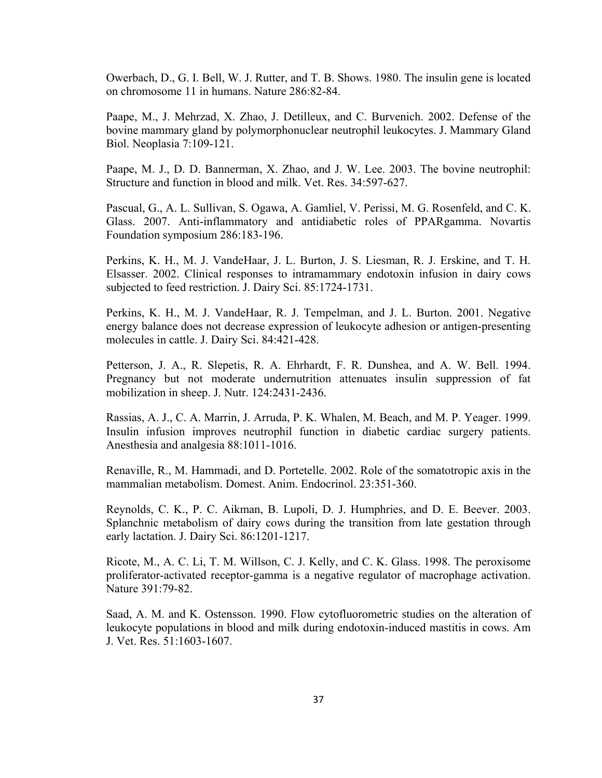Owerbach, D., G. I. Bell, W. J. Rutter, and T. B. Shows. 1980. The insulin gene is located on chromosome 11 in humans. Nature 286:82-84.

Paape, M., J. Mehrzad, X. Zhao, J. Detilleux, and C. Burvenich. 2002. Defense of the bovine mammary gland by polymorphonuclear neutrophil leukocytes. J. Mammary Gland Biol. Neoplasia 7:109-121.

Paape, M. J., D. D. Bannerman, X. Zhao, and J. W. Lee. 2003. The bovine neutrophil: Structure and function in blood and milk. Vet. Res. 34:597-627.

Pascual, G., A. L. Sullivan, S. Ogawa, A. Gamliel, V. Perissi, M. G. Rosenfeld, and C. K. Glass. 2007. Anti-inflammatory and antidiabetic roles of PPARgamma. Novartis Foundation symposium 286:183-196.

Perkins, K. H., M. J. VandeHaar, J. L. Burton, J. S. Liesman, R. J. Erskine, and T. H. Elsasser. 2002. Clinical responses to intramammary endotoxin infusion in dairy cows subjected to feed restriction. J. Dairy Sci. 85:1724-1731.

Perkins, K. H., M. J. VandeHaar, R. J. Tempelman, and J. L. Burton. 2001. Negative energy balance does not decrease expression of leukocyte adhesion or antigen-presenting molecules in cattle. J. Dairy Sci. 84:421-428.

Petterson, J. A., R. Slepetis, R. A. Ehrhardt, F. R. Dunshea, and A. W. Bell. 1994. Pregnancy but not moderate undernutrition attenuates insulin suppression of fat mobilization in sheep. J. Nutr. 124:2431-2436.

Rassias, A. J., C. A. Marrin, J. Arruda, P. K. Whalen, M. Beach, and M. P. Yeager. 1999. Insulin infusion improves neutrophil function in diabetic cardiac surgery patients. Anesthesia and analgesia 88:1011-1016.

Renaville, R., M. Hammadi, and D. Portetelle. 2002. Role of the somatotropic axis in the mammalian metabolism. Domest. Anim. Endocrinol. 23:351-360.

Reynolds, C. K., P. C. Aikman, B. Lupoli, D. J. Humphries, and D. E. Beever. 2003. Splanchnic metabolism of dairy cows during the transition from late gestation through early lactation. J. Dairy Sci. 86:1201-1217.

Ricote, M., A. C. Li, T. M. Willson, C. J. Kelly, and C. K. Glass. 1998. The peroxisome proliferator-activated receptor-gamma is a negative regulator of macrophage activation. Nature 391:79-82.

Saad, A. M. and K. Ostensson. 1990. Flow cytofluorometric studies on the alteration of leukocyte populations in blood and milk during endotoxin-induced mastitis in cows. Am J. Vet. Res. 51:1603-1607.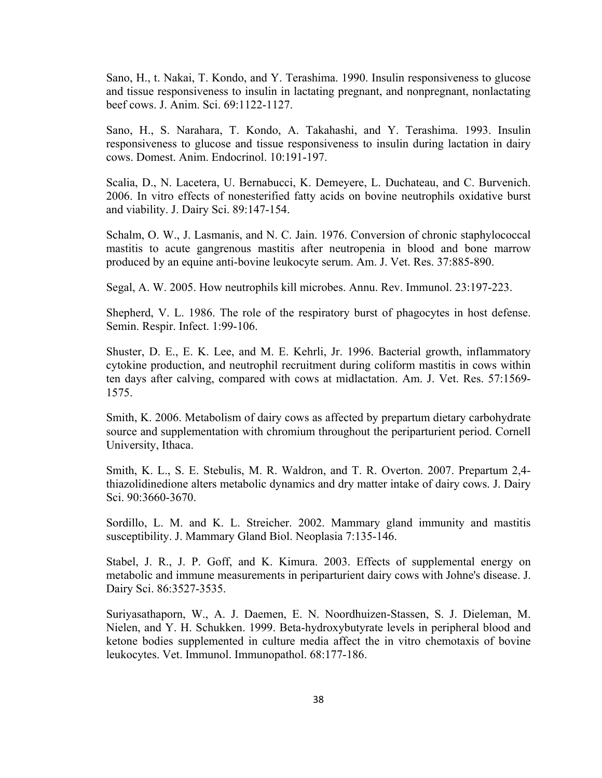Sano, H., t. Nakai, T. Kondo, and Y. Terashima. 1990. Insulin responsiveness to glucose and tissue responsiveness to insulin in lactating pregnant, and nonpregnant, nonlactating beef cows. J. Anim. Sci. 69:1122-1127.

Sano, H., S. Narahara, T. Kondo, A. Takahashi, and Y. Terashima. 1993. Insulin responsiveness to glucose and tissue responsiveness to insulin during lactation in dairy cows. Domest. Anim. Endocrinol. 10:191-197.

Scalia, D., N. Lacetera, U. Bernabucci, K. Demeyere, L. Duchateau, and C. Burvenich. 2006. In vitro effects of nonesterified fatty acids on bovine neutrophils oxidative burst and viability. J. Dairy Sci. 89:147-154.

Schalm, O. W., J. Lasmanis, and N. C. Jain. 1976. Conversion of chronic staphylococcal mastitis to acute gangrenous mastitis after neutropenia in blood and bone marrow produced by an equine anti-bovine leukocyte serum. Am. J. Vet. Res. 37:885-890.

Segal, A. W. 2005. How neutrophils kill microbes. Annu. Rev. Immunol. 23:197-223.

Shepherd, V. L. 1986. The role of the respiratory burst of phagocytes in host defense. Semin. Respir. Infect. 1:99-106.

Shuster, D. E., E. K. Lee, and M. E. Kehrli, Jr. 1996. Bacterial growth, inflammatory cytokine production, and neutrophil recruitment during coliform mastitis in cows within ten days after calving, compared with cows at midlactation. Am. J. Vet. Res. 57:1569- 1575.

Smith, K. 2006. Metabolism of dairy cows as affected by prepartum dietary carbohydrate source and supplementation with chromium throughout the periparturient period. Cornell University, Ithaca.

Smith, K. L., S. E. Stebulis, M. R. Waldron, and T. R. Overton. 2007. Prepartum 2,4 thiazolidinedione alters metabolic dynamics and dry matter intake of dairy cows. J. Dairy Sci. 90:3660-3670.

Sordillo, L. M. and K. L. Streicher. 2002. Mammary gland immunity and mastitis susceptibility. J. Mammary Gland Biol. Neoplasia 7:135-146.

Stabel, J. R., J. P. Goff, and K. Kimura. 2003. Effects of supplemental energy on metabolic and immune measurements in periparturient dairy cows with Johne's disease. J. Dairy Sci. 86:3527-3535.

Suriyasathaporn, W., A. J. Daemen, E. N. Noordhuizen-Stassen, S. J. Dieleman, M. Nielen, and Y. H. Schukken. 1999. Beta-hydroxybutyrate levels in peripheral blood and ketone bodies supplemented in culture media affect the in vitro chemotaxis of bovine leukocytes. Vet. Immunol. Immunopathol. 68:177-186.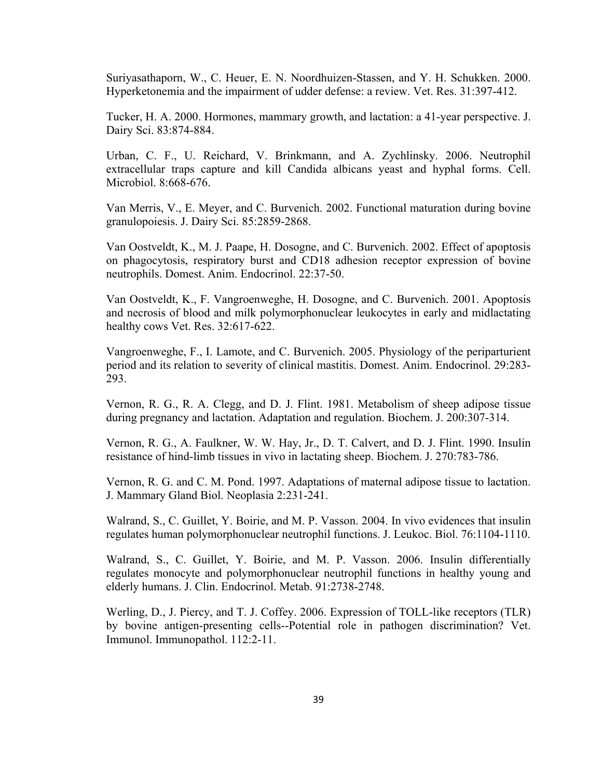Suriyasathaporn, W., C. Heuer, E. N. Noordhuizen-Stassen, and Y. H. Schukken. 2000. Hyperketonemia and the impairment of udder defense: a review. Vet. Res. 31:397-412.

Tucker, H. A. 2000. Hormones, mammary growth, and lactation: a 41-year perspective. J. Dairy Sci. 83:874-884.

Urban, C. F., U. Reichard, V. Brinkmann, and A. Zychlinsky. 2006. Neutrophil extracellular traps capture and kill Candida albicans yeast and hyphal forms. Cell. Microbiol. 8:668-676.

Van Merris, V., E. Meyer, and C. Burvenich. 2002. Functional maturation during bovine granulopoiesis. J. Dairy Sci. 85:2859-2868.

Van Oostveldt, K., M. J. Paape, H. Dosogne, and C. Burvenich. 2002. Effect of apoptosis on phagocytosis, respiratory burst and CD18 adhesion receptor expression of bovine neutrophils. Domest. Anim. Endocrinol. 22:37-50.

Van Oostveldt, K., F. Vangroenweghe, H. Dosogne, and C. Burvenich. 2001. Apoptosis and necrosis of blood and milk polymorphonuclear leukocytes in early and midlactating healthy cows Vet. Res. 32:617-622.

Vangroenweghe, F., I. Lamote, and C. Burvenich. 2005. Physiology of the periparturient period and its relation to severity of clinical mastitis. Domest. Anim. Endocrinol. 29:283- 293.

Vernon, R. G., R. A. Clegg, and D. J. Flint. 1981. Metabolism of sheep adipose tissue during pregnancy and lactation. Adaptation and regulation. Biochem. J. 200:307-314.

Vernon, R. G., A. Faulkner, W. W. Hay, Jr., D. T. Calvert, and D. J. Flint. 1990. Insulin resistance of hind-limb tissues in vivo in lactating sheep. Biochem. J. 270:783-786.

Vernon, R. G. and C. M. Pond. 1997. Adaptations of maternal adipose tissue to lactation. J. Mammary Gland Biol. Neoplasia 2:231-241.

Walrand, S., C. Guillet, Y. Boirie, and M. P. Vasson. 2004. In vivo evidences that insulin regulates human polymorphonuclear neutrophil functions. J. Leukoc. Biol. 76:1104-1110.

Walrand, S., C. Guillet, Y. Boirie, and M. P. Vasson. 2006. Insulin differentially regulates monocyte and polymorphonuclear neutrophil functions in healthy young and elderly humans. J. Clin. Endocrinol. Metab. 91:2738-2748.

Werling, D., J. Piercy, and T. J. Coffey. 2006. Expression of TOLL-like receptors (TLR) by bovine antigen-presenting cells--Potential role in pathogen discrimination? Vet. Immunol. Immunopathol. 112:2-11.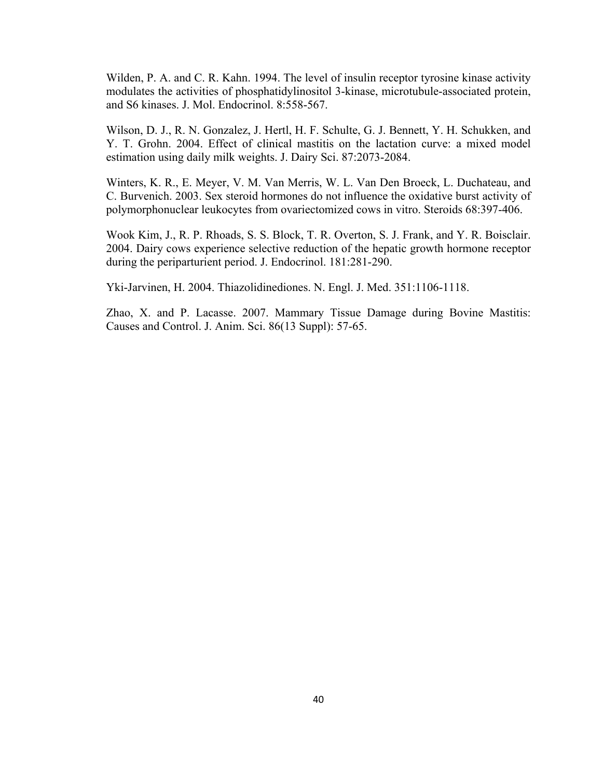Wilden, P. A. and C. R. Kahn. 1994. The level of insulin receptor tyrosine kinase activity modulates the activities of phosphatidylinositol 3-kinase, microtubule-associated protein, and S6 kinases. J. Mol. Endocrinol. 8:558-567.

Wilson, D. J., R. N. Gonzalez, J. Hertl, H. F. Schulte, G. J. Bennett, Y. H. Schukken, and Y. T. Grohn. 2004. Effect of clinical mastitis on the lactation curve: a mixed model estimation using daily milk weights. J. Dairy Sci. 87:2073-2084.

Winters, K. R., E. Meyer, V. M. Van Merris, W. L. Van Den Broeck, L. Duchateau, and C. Burvenich. 2003. Sex steroid hormones do not influence the oxidative burst activity of polymorphonuclear leukocytes from ovariectomized cows in vitro. Steroids 68:397-406.

Wook Kim, J., R. P. Rhoads, S. S. Block, T. R. Overton, S. J. Frank, and Y. R. Boisclair. 2004. Dairy cows experience selective reduction of the hepatic growth hormone receptor during the periparturient period. J. Endocrinol. 181:281-290.

Yki-Jarvinen, H. 2004. Thiazolidinediones. N. Engl. J. Med. 351:1106-1118.

Zhao, X. and P. Lacasse. 2007. Mammary Tissue Damage during Bovine Mastitis: Causes and Control. J. Anim. Sci. 86(13 Suppl): 57-65.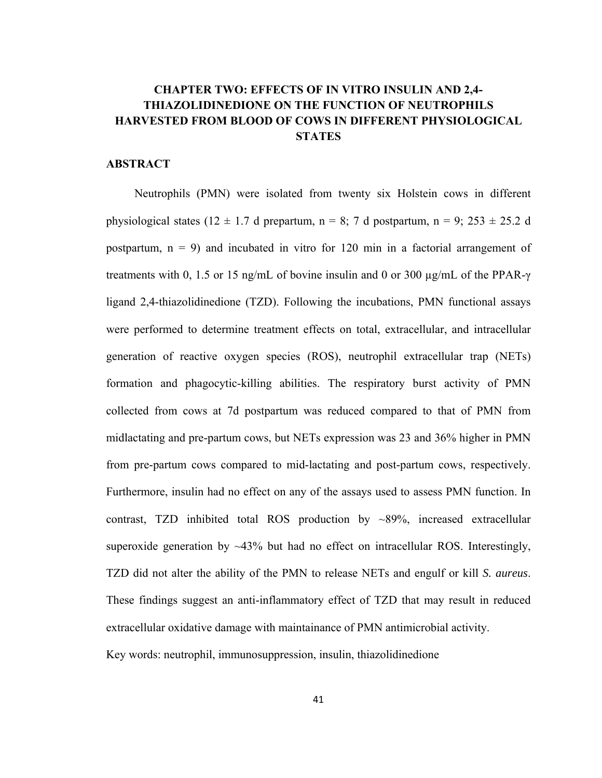# **CHAPTER TWO: EFFECTS OF IN VITRO INSULIN AND 2,4- THIAZOLIDINEDIONE ON THE FUNCTION OF NEUTROPHILS HARVESTED FROM BLOOD OF COWS IN DIFFERENT PHYSIOLOGICAL STATES**

#### **ABSTRACT**

Neutrophils (PMN) were isolated from twenty six Holstein cows in different physiological states (12  $\pm$  1.7 d prepartum, n = 8; 7 d postpartum, n = 9; 253  $\pm$  25.2 d postpartum,  $n = 9$ ) and incubated in vitro for 120 min in a factorial arrangement of treatments with 0, 1.5 or 15 ng/mL of bovine insulin and 0 or 300 µg/mL of the PPAR-γ ligand 2,4-thiazolidinedione (TZD). Following the incubations, PMN functional assays were performed to determine treatment effects on total, extracellular, and intracellular generation of reactive oxygen species (ROS), neutrophil extracellular trap (NETs) formation and phagocytic-killing abilities. The respiratory burst activity of PMN collected from cows at 7d postpartum was reduced compared to that of PMN from midlactating and pre-partum cows, but NETs expression was 23 and 36% higher in PMN from pre-partum cows compared to mid-lactating and post-partum cows, respectively. Furthermore, insulin had no effect on any of the assays used to assess PMN function. In contrast, TZD inhibited total ROS production by ~89%, increased extracellular superoxide generation by  $\sim$ 43% but had no effect on intracellular ROS. Interestingly, TZD did not alter the ability of the PMN to release NETs and engulf or kill *S. aureus*. These findings suggest an anti-inflammatory effect of TZD that may result in reduced extracellular oxidative damage with maintainance of PMN antimicrobial activity. Key words: neutrophil, immunosuppression, insulin, thiazolidinedione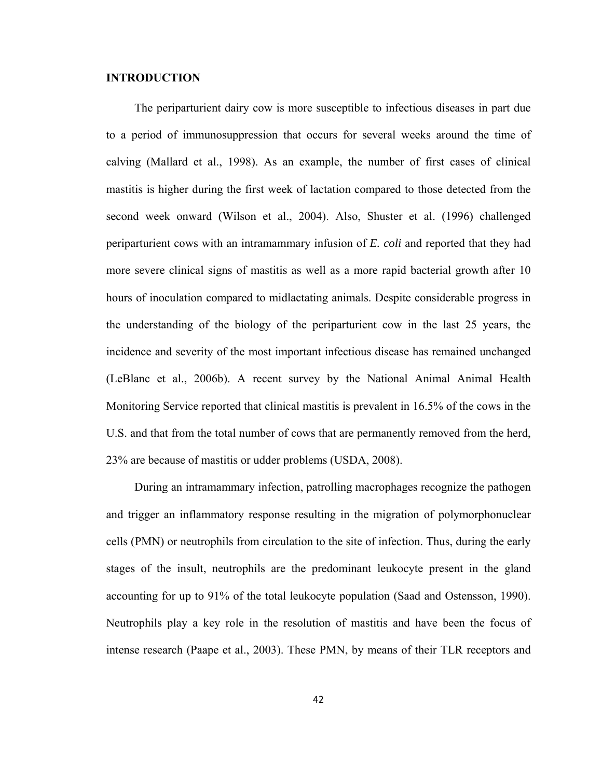## **INTRODUCTION**

The periparturient dairy cow is more susceptible to infectious diseases in part due to a period of immunosuppression that occurs for several weeks around the time of calving (Mallard et al., 1998). As an example, the number of first cases of clinical mastitis is higher during the first week of lactation compared to those detected from the second week onward (Wilson et al., 2004). Also, Shuster et al. (1996) challenged periparturient cows with an intramammary infusion of *E. coli* and reported that they had more severe clinical signs of mastitis as well as a more rapid bacterial growth after 10 hours of inoculation compared to midlactating animals. Despite considerable progress in the understanding of the biology of the periparturient cow in the last 25 years, the incidence and severity of the most important infectious disease has remained unchanged (LeBlanc et al., 2006b). A recent survey by the National Animal Animal Health Monitoring Service reported that clinical mastitis is prevalent in 16.5% of the cows in the U.S. and that from the total number of cows that are permanently removed from the herd, 23% are because of mastitis or udder problems (USDA, 2008).

During an intramammary infection, patrolling macrophages recognize the pathogen and trigger an inflammatory response resulting in the migration of polymorphonuclear cells (PMN) or neutrophils from circulation to the site of infection. Thus, during the early stages of the insult, neutrophils are the predominant leukocyte present in the gland accounting for up to 91% of the total leukocyte population (Saad and Ostensson, 1990). Neutrophils play a key role in the resolution of mastitis and have been the focus of intense research (Paape et al., 2003). These PMN, by means of their TLR receptors and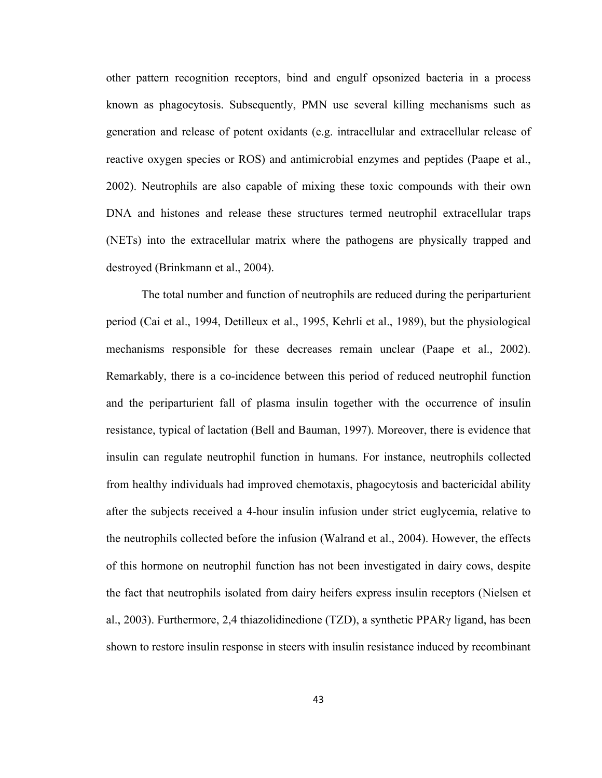other pattern recognition receptors, bind and engulf opsonized bacteria in a process known as phagocytosis. Subsequently, PMN use several killing mechanisms such as generation and release of potent oxidants (e.g. intracellular and extracellular release of reactive oxygen species or ROS) and antimicrobial enzymes and peptides (Paape et al., 2002). Neutrophils are also capable of mixing these toxic compounds with their own DNA and histones and release these structures termed neutrophil extracellular traps (NETs) into the extracellular matrix where the pathogens are physically trapped and destroyed (Brinkmann et al., 2004).

The total number and function of neutrophils are reduced during the periparturient period (Cai et al., 1994, Detilleux et al., 1995, Kehrli et al., 1989), but the physiological mechanisms responsible for these decreases remain unclear (Paape et al., 2002). Remarkably, there is a co-incidence between this period of reduced neutrophil function and the periparturient fall of plasma insulin together with the occurrence of insulin resistance, typical of lactation (Bell and Bauman, 1997). Moreover, there is evidence that insulin can regulate neutrophil function in humans. For instance, neutrophils collected from healthy individuals had improved chemotaxis, phagocytosis and bactericidal ability after the subjects received a 4-hour insulin infusion under strict euglycemia, relative to the neutrophils collected before the infusion (Walrand et al., 2004). However, the effects of this hormone on neutrophil function has not been investigated in dairy cows, despite the fact that neutrophils isolated from dairy heifers express insulin receptors (Nielsen et al., 2003). Furthermore, 2,4 thiazolidinedione (TZD), a synthetic PPARγ ligand, has been shown to restore insulin response in steers with insulin resistance induced by recombinant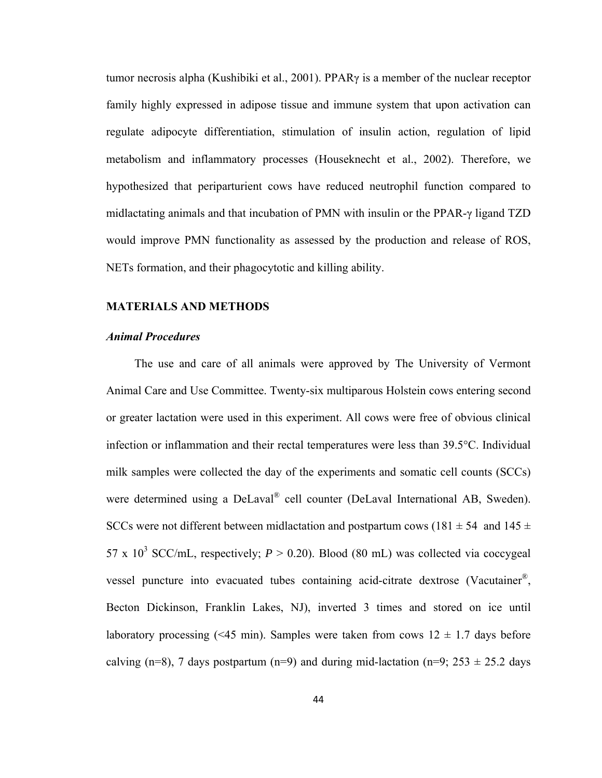tumor necrosis alpha (Kushibiki et al., 2001). PPARγ is a member of the nuclear receptor family highly expressed in adipose tissue and immune system that upon activation can regulate adipocyte differentiation, stimulation of insulin action, regulation of lipid metabolism and inflammatory processes (Houseknecht et al., 2002). Therefore, we hypothesized that periparturient cows have reduced neutrophil function compared to midlactating animals and that incubation of PMN with insulin or the PPAR-γ ligand TZD would improve PMN functionality as assessed by the production and release of ROS, NETs formation, and their phagocytotic and killing ability.

#### **MATERIALS AND METHODS**

## *Animal Procedures*

The use and care of all animals were approved by The University of Vermont Animal Care and Use Committee. Twenty-six multiparous Holstein cows entering second or greater lactation were used in this experiment. All cows were free of obvious clinical infection or inflammation and their rectal temperatures were less than 39.5°C. Individual milk samples were collected the day of the experiments and somatic cell counts (SCCs) were determined using a DeLaval<sup>®</sup> cell counter (DeLaval International AB, Sweden). SCCs were not different between midlactation and postpartum cows (181  $\pm$  54 and 145  $\pm$ 57 x  $10^3$  SCC/mL, respectively;  $P > 0.20$ ). Blood (80 mL) was collected via coccygeal vessel puncture into evacuated tubes containing acid-citrate dextrose (Vacutainer®, Becton Dickinson, Franklin Lakes, NJ), inverted 3 times and stored on ice until laboratory processing (<45 min). Samples were taken from cows  $12 \pm 1.7$  days before calving (n=8), 7 days postpartum (n=9) and during mid-lactation (n=9;  $253 \pm 25.2$  days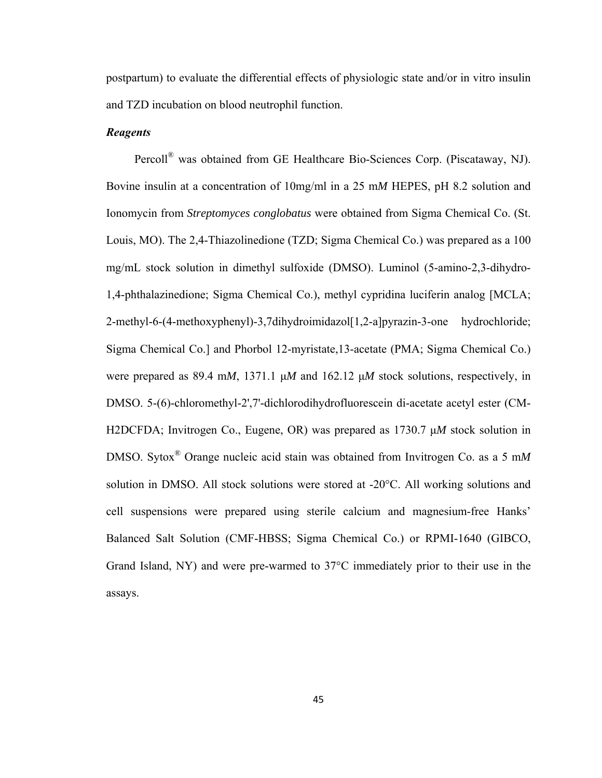postpartum) to evaluate the differential effects of physiologic state and/or in vitro insulin and TZD incubation on blood neutrophil function.

#### *Reagents*

Percoll® was obtained from GE Healthcare Bio-Sciences Corp. (Piscataway, NJ). Bovine insulin at a concentration of 10mg/ml in a 25 m*M* HEPES, pH 8.2 solution and Ionomycin from *Streptomyces conglobatus* were obtained from Sigma Chemical Co. (St. Louis, MO). The 2,4-Thiazolinedione (TZD; Sigma Chemical Co.) was prepared as a 100 mg/mL stock solution in dimethyl sulfoxide (DMSO). Luminol (5-amino-2,3-dihydro-1,4-phthalazinedione; Sigma Chemical Co.), methyl cypridina luciferin analog [MCLA; 2-methyl-6-(4-methoxyphenyl)-3,7dihydroimidazol[1,2-a]pyrazin-3-one hydrochloride; Sigma Chemical Co.] and Phorbol 12-myristate,13-acetate (PMA; Sigma Chemical Co.) were prepared as 89.4 m*M*, 1371.1 μ*M* and 162.12 μ*M* stock solutions, respectively, in DMSO. 5-(6)-chloromethyl-2',7'-dichlorodihydrofluorescein di-acetate acetyl ester (CM-H2DCFDA; Invitrogen Co., Eugene, OR) was prepared as 1730.7 μ*M* stock solution in DMSO. Sytox® Orange nucleic acid stain was obtained from Invitrogen Co. as a 5 m*M* solution in DMSO. All stock solutions were stored at -20°C. All working solutions and cell suspensions were prepared using sterile calcium and magnesium-free Hanks' Balanced Salt Solution (CMF-HBSS; Sigma Chemical Co.) or RPMI-1640 (GIBCO, Grand Island, NY) and were pre-warmed to 37°C immediately prior to their use in the assays.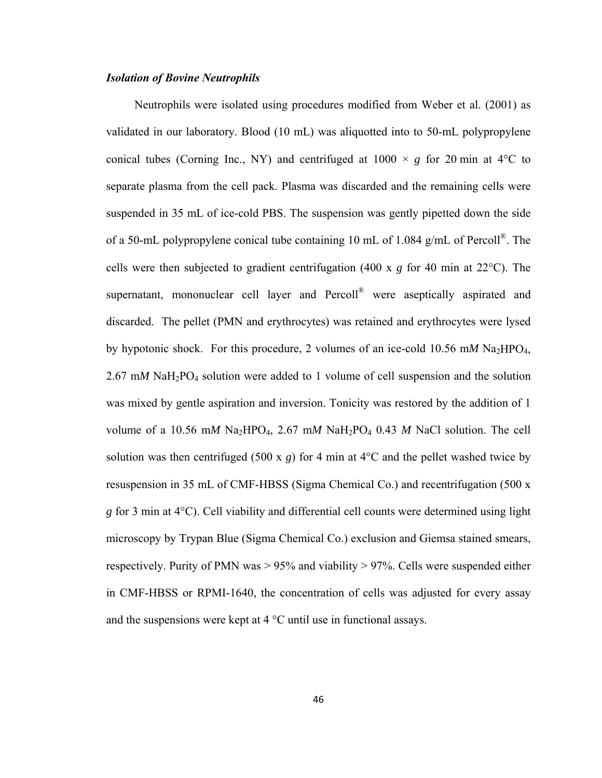#### *Isolation of Bovine Neutrophils*

Neutrophils were isolated using procedures modified from Weber et al. (2001) as validated in our laboratory. Blood (10 mL) was aliquotted into to 50-mL polypropylene conical tubes (Corning Inc., NY) and centrifuged at  $1000 \times g$  for 20 min at 4<sup>o</sup>C to separate plasma from the cell pack. Plasma was discarded and the remaining cells were suspended in 35 mL of ice-cold PBS. The suspension was gently pipetted down the side of a 50-mL polypropylene conical tube containing 10 mL of 1.084 g/mL of Percoll®. The cells were then subjected to gradient centrifugation (400 x *g* for 40 min at 22°C). The supernatant, mononuclear cell layer and Percoll<sup>®</sup> were aseptically aspirated and discarded. The pellet (PMN and erythrocytes) was retained and erythrocytes were lysed by hypotonic shock. For this procedure, 2 volumes of an ice-cold 10.56 mM  $\text{Na}_2\text{HPO}_4$ , 2.67 m*M* NaH2PO4 solution were added to 1 volume of cell suspension and the solution was mixed by gentle aspiration and inversion. Tonicity was restored by the addition of 1 volume of a 10.56 mM Na<sub>2</sub>HPO<sub>4</sub>, 2.67 mM NaH<sub>2</sub>PO<sub>4</sub> 0.43 M NaCl solution. The cell solution was then centrifuged (500 x  $g$ ) for 4 min at 4<sup>o</sup>C and the pellet washed twice by resuspension in 35 mL of CMF-HBSS (Sigma Chemical Co.) and recentrifugation (500 x *g* for 3 min at 4°C). Cell viability and differential cell counts were determined using light microscopy by Trypan Blue (Sigma Chemical Co.) exclusion and Giemsa stained smears, respectively. Purity of PMN was  $> 95\%$  and viability  $> 97\%$ . Cells were suspended either in CMF-HBSS or RPMI-1640, the concentration of cells was adjusted for every assay and the suspensions were kept at 4 °C until use in functional assays.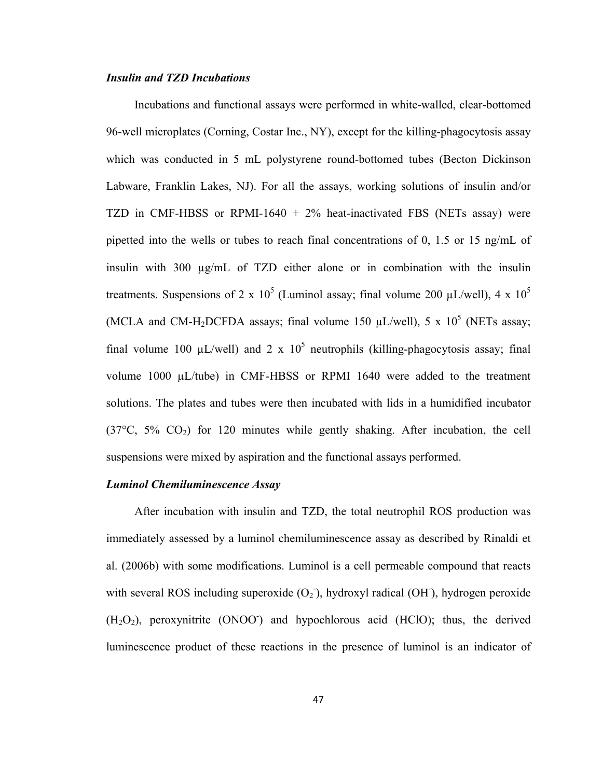#### *Insulin and TZD Incubations*

Incubations and functional assays were performed in white-walled, clear-bottomed 96-well microplates (Corning, Costar Inc., NY), except for the killing-phagocytosis assay which was conducted in 5 mL polystyrene round-bottomed tubes (Becton Dickinson Labware, Franklin Lakes, NJ). For all the assays, working solutions of insulin and/or TZD in CMF-HBSS or RPMI-1640 + 2% heat-inactivated FBS (NETs assay) were pipetted into the wells or tubes to reach final concentrations of 0, 1.5 or 15 ng/mL of insulin with 300 µg/mL of TZD either alone or in combination with the insulin treatments. Suspensions of 2 x  $10^5$  (Luminol assay; final volume 200  $\mu$ L/well), 4 x  $10^5$ (MCLA and CM-H<sub>2</sub>DCFDA assays; final volume 150  $\mu$ L/well), 5 x 10<sup>5</sup> (NETs assay; final volume 100  $\mu$ L/well) and 2 x 10<sup>5</sup> neutrophils (killing-phagocytosis assay; final volume 1000 µL/tube) in CMF-HBSS or RPMI 1640 were added to the treatment solutions. The plates and tubes were then incubated with lids in a humidified incubator  $(37^{\circ}C, 5\%$   $CO<sub>2</sub>)$  for 120 minutes while gently shaking. After incubation, the cell suspensions were mixed by aspiration and the functional assays performed.

#### *Luminol Chemiluminescence Assay*

After incubation with insulin and TZD, the total neutrophil ROS production was immediately assessed by a luminol chemiluminescence assay as described by Rinaldi et al. (2006b) with some modifications. Luminol is a cell permeable compound that reacts with several ROS including superoxide  $(O_2)$ , hydroxyl radical  $(OH)$ , hydrogen peroxide  $(H<sub>2</sub>O<sub>2</sub>)$ , peroxynitrite (ONOO<sup>-</sup>) and hypochlorous acid (HClO); thus, the derived luminescence product of these reactions in the presence of luminol is an indicator of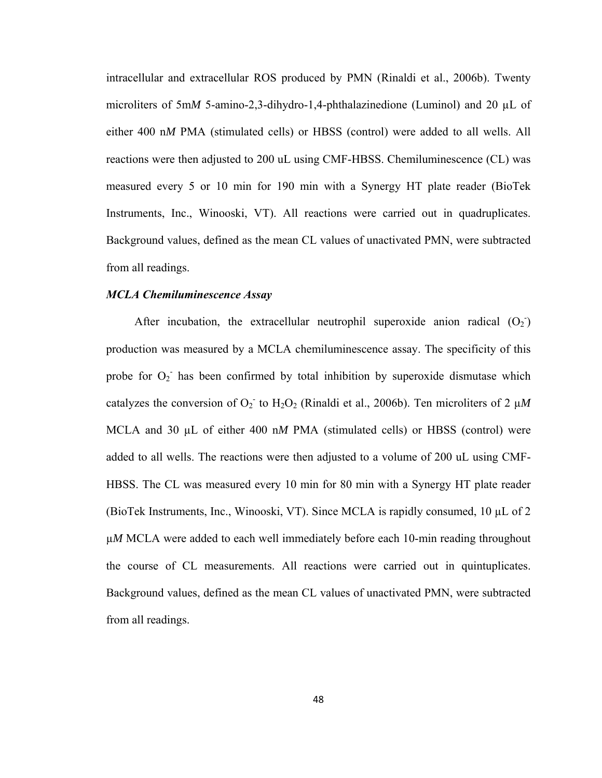intracellular and extracellular ROS produced by PMN (Rinaldi et al., 2006b). Twenty microliters of 5mM 5-amino-2,3-dihydro-1,4-phthalazinedione (Luminol) and 20 µL of either 400 n*M* PMA (stimulated cells) or HBSS (control) were added to all wells. All reactions were then adjusted to 200 uL using CMF-HBSS. Chemiluminescence (CL) was measured every 5 or 10 min for 190 min with a Synergy HT plate reader (BioTek Instruments, Inc., Winooski, VT). All reactions were carried out in quadruplicates. Background values, defined as the mean CL values of unactivated PMN, were subtracted from all readings.

#### *MCLA Chemiluminescence Assay*

After incubation, the extracellular neutrophil superoxide anion radical  $(O_2)$ production was measured by a MCLA chemiluminescence assay. The specificity of this probe for  $O_2$  has been confirmed by total inhibition by superoxide dismutase which catalyzes the conversion of  $O_2$  to  $H_2O_2$  (Rinaldi et al., 2006b). Ten microliters of 2  $\mu$ *M* MCLA and 30 µL of either 400 nM PMA (stimulated cells) or HBSS (control) were added to all wells. The reactions were then adjusted to a volume of 200 uL using CMF-HBSS. The CL was measured every 10 min for 80 min with a Synergy HT plate reader (BioTek Instruments, Inc., Winooski, VT). Since MCLA is rapidly consumed, 10 µL of 2 µ*M* MCLA were added to each well immediately before each 10-min reading throughout the course of CL measurements. All reactions were carried out in quintuplicates. Background values, defined as the mean CL values of unactivated PMN, were subtracted from all readings.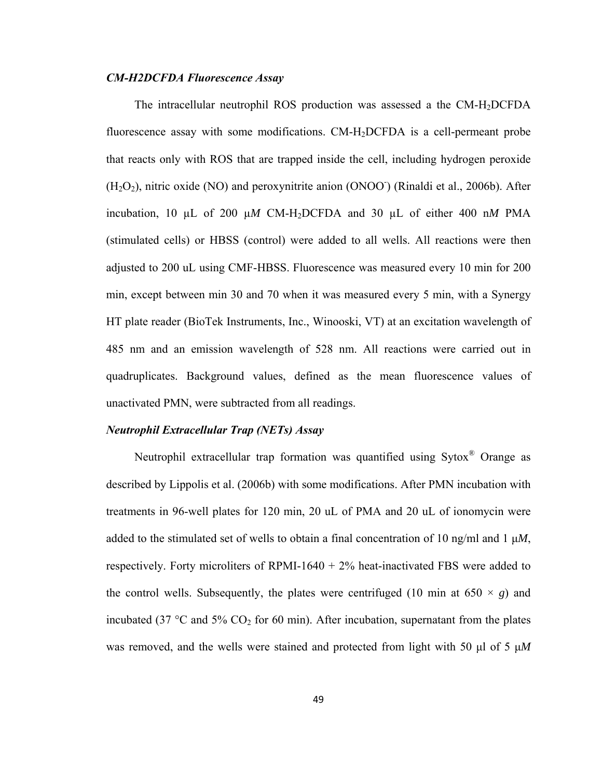## *CM-H2DCFDA Fluorescence Assay*

The intracellular neutrophil ROS production was assessed a the CM-H2DCFDA fluorescence assay with some modifications. CM-H2DCFDA is a cell-permeant probe that reacts only with ROS that are trapped inside the cell, including hydrogen peroxide  $(H<sub>2</sub>O<sub>2</sub>)$ , nitric oxide (NO) and peroxynitrite anion (ONOO<sup>-</sup>) (Rinaldi et al., 2006b). After incubation, 10 µL of 200 µ*M* CM-H2DCFDA and 30 µL of either 400 n*M* PMA (stimulated cells) or HBSS (control) were added to all wells. All reactions were then adjusted to 200 uL using CMF-HBSS. Fluorescence was measured every 10 min for 200 min, except between min 30 and 70 when it was measured every 5 min, with a Synergy HT plate reader (BioTek Instruments, Inc., Winooski, VT) at an excitation wavelength of 485 nm and an emission wavelength of 528 nm. All reactions were carried out in quadruplicates. Background values, defined as the mean fluorescence values of unactivated PMN, were subtracted from all readings.

#### *Neutrophil Extracellular Trap (NETs) Assay*

Neutrophil extracellular trap formation was quantified using Sytox® Orange as described by Lippolis et al. (2006b) with some modifications. After PMN incubation with treatments in 96-well plates for 120 min, 20 uL of PMA and 20 uL of ionomycin were added to the stimulated set of wells to obtain a final concentration of 10 ng/ml and 1 μ*M*, respectively. Forty microliters of RPMI-1640 + 2% heat-inactivated FBS were added to the control wells. Subsequently, the plates were centrifuged (10 min at  $650 \times g$ ) and incubated (37  $\degree$ C and 5% CO<sub>2</sub> for 60 min). After incubation, supernatant from the plates was removed, and the wells were stained and protected from light with 50 μl of 5 μ*M*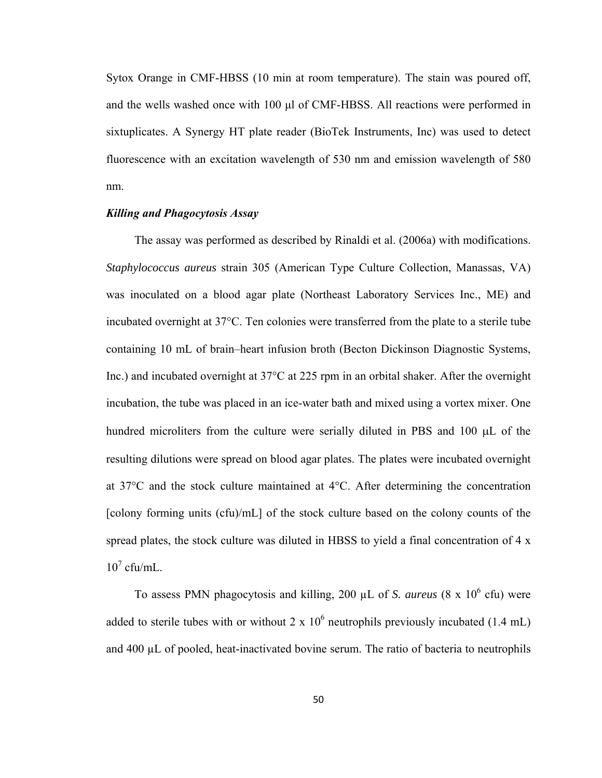Sytox Orange in CMF-HBSS (10 min at room temperature). The stain was poured off, and the wells washed once with 100 μl of CMF-HBSS. All reactions were performed in sixtuplicates. A Synergy HT plate reader (BioTek Instruments, Inc) was used to detect fluorescence with an excitation wavelength of 530 nm and emission wavelength of 580 nm.

## *Killing and Phagocytosis Assay*

The assay was performed as described by Rinaldi et al. (2006a) with modifications. *Staphylococcus aureus* strain 305 (American Type Culture Collection, Manassas, VA) was inoculated on a blood agar plate (Northeast Laboratory Services Inc., ME) and incubated overnight at 37°C. Ten colonies were transferred from the plate to a sterile tube containing 10 mL of brain–heart infusion broth (Becton Dickinson Diagnostic Systems, Inc.) and incubated overnight at 37°C at 225 rpm in an orbital shaker. After the overnight incubation, the tube was placed in an ice-water bath and mixed using a vortex mixer. One hundred microliters from the culture were serially diluted in PBS and 100 μL of the resulting dilutions were spread on blood agar plates. The plates were incubated overnight at 37°C and the stock culture maintained at 4°C. After determining the concentration [colony forming units (cfu)/mL] of the stock culture based on the colony counts of the spread plates, the stock culture was diluted in HBSS to yield a final concentration of 4 x  $10^7$  cfu/mL.

To assess PMN phagocytosis and killing, 200  $\mu$ L of *S. aureus* (8 x 10<sup>6</sup> cfu) were added to sterile tubes with or without 2 x  $10^6$  neutrophils previously incubated (1.4 mL) and 400 µL of pooled, heat-inactivated bovine serum. The ratio of bacteria to neutrophils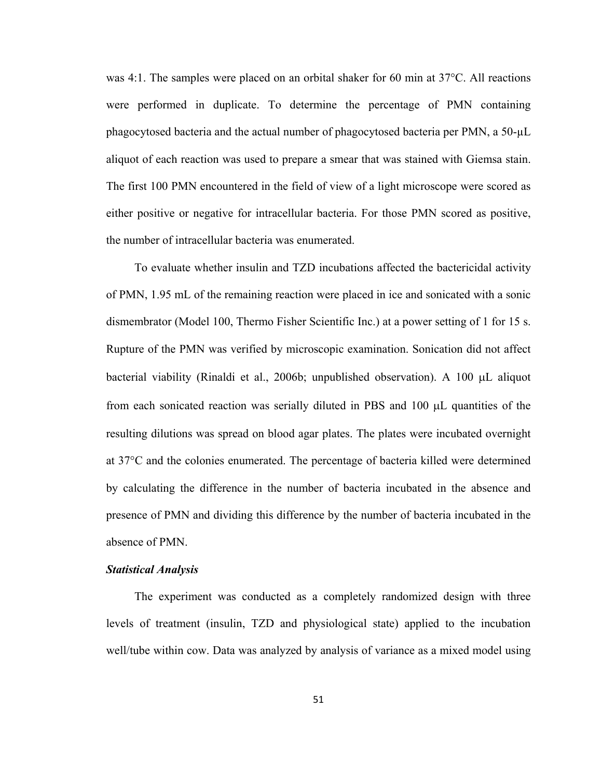was 4:1. The samples were placed on an orbital shaker for 60 min at 37°C. All reactions were performed in duplicate. To determine the percentage of PMN containing phagocytosed bacteria and the actual number of phagocytosed bacteria per PMN, a 50-µL aliquot of each reaction was used to prepare a smear that was stained with Giemsa stain. The first 100 PMN encountered in the field of view of a light microscope were scored as either positive or negative for intracellular bacteria. For those PMN scored as positive, the number of intracellular bacteria was enumerated.

To evaluate whether insulin and TZD incubations affected the bactericidal activity of PMN, 1.95 mL of the remaining reaction were placed in ice and sonicated with a sonic dismembrator (Model 100, Thermo Fisher Scientific Inc.) at a power setting of 1 for 15 s. Rupture of the PMN was verified by microscopic examination. Sonication did not affect bacterial viability (Rinaldi et al., 2006b; unpublished observation). A 100 μL aliquot from each sonicated reaction was serially diluted in PBS and 100 μL quantities of the resulting dilutions was spread on blood agar plates. The plates were incubated overnight at 37°C and the colonies enumerated. The percentage of bacteria killed were determined by calculating the difference in the number of bacteria incubated in the absence and presence of PMN and dividing this difference by the number of bacteria incubated in the absence of PMN.

## *Statistical Analysis*

The experiment was conducted as a completely randomized design with three levels of treatment (insulin, TZD and physiological state) applied to the incubation well/tube within cow. Data was analyzed by analysis of variance as a mixed model using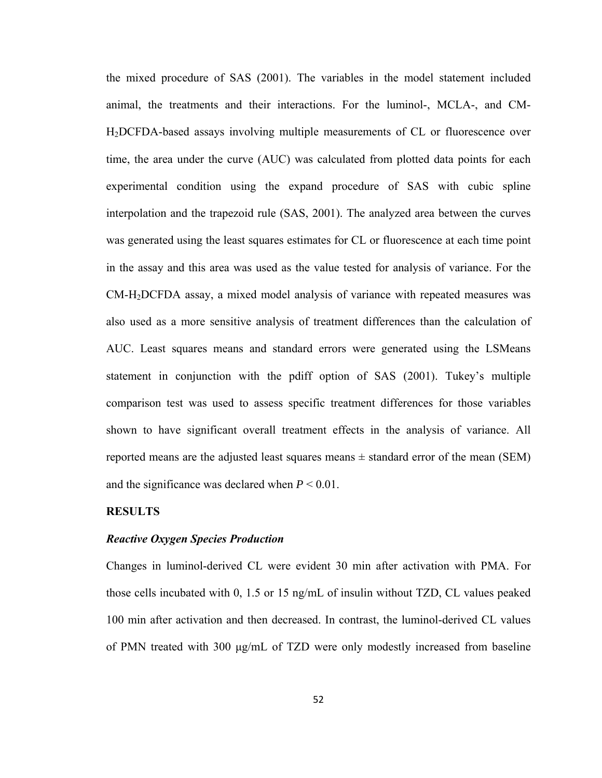the mixed procedure of SAS (2001). The variables in the model statement included animal, the treatments and their interactions. For the luminol-, MCLA-, and CM-H2DCFDA-based assays involving multiple measurements of CL or fluorescence over time, the area under the curve (AUC) was calculated from plotted data points for each experimental condition using the expand procedure of SAS with cubic spline interpolation and the trapezoid rule (SAS, 2001). The analyzed area between the curves was generated using the least squares estimates for CL or fluorescence at each time point in the assay and this area was used as the value tested for analysis of variance. For the CM-H2DCFDA assay, a mixed model analysis of variance with repeated measures was also used as a more sensitive analysis of treatment differences than the calculation of AUC. Least squares means and standard errors were generated using the LSMeans statement in conjunction with the pdiff option of SAS (2001). Tukey's multiple comparison test was used to assess specific treatment differences for those variables shown to have significant overall treatment effects in the analysis of variance. All reported means are the adjusted least squares means  $\pm$  standard error of the mean (SEM) and the significance was declared when  $P < 0.01$ .

#### **RESULTS**

#### *Reactive Oxygen Species Production*

Changes in luminol-derived CL were evident 30 min after activation with PMA. For those cells incubated with 0, 1.5 or 15 ng/mL of insulin without TZD, CL values peaked 100 min after activation and then decreased. In contrast, the luminol-derived CL values of PMN treated with 300 μg/mL of TZD were only modestly increased from baseline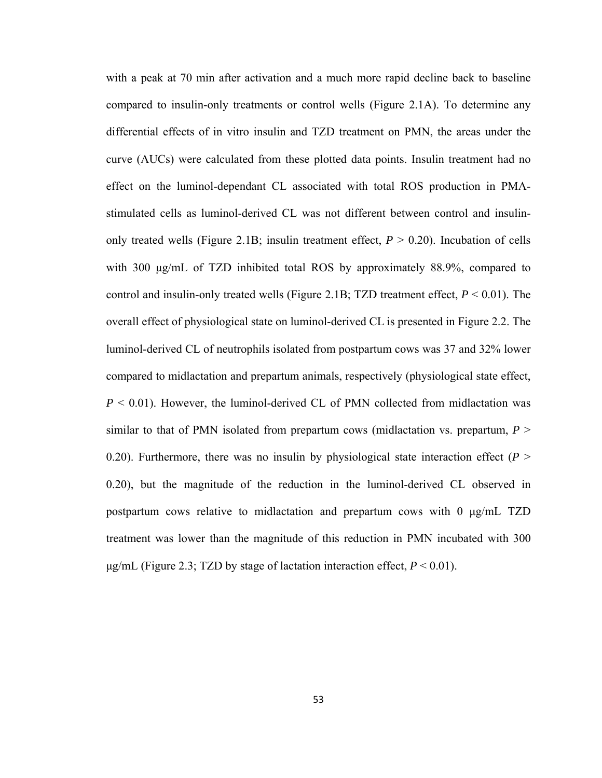with a peak at 70 min after activation and a much more rapid decline back to baseline compared to insulin-only treatments or control wells (Figure 2.1A). To determine any differential effects of in vitro insulin and TZD treatment on PMN, the areas under the curve (AUCs) were calculated from these plotted data points. Insulin treatment had no effect on the luminol-dependant CL associated with total ROS production in PMAstimulated cells as luminol-derived CL was not different between control and insulinonly treated wells (Figure 2.1B; insulin treatment effect,  $P > 0.20$ ). Incubation of cells with 300 μg/mL of TZD inhibited total ROS by approximately 88.9%, compared to control and insulin-only treated wells (Figure 2.1B; TZD treatment effect,  $P < 0.01$ ). The overall effect of physiological state on luminol-derived CL is presented in Figure 2.2. The luminol-derived CL of neutrophils isolated from postpartum cows was 37 and 32% lower compared to midlactation and prepartum animals, respectively (physiological state effect,  $P \leq 0.01$ ). However, the luminol-derived CL of PMN collected from midlactation was similar to that of PMN isolated from prepartum cows (midlactation vs. prepartum, *P* > 0.20). Furthermore, there was no insulin by physiological state interaction effect  $(P > 0.20)$ 0.20), but the magnitude of the reduction in the luminol-derived CL observed in postpartum cows relative to midlactation and prepartum cows with 0 μg/mL TZD treatment was lower than the magnitude of this reduction in PMN incubated with 300  $\mu$ g/mL (Figure 2.3; TZD by stage of lactation interaction effect,  $P < 0.01$ ).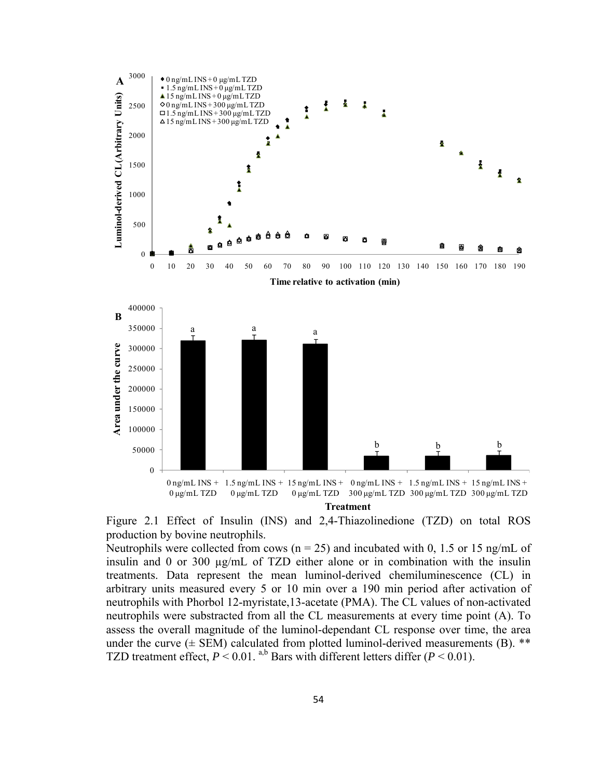

Figure 2.1 Effect of Insulin (INS) and 2,4-Thiazolinedione (TZD) on total ROS production by bovine neutrophils.

Neutrophils were collected from cows ( $n = 25$ ) and incubated with 0, 1.5 or 15 ng/mL of insulin and 0 or 300 µg/mL of TZD either alone or in combination with the insulin treatments. Data represent the mean luminol-derived chemiluminescence (CL) in arbitrary units measured every 5 or 10 min over a 190 min period after activation of neutrophils with Phorbol 12-myristate,13-acetate (PMA). The CL values of non-activated neutrophils were substracted from all the CL measurements at every time point (A). To assess the overall magnitude of the luminol-dependant CL response over time, the area under the curve  $(\pm$  SEM) calculated from plotted luminol-derived measurements (B). \*\* TZD treatment effect,  $P \le 0.01$ . <sup>a,b</sup> Bars with different letters differ ( $P \le 0.01$ ).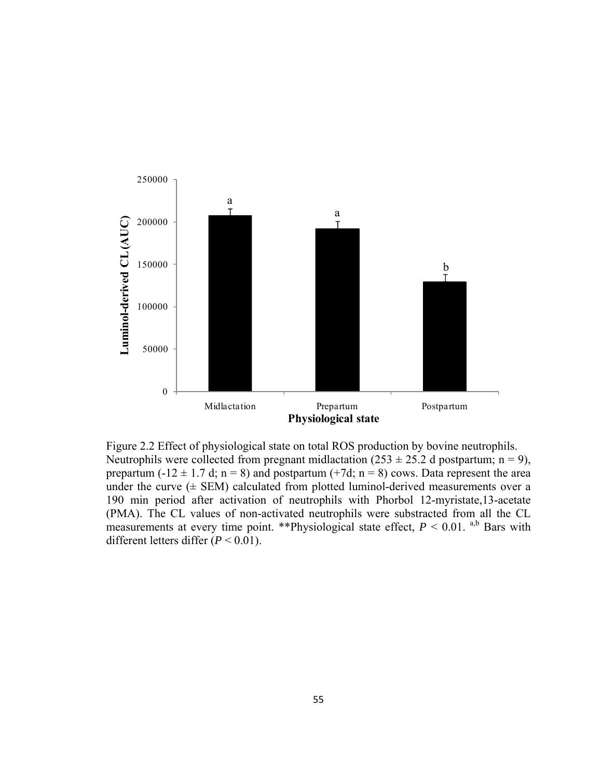

Figure 2.2 Effect of physiological state on total ROS production by bovine neutrophils. Neutrophils were collected from pregnant midlactation  $(253 \pm 25.2$  d postpartum; n = 9), prepartum (-12  $\pm$  1.7 d; n = 8) and postpartum (+7d; n = 8) cows. Data represent the area under the curve  $(\pm$  SEM) calculated from plotted luminol-derived measurements over a 190 min period after activation of neutrophils with Phorbol 12-myristate,13-acetate (PMA). The CL values of non-activated neutrophils were substracted from all the CL measurements at every time point. \*\*Physiological state effect,  $P < 0.01$ . <sup>a,b</sup> Bars with different letters differ (*P* < 0.01).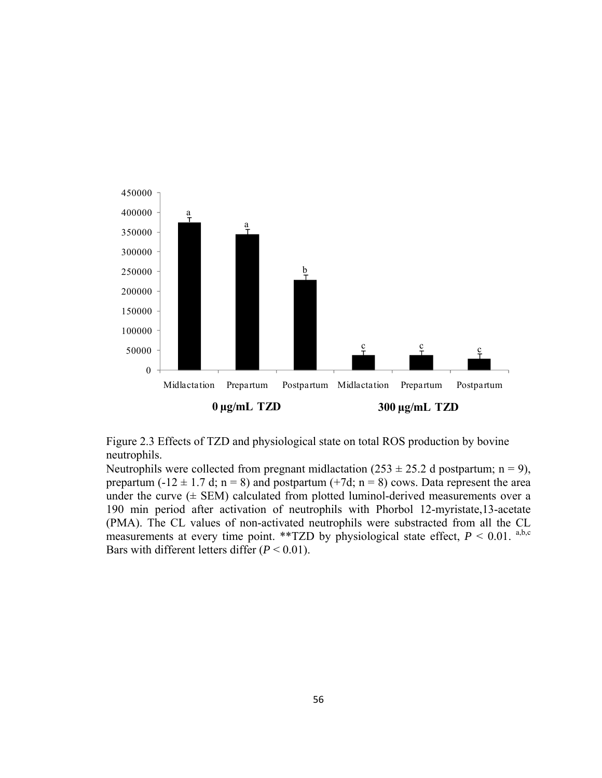

Figure 2.3 Effects of TZD and physiological state on total ROS production by bovine neutrophils.

Neutrophils were collected from pregnant midlactation  $(253 \pm 25.2$  d postpartum; n = 9), prepartum (-12  $\pm$  1.7 d; n = 8) and postpartum (+7d; n = 8) cows. Data represent the area under the curve  $(±$  SEM) calculated from plotted luminol-derived measurements over a 190 min period after activation of neutrophils with Phorbol 12-myristate,13-acetate (PMA). The CL values of non-activated neutrophils were substracted from all the CL measurements at every time point. \*\*TZD by physiological state effect,  $P < 0.01$ . a,b,c Bars with different letters differ (*P* < 0.01).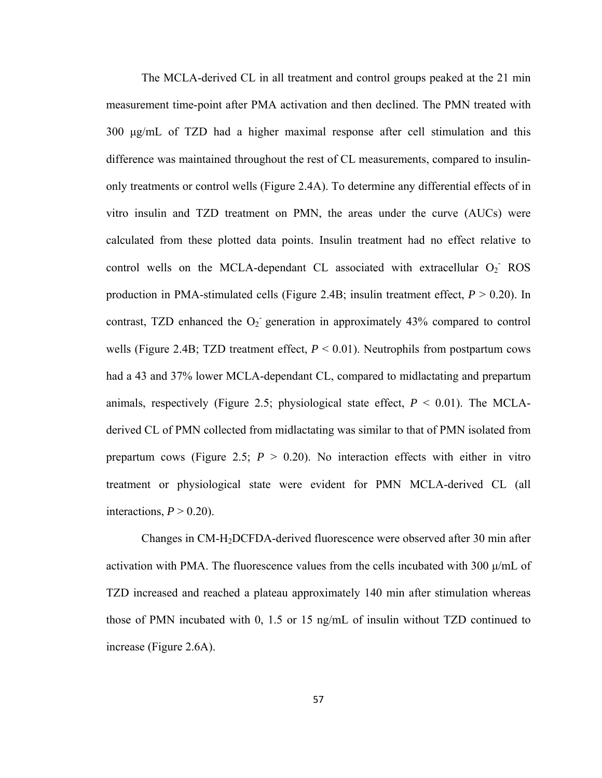The MCLA-derived CL in all treatment and control groups peaked at the 21 min measurement time-point after PMA activation and then declined. The PMN treated with 300 μg/mL of TZD had a higher maximal response after cell stimulation and this difference was maintained throughout the rest of CL measurements, compared to insulinonly treatments or control wells (Figure 2.4A). To determine any differential effects of in vitro insulin and TZD treatment on PMN, the areas under the curve (AUCs) were calculated from these plotted data points. Insulin treatment had no effect relative to control wells on the MCLA-dependant CL associated with extracellular  $O_2$ <sup>-</sup> ROS production in PMA-stimulated cells (Figure 2.4B; insulin treatment effect, *P* > 0.20). In contrast, TZD enhanced the  $O_2$  generation in approximately 43% compared to control wells (Figure 2.4B; TZD treatment effect,  $P < 0.01$ ). Neutrophils from postpartum cows had a 43 and 37% lower MCLA-dependant CL, compared to midlactating and prepartum animals, respectively (Figure 2.5; physiological state effect,  $P < 0.01$ ). The MCLAderived CL of PMN collected from midlactating was similar to that of PMN isolated from prepartum cows (Figure 2.5;  $P > 0.20$ ). No interaction effects with either in vitro treatment or physiological state were evident for PMN MCLA-derived CL (all interactions,  $P > 0.20$ ).

Changes in CM-H2DCFDA-derived fluorescence were observed after 30 min after activation with PMA. The fluorescence values from the cells incubated with 300  $\mu$ /mL of TZD increased and reached a plateau approximately 140 min after stimulation whereas those of PMN incubated with 0, 1.5 or 15 ng/mL of insulin without TZD continued to increase (Figure 2.6A).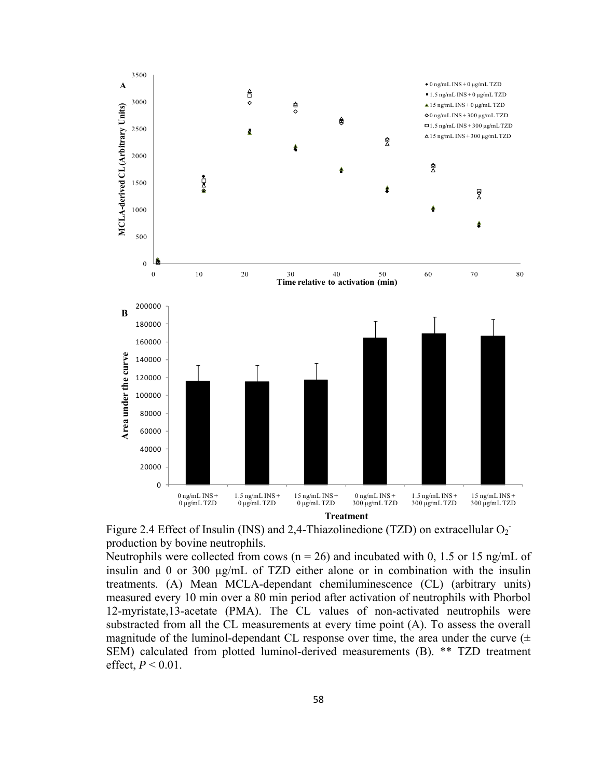

Figure 2.4 Effect of Insulin (INS) and 2,4-Thiazolinedione (TZD) on extracellular  $O_2$ <sup>-</sup> production by bovine neutrophils.

Neutrophils were collected from cows ( $n = 26$ ) and incubated with 0, 1.5 or 15 ng/mL of insulin and 0 or 300 µg/mL of TZD either alone or in combination with the insulin treatments. (A) Mean MCLA-dependant chemiluminescence (CL) (arbitrary units) measured every 10 min over a 80 min period after activation of neutrophils with Phorbol 12-myristate,13-acetate (PMA). The CL values of non-activated neutrophils were substracted from all the CL measurements at every time point (A). To assess the overall magnitude of the luminol-dependant CL response over time, the area under the curve  $(±$ SEM) calculated from plotted luminol-derived measurements (B). \*\* TZD treatment effect,  $P < 0.01$ .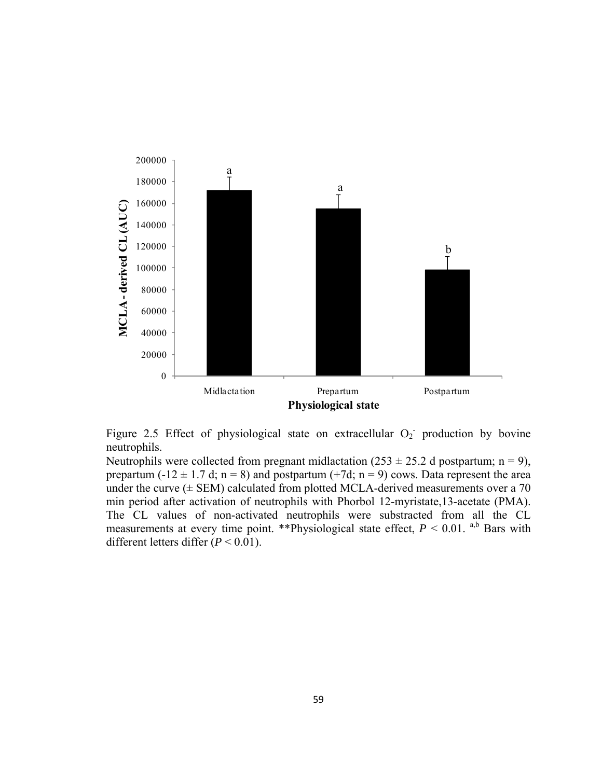

Figure 2.5 Effect of physiological state on extracellular  $O_2$  production by bovine neutrophils.

Neutrophils were collected from pregnant midlactation  $(253 \pm 25.2$  d postpartum; n = 9), prepartum (-12  $\pm$  1.7 d; n = 8) and postpartum (+7d; n = 9) cows. Data represent the area under the curve  $(\pm$  SEM) calculated from plotted MCLA-derived measurements over a 70 min period after activation of neutrophils with Phorbol 12-myristate,13-acetate (PMA). The CL values of non-activated neutrophils were substracted from all the CL measurements at every time point. \*\*Physiological state effect,  $P < 0.01$ . <sup>a,b</sup> Bars with different letters differ (*P* < 0.01).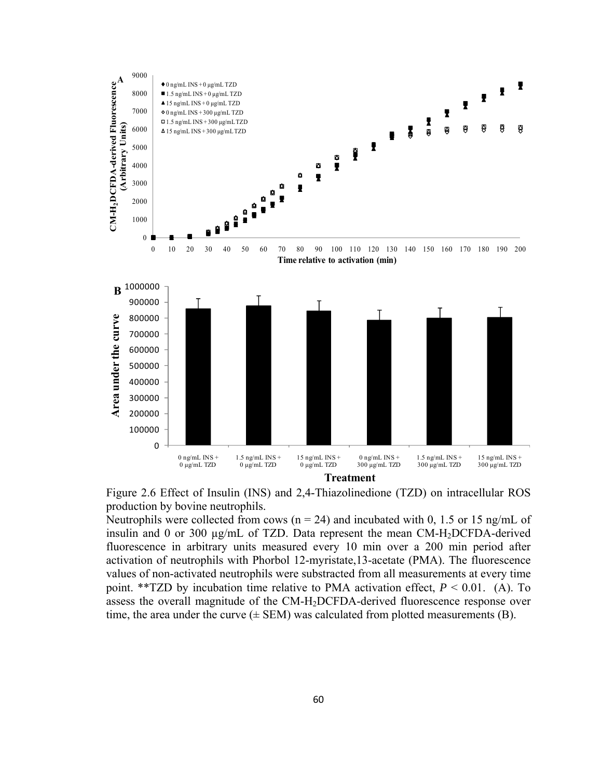



Neutrophils were collected from cows ( $n = 24$ ) and incubated with 0, 1.5 or 15 ng/mL of insulin and 0 or 300 µg/mL of TZD. Data represent the mean CM-H2DCFDA-derived fluorescence in arbitrary units measured every 10 min over a 200 min period after activation of neutrophils with Phorbol 12-myristate,13-acetate (PMA). The fluorescence values of non-activated neutrophils were substracted from all measurements at every time point. \*\*TZD by incubation time relative to PMA activation effect,  $P < 0.01$ . (A). To assess the overall magnitude of the CM-H2DCFDA-derived fluorescence response over time, the area under the curve  $(\pm$  SEM) was calculated from plotted measurements (B).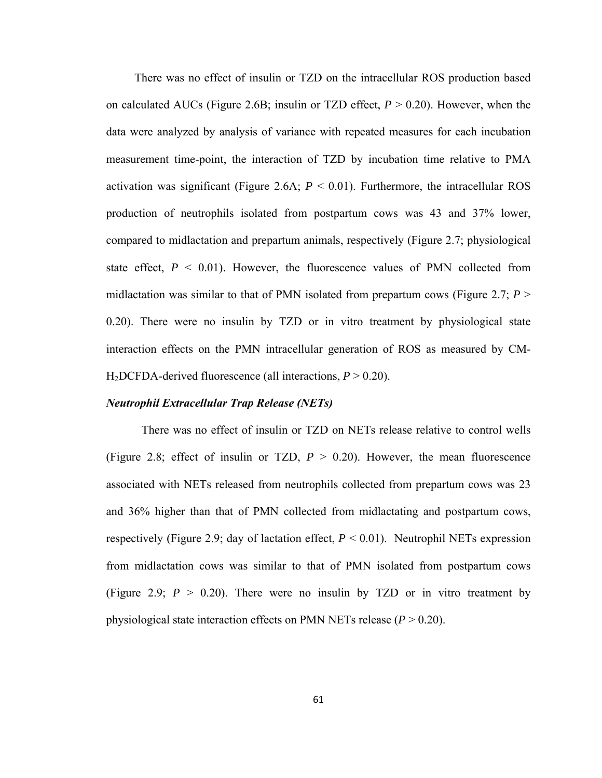There was no effect of insulin or TZD on the intracellular ROS production based on calculated AUCs (Figure 2.6B; insulin or TZD effect,  $P > 0.20$ ). However, when the data were analyzed by analysis of variance with repeated measures for each incubation measurement time-point, the interaction of TZD by incubation time relative to PMA activation was significant (Figure 2.6A;  $P < 0.01$ ). Furthermore, the intracellular ROS production of neutrophils isolated from postpartum cows was 43 and 37% lower, compared to midlactation and prepartum animals, respectively (Figure 2.7; physiological state effect,  $P \leq 0.01$ ). However, the fluorescence values of PMN collected from midlactation was similar to that of PMN isolated from prepartum cows (Figure 2.7;  $P >$ 0.20). There were no insulin by TZD or in vitro treatment by physiological state interaction effects on the PMN intracellular generation of ROS as measured by CM-H2DCFDA-derived fluorescence (all interactions, *P* > 0.20).

#### *Neutrophil Extracellular Trap Release (NETs)*

There was no effect of insulin or TZD on NETs release relative to control wells (Figure 2.8; effect of insulin or TZD,  $P > 0.20$ ). However, the mean fluorescence associated with NETs released from neutrophils collected from prepartum cows was 23 and 36% higher than that of PMN collected from midlactating and postpartum cows, respectively (Figure 2.9; day of lactation effect,  $P < 0.01$ ). Neutrophil NETs expression from midlactation cows was similar to that of PMN isolated from postpartum cows (Figure 2.9;  $P > 0.20$ ). There were no insulin by TZD or in vitro treatment by physiological state interaction effects on PMN NETs release  $(P > 0.20)$ .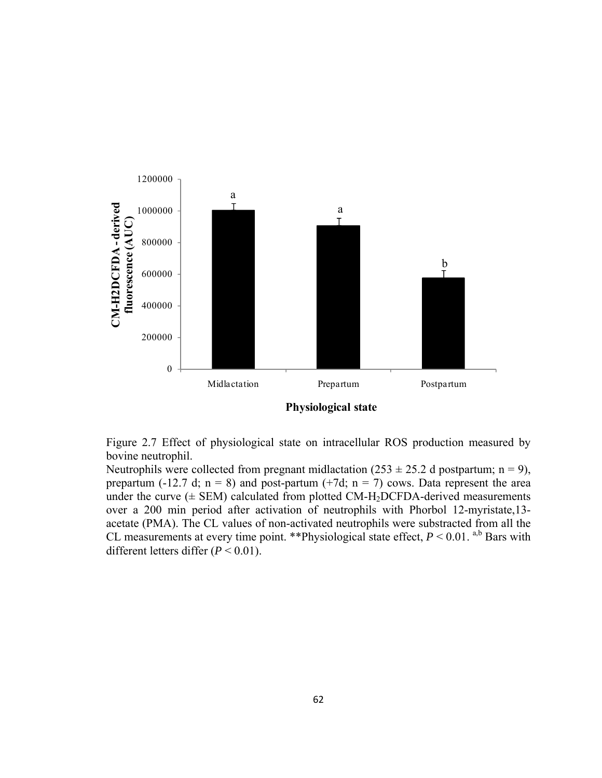

**Physiological state**

Figure 2.7 Effect of physiological state on intracellular ROS production measured by bovine neutrophil.

Neutrophils were collected from pregnant midlactation  $(253 \pm 25.2$  d postpartum; n = 9), prepartum (-12.7 d;  $n = 8$ ) and post-partum (+7d;  $n = 7$ ) cows. Data represent the area under the curve  $(\pm$  SEM) calculated from plotted CM-H<sub>2</sub>DCFDA-derived measurements over a 200 min period after activation of neutrophils with Phorbol 12-myristate,13 acetate (PMA). The CL values of non-activated neutrophils were substracted from all the CL measurements at every time point. \*\*Physiological state effect,  $P < 0.01$ . <sup>a,b</sup> Bars with different letters differ (*P* < 0.01).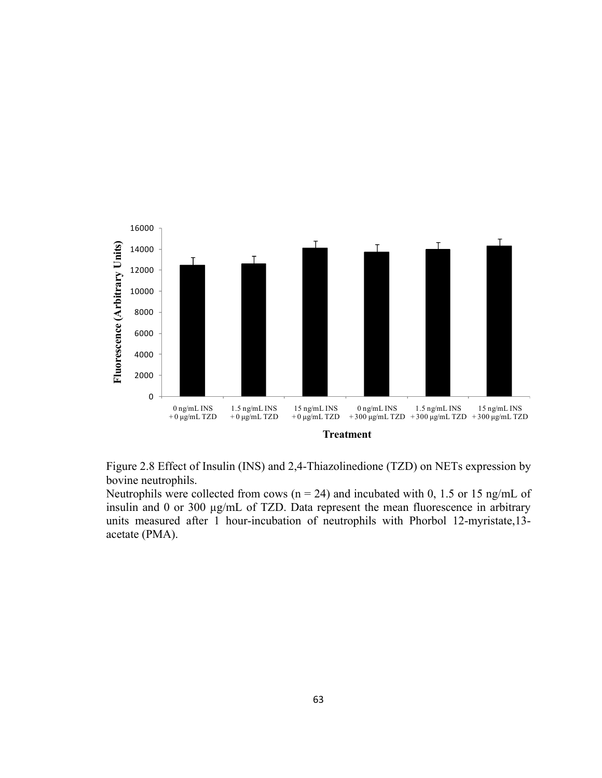



Neutrophils were collected from cows ( $n = 24$ ) and incubated with 0, 1.5 or 15 ng/mL of insulin and 0 or 300 µg/mL of TZD. Data represent the mean fluorescence in arbitrary units measured after 1 hour-incubation of neutrophils with Phorbol 12-myristate,13 acetate (PMA).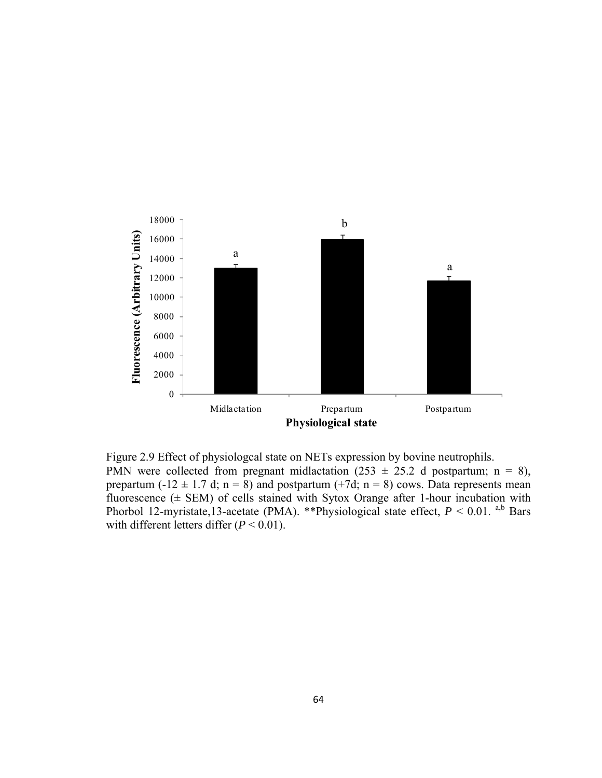

Figure 2.9 Effect of physiologcal state on NETs expression by bovine neutrophils. PMN were collected from pregnant midlactation (253  $\pm$  25.2 d postpartum; n = 8), prepartum (-12  $\pm$  1.7 d; n = 8) and postpartum (+7d; n = 8) cows. Data represents mean fluorescence  $(±$  SEM) of cells stained with Sytox Orange after 1-hour incubation with Phorbol 12-myristate,13-acetate (PMA). \*\*Physiological state effect,  $P < 0.01$ . a,b Bars with different letters differ  $(P < 0.01)$ .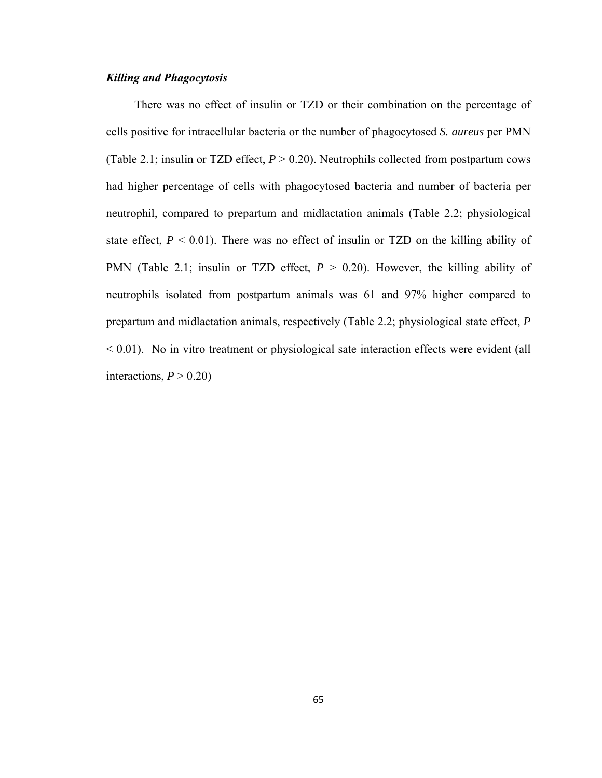## *Killing and Phagocytosis*

There was no effect of insulin or TZD or their combination on the percentage of cells positive for intracellular bacteria or the number of phagocytosed *S. aureus* per PMN (Table 2.1; insulin or TZD effect,  $P > 0.20$ ). Neutrophils collected from postpartum cows had higher percentage of cells with phagocytosed bacteria and number of bacteria per neutrophil, compared to prepartum and midlactation animals (Table 2.2; physiological state effect,  $P \leq 0.01$ ). There was no effect of insulin or TZD on the killing ability of PMN (Table 2.1; insulin or TZD effect,  $P > 0.20$ ). However, the killing ability of neutrophils isolated from postpartum animals was 61 and 97% higher compared to prepartum and midlactation animals, respectively (Table 2.2; physiological state effect, *P*  $< 0.01$ ). No in vitro treatment or physiological sate interaction effects were evident (all interactions,  $P > 0.20$ )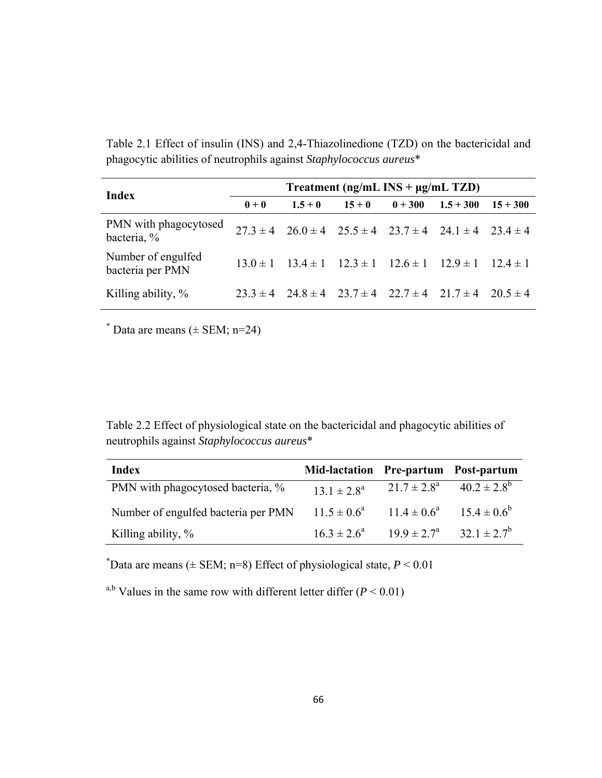Table 2.1 Effect of insulin (INS) and 2,4-Thiazolinedione (TZD) on the bactericidal and phagocytic abilities of neutrophils against *Staphylococcus aureus*\*

| Index                                  | Treatment ( $ng/mL$ INS + $\mu g/mL$ TZD) |           |          |           |                                                                               |            |
|----------------------------------------|-------------------------------------------|-----------|----------|-----------|-------------------------------------------------------------------------------|------------|
|                                        | $0 + 0$                                   | $1.5 + 0$ | $15 + 0$ | $0 + 300$ | $1.5 + 300$                                                                   | $15 + 300$ |
| PMN with phagocytosed<br>bacteria, %   |                                           |           |          |           | $27.3 \pm 4$ $26.0 \pm 4$ $25.5 \pm 4$ $23.7 \pm 4$ $24.1 \pm 4$ $23.4 \pm 4$ |            |
| Number of engulfed<br>bacteria per PMN |                                           |           |          |           | $13.0 \pm 1$ $13.4 \pm 1$ $12.3 \pm 1$ $12.6 \pm 1$ $12.9 \pm 1$ $12.4 \pm 1$ |            |
| Killing ability, %                     |                                           |           |          |           | $23.3 \pm 4$ $24.8 \pm 4$ $23.7 \pm 4$ $22.7 \pm 4$ $21.7 \pm 4$ $20.5 \pm 4$ |            |

 $*$  Data are means ( $\pm$  SEM; n=24)

Table 2.2 Effect of physiological state on the bactericidal and phagocytic abilities of neutrophils against *Staphylococcus aureus*\*

| Index                               | Mid-lactation Pre-partum Post-partum |                        |                                   |
|-------------------------------------|--------------------------------------|------------------------|-----------------------------------|
| PMN with phagocytosed bacteria, %   | $13.1 \pm 2.8^a$                     | $21.7 \pm 2.8^{\circ}$ | $40.2 \pm 2.8^b$                  |
| Number of engulfed bacteria per PMN | $11.5 \pm 0.6^a$                     |                        | $11.4 \pm 0.6^a$ $15.4 \pm 0.6^b$ |
| Killing ability, $\%$               | $16.3 \pm 2.6^a$                     | $19.9 \pm 2.7^{\circ}$ | $32.1 \pm 2.7^b$                  |

 $*$ Data are means ( $\pm$  SEM; n=8) Effect of physiological state,  $P < 0.01$ 

<sup>a,b</sup> Values in the same row with different letter differ  $(P < 0.01)$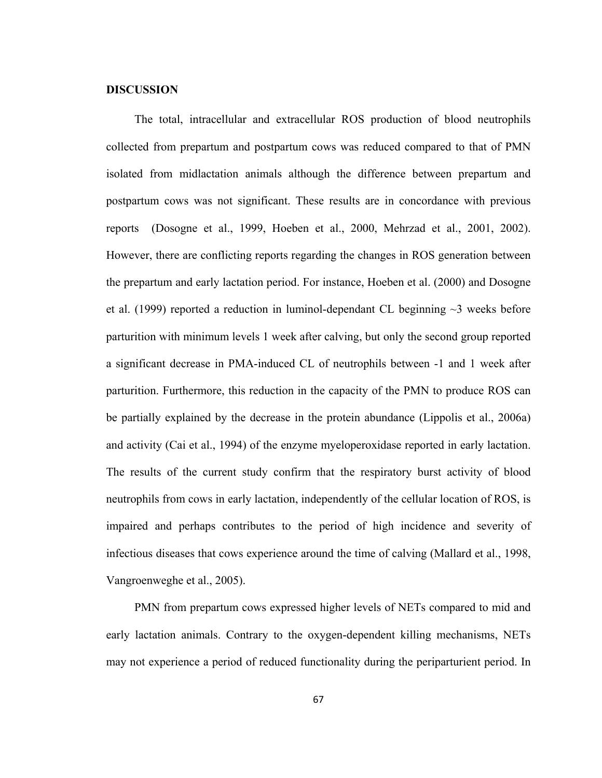## **DISCUSSION**

The total, intracellular and extracellular ROS production of blood neutrophils collected from prepartum and postpartum cows was reduced compared to that of PMN isolated from midlactation animals although the difference between prepartum and postpartum cows was not significant. These results are in concordance with previous reports (Dosogne et al., 1999, Hoeben et al., 2000, Mehrzad et al., 2001, 2002). However, there are conflicting reports regarding the changes in ROS generation between the prepartum and early lactation period. For instance, Hoeben et al. (2000) and Dosogne et al. (1999) reported a reduction in luminol-dependant CL beginning  $\sim$ 3 weeks before parturition with minimum levels 1 week after calving, but only the second group reported a significant decrease in PMA-induced CL of neutrophils between -1 and 1 week after parturition. Furthermore, this reduction in the capacity of the PMN to produce ROS can be partially explained by the decrease in the protein abundance (Lippolis et al., 2006a) and activity (Cai et al., 1994) of the enzyme myeloperoxidase reported in early lactation. The results of the current study confirm that the respiratory burst activity of blood neutrophils from cows in early lactation, independently of the cellular location of ROS, is impaired and perhaps contributes to the period of high incidence and severity of infectious diseases that cows experience around the time of calving (Mallard et al., 1998, Vangroenweghe et al., 2005).

PMN from prepartum cows expressed higher levels of NETs compared to mid and early lactation animals. Contrary to the oxygen-dependent killing mechanisms, NETs may not experience a period of reduced functionality during the periparturient period. In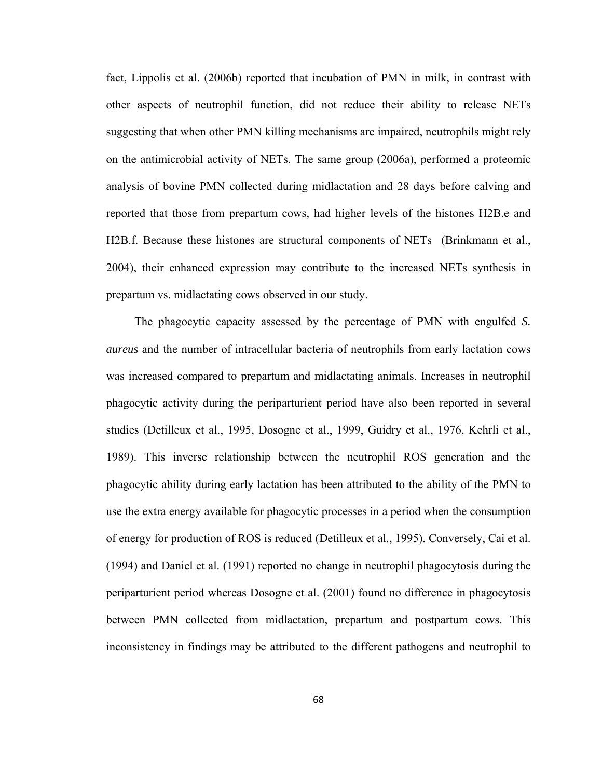fact, Lippolis et al. (2006b) reported that incubation of PMN in milk, in contrast with other aspects of neutrophil function, did not reduce their ability to release NETs suggesting that when other PMN killing mechanisms are impaired, neutrophils might rely on the antimicrobial activity of NETs. The same group (2006a), performed a proteomic analysis of bovine PMN collected during midlactation and 28 days before calving and reported that those from prepartum cows, had higher levels of the histones H2B.e and H2B.f. Because these histones are structural components of NETs (Brinkmann et al., 2004), their enhanced expression may contribute to the increased NETs synthesis in prepartum vs. midlactating cows observed in our study.

The phagocytic capacity assessed by the percentage of PMN with engulfed *S. aureus* and the number of intracellular bacteria of neutrophils from early lactation cows was increased compared to prepartum and midlactating animals. Increases in neutrophil phagocytic activity during the periparturient period have also been reported in several studies (Detilleux et al., 1995, Dosogne et al., 1999, Guidry et al., 1976, Kehrli et al., 1989). This inverse relationship between the neutrophil ROS generation and the phagocytic ability during early lactation has been attributed to the ability of the PMN to use the extra energy available for phagocytic processes in a period when the consumption of energy for production of ROS is reduced (Detilleux et al., 1995). Conversely, Cai et al. (1994) and Daniel et al. (1991) reported no change in neutrophil phagocytosis during the periparturient period whereas Dosogne et al. (2001) found no difference in phagocytosis between PMN collected from midlactation, prepartum and postpartum cows. This inconsistency in findings may be attributed to the different pathogens and neutrophil to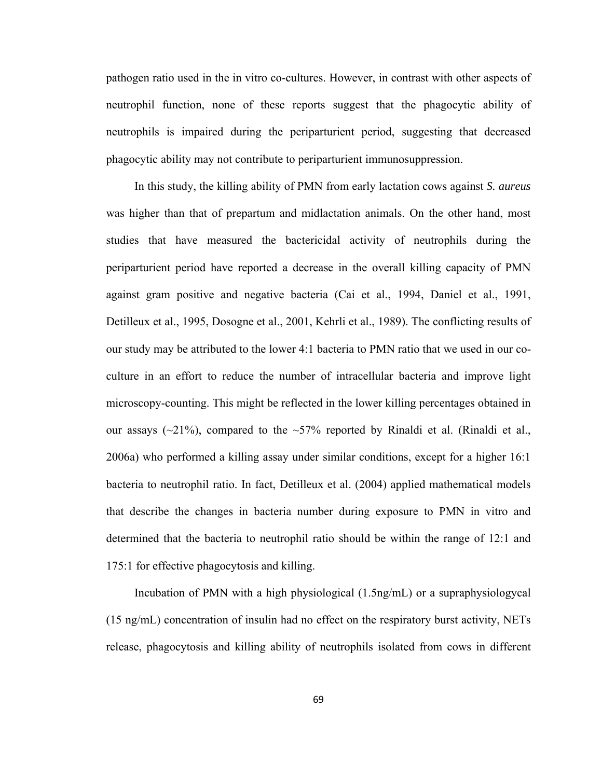pathogen ratio used in the in vitro co-cultures. However, in contrast with other aspects of neutrophil function, none of these reports suggest that the phagocytic ability of neutrophils is impaired during the periparturient period, suggesting that decreased phagocytic ability may not contribute to periparturient immunosuppression.

In this study, the killing ability of PMN from early lactation cows against *S. aureus* was higher than that of prepartum and midlactation animals. On the other hand, most studies that have measured the bactericidal activity of neutrophils during the periparturient period have reported a decrease in the overall killing capacity of PMN against gram positive and negative bacteria (Cai et al., 1994, Daniel et al., 1991, Detilleux et al., 1995, Dosogne et al., 2001, Kehrli et al., 1989). The conflicting results of our study may be attributed to the lower 4:1 bacteria to PMN ratio that we used in our coculture in an effort to reduce the number of intracellular bacteria and improve light microscopy-counting. This might be reflected in the lower killing percentages obtained in our assays ( $\sim$ 21%), compared to the  $\sim$ 57% reported by Rinaldi et al. (Rinaldi et al., 2006a) who performed a killing assay under similar conditions, except for a higher 16:1 bacteria to neutrophil ratio. In fact, Detilleux et al. (2004) applied mathematical models that describe the changes in bacteria number during exposure to PMN in vitro and determined that the bacteria to neutrophil ratio should be within the range of 12:1 and 175:1 for effective phagocytosis and killing.

Incubation of PMN with a high physiological (1.5ng/mL) or a supraphysiologycal (15 ng/mL) concentration of insulin had no effect on the respiratory burst activity, NETs release, phagocytosis and killing ability of neutrophils isolated from cows in different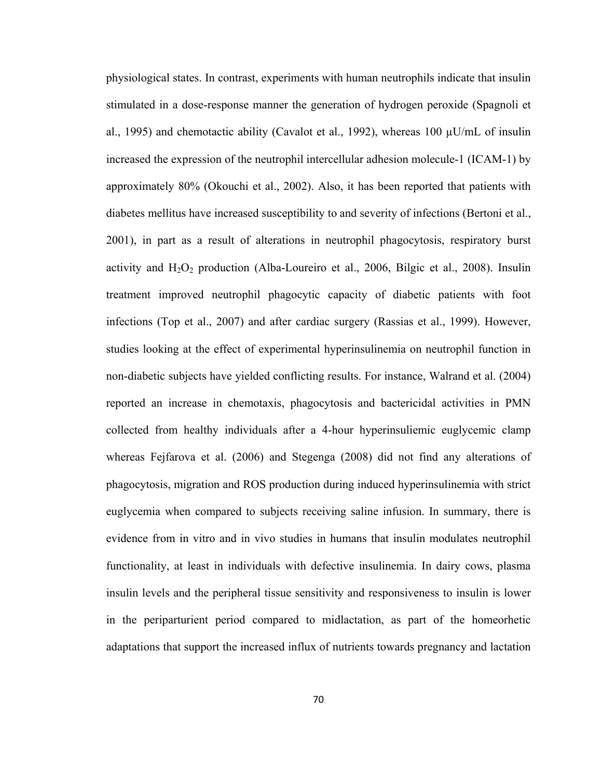physiological states. In contrast, experiments with human neutrophils indicate that insulin stimulated in a dose-response manner the generation of hydrogen peroxide (Spagnoli et al., 1995) and chemotactic ability (Cavalot et al., 1992), whereas 100 µU/mL of insulin increased the expression of the neutrophil intercellular adhesion molecule-1 (ICAM-1) by approximately 80% (Okouchi et al., 2002). Also, it has been reported that patients with diabetes mellitus have increased susceptibility to and severity of infections (Bertoni et al., 2001), in part as a result of alterations in neutrophil phagocytosis, respiratory burst activity and  $H_2O_2$  production (Alba-Loureiro et al., 2006, Bilgic et al., 2008). Insulin treatment improved neutrophil phagocytic capacity of diabetic patients with foot infections (Top et al., 2007) and after cardiac surgery (Rassias et al., 1999). However, studies looking at the effect of experimental hyperinsulinemia on neutrophil function in non-diabetic subjects have yielded conflicting results. For instance, Walrand et al. (2004) reported an increase in chemotaxis, phagocytosis and bactericidal activities in PMN collected from healthy individuals after a 4-hour hyperinsuliemic euglycemic clamp whereas Fejfarova et al. (2006) and Stegenga (2008) did not find any alterations of phagocytosis, migration and ROS production during induced hyperinsulinemia with strict euglycemia when compared to subjects receiving saline infusion. In summary, there is evidence from in vitro and in vivo studies in humans that insulin modulates neutrophil functionality, at least in individuals with defective insulinemia. In dairy cows, plasma insulin levels and the peripheral tissue sensitivity and responsiveness to insulin is lower in the periparturient period compared to midlactation, as part of the homeorhetic adaptations that support the increased influx of nutrients towards pregnancy and lactation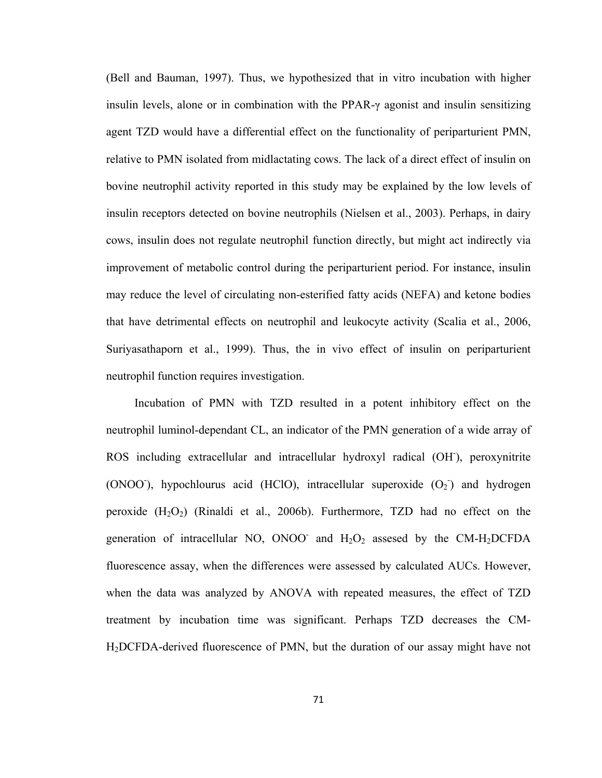(Bell and Bauman, 1997). Thus, we hypothesized that in vitro incubation with higher insulin levels, alone or in combination with the PPAR-γ agonist and insulin sensitizing agent TZD would have a differential effect on the functionality of periparturient PMN, relative to PMN isolated from midlactating cows. The lack of a direct effect of insulin on bovine neutrophil activity reported in this study may be explained by the low levels of insulin receptors detected on bovine neutrophils (Nielsen et al., 2003). Perhaps, in dairy cows, insulin does not regulate neutrophil function directly, but might act indirectly via improvement of metabolic control during the periparturient period. For instance, insulin may reduce the level of circulating non-esterified fatty acids (NEFA) and ketone bodies that have detrimental effects on neutrophil and leukocyte activity (Scalia et al., 2006, Suriyasathaporn et al., 1999). Thus, the in vivo effect of insulin on periparturient neutrophil function requires investigation.

Incubation of PMN with TZD resulted in a potent inhibitory effect on the neutrophil luminol-dependant CL, an indicator of the PMN generation of a wide array of ROS including extracellular and intracellular hydroxyl radical (OH), peroxynitrite (ONOO<sup>-</sup>), hypochlourus acid (HClO), intracellular superoxide  $(O_2)$  and hydrogen peroxide  $(H_2O_2)$  (Rinaldi et al., 2006b). Furthermore, TZD had no effect on the generation of intracellular NO, ONOO and  $H_2O_2$  assesed by the CM-H<sub>2</sub>DCFDA fluorescence assay, when the differences were assessed by calculated AUCs. However, when the data was analyzed by ANOVA with repeated measures, the effect of TZD treatment by incubation time was significant. Perhaps TZD decreases the CM-H2DCFDA-derived fluorescence of PMN, but the duration of our assay might have not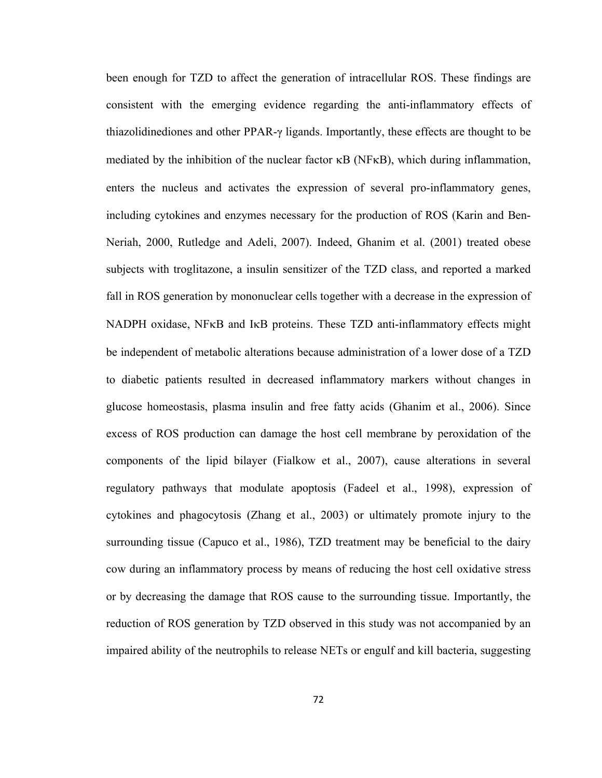been enough for TZD to affect the generation of intracellular ROS. These findings are consistent with the emerging evidence regarding the anti-inflammatory effects of thiazolidinediones and other PPAR-γ ligands. Importantly, these effects are thought to be mediated by the inhibition of the nuclear factor  $\kappa$ B (NF $\kappa$ B), which during inflammation, enters the nucleus and activates the expression of several pro-inflammatory genes, including cytokines and enzymes necessary for the production of ROS (Karin and Ben-Neriah, 2000, Rutledge and Adeli, 2007). Indeed, Ghanim et al. (2001) treated obese subjects with troglitazone, a insulin sensitizer of the TZD class, and reported a marked fall in ROS generation by mononuclear cells together with a decrease in the expression of NADPH oxidase, NFκB and IκB proteins. These TZD anti-inflammatory effects might be independent of metabolic alterations because administration of a lower dose of a TZD to diabetic patients resulted in decreased inflammatory markers without changes in glucose homeostasis, plasma insulin and free fatty acids (Ghanim et al., 2006). Since excess of ROS production can damage the host cell membrane by peroxidation of the components of the lipid bilayer (Fialkow et al., 2007), cause alterations in several regulatory pathways that modulate apoptosis (Fadeel et al., 1998), expression of cytokines and phagocytosis (Zhang et al., 2003) or ultimately promote injury to the surrounding tissue (Capuco et al., 1986), TZD treatment may be beneficial to the dairy cow during an inflammatory process by means of reducing the host cell oxidative stress or by decreasing the damage that ROS cause to the surrounding tissue. Importantly, the reduction of ROS generation by TZD observed in this study was not accompanied by an impaired ability of the neutrophils to release NETs or engulf and kill bacteria, suggesting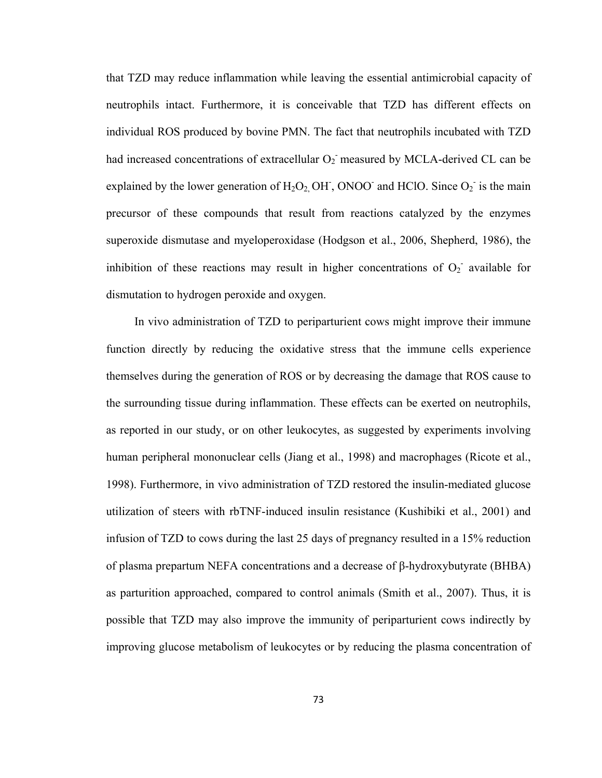that TZD may reduce inflammation while leaving the essential antimicrobial capacity of neutrophils intact. Furthermore, it is conceivable that TZD has different effects on individual ROS produced by bovine PMN. The fact that neutrophils incubated with TZD had increased concentrations of extracellular  $O_2$  measured by MCLA-derived CL can be explained by the lower generation of  $H_2O_2$ , OH, ONOO<sup>-</sup> and HClO. Since  $O_2$ <sup>-</sup> is the main precursor of these compounds that result from reactions catalyzed by the enzymes superoxide dismutase and myeloperoxidase (Hodgson et al., 2006, Shepherd, 1986), the inhibition of these reactions may result in higher concentrations of  $O_2$  available for dismutation to hydrogen peroxide and oxygen.

In vivo administration of TZD to periparturient cows might improve their immune function directly by reducing the oxidative stress that the immune cells experience themselves during the generation of ROS or by decreasing the damage that ROS cause to the surrounding tissue during inflammation. These effects can be exerted on neutrophils, as reported in our study, or on other leukocytes, as suggested by experiments involving human peripheral mononuclear cells (Jiang et al., 1998) and macrophages (Ricote et al., 1998). Furthermore, in vivo administration of TZD restored the insulin-mediated glucose utilization of steers with rbTNF-induced insulin resistance (Kushibiki et al., 2001) and infusion of TZD to cows during the last 25 days of pregnancy resulted in a 15% reduction of plasma prepartum NEFA concentrations and a decrease of β-hydroxybutyrate (BHBA) as parturition approached, compared to control animals (Smith et al., 2007). Thus, it is possible that TZD may also improve the immunity of periparturient cows indirectly by improving glucose metabolism of leukocytes or by reducing the plasma concentration of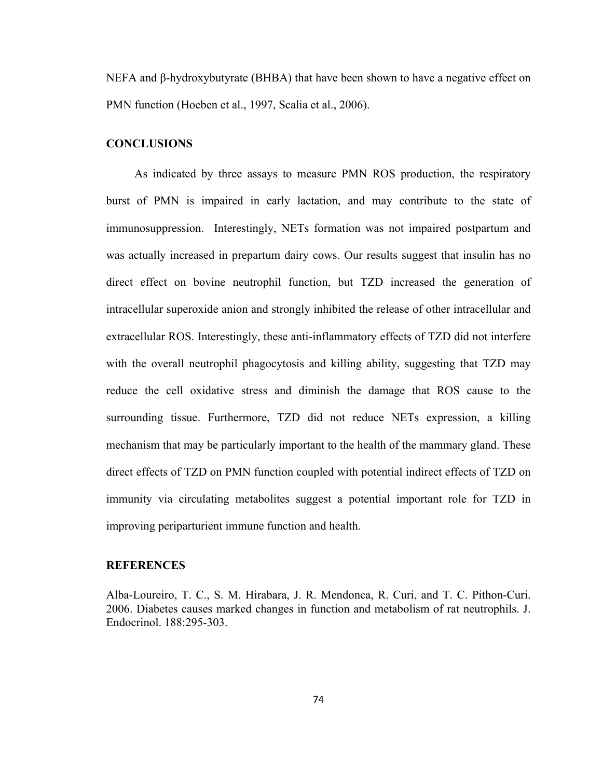NEFA and β-hydroxybutyrate (BHBA) that have been shown to have a negative effect on PMN function (Hoeben et al., 1997, Scalia et al., 2006).

## **CONCLUSIONS**

As indicated by three assays to measure PMN ROS production, the respiratory burst of PMN is impaired in early lactation, and may contribute to the state of immunosuppression. Interestingly, NETs formation was not impaired postpartum and was actually increased in prepartum dairy cows. Our results suggest that insulin has no direct effect on bovine neutrophil function, but TZD increased the generation of intracellular superoxide anion and strongly inhibited the release of other intracellular and extracellular ROS. Interestingly, these anti-inflammatory effects of TZD did not interfere with the overall neutrophil phagocytosis and killing ability, suggesting that TZD may reduce the cell oxidative stress and diminish the damage that ROS cause to the surrounding tissue. Furthermore, TZD did not reduce NETs expression, a killing mechanism that may be particularly important to the health of the mammary gland. These direct effects of TZD on PMN function coupled with potential indirect effects of TZD on immunity via circulating metabolites suggest a potential important role for TZD in improving periparturient immune function and health.

## **REFERENCES**

Alba-Loureiro, T. C., S. M. Hirabara, J. R. Mendonca, R. Curi, and T. C. Pithon-Curi. 2006. Diabetes causes marked changes in function and metabolism of rat neutrophils. J. Endocrinol. 188:295-303.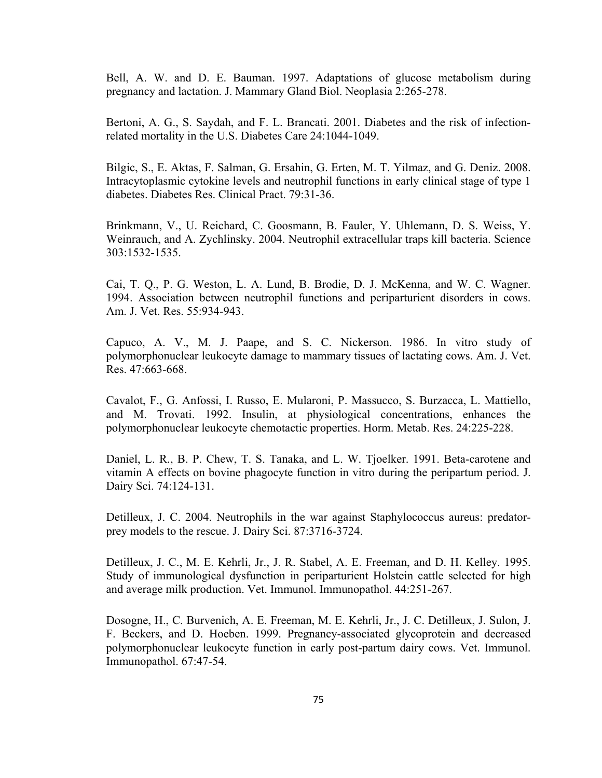Bell, A. W. and D. E. Bauman. 1997. Adaptations of glucose metabolism during pregnancy and lactation. J. Mammary Gland Biol. Neoplasia 2:265-278.

Bertoni, A. G., S. Saydah, and F. L. Brancati. 2001. Diabetes and the risk of infectionrelated mortality in the U.S. Diabetes Care 24:1044-1049.

Bilgic, S., E. Aktas, F. Salman, G. Ersahin, G. Erten, M. T. Yilmaz, and G. Deniz. 2008. Intracytoplasmic cytokine levels and neutrophil functions in early clinical stage of type 1 diabetes. Diabetes Res. Clinical Pract. 79:31-36.

Brinkmann, V., U. Reichard, C. Goosmann, B. Fauler, Y. Uhlemann, D. S. Weiss, Y. Weinrauch, and A. Zychlinsky. 2004. Neutrophil extracellular traps kill bacteria. Science 303:1532-1535.

Cai, T. Q., P. G. Weston, L. A. Lund, B. Brodie, D. J. McKenna, and W. C. Wagner. 1994. Association between neutrophil functions and periparturient disorders in cows. Am. J. Vet. Res. 55:934-943.

Capuco, A. V., M. J. Paape, and S. C. Nickerson. 1986. In vitro study of polymorphonuclear leukocyte damage to mammary tissues of lactating cows. Am. J. Vet. Res. 47:663-668.

Cavalot, F., G. Anfossi, I. Russo, E. Mularoni, P. Massucco, S. Burzacca, L. Mattiello, and M. Trovati. 1992. Insulin, at physiological concentrations, enhances the polymorphonuclear leukocyte chemotactic properties. Horm. Metab. Res. 24:225-228.

Daniel, L. R., B. P. Chew, T. S. Tanaka, and L. W. Tjoelker. 1991. Beta-carotene and vitamin A effects on bovine phagocyte function in vitro during the peripartum period. J. Dairy Sci. 74:124-131.

Detilleux, J. C. 2004. Neutrophils in the war against Staphylococcus aureus: predatorprey models to the rescue. J. Dairy Sci. 87:3716-3724.

Detilleux, J. C., M. E. Kehrli, Jr., J. R. Stabel, A. E. Freeman, and D. H. Kelley. 1995. Study of immunological dysfunction in periparturient Holstein cattle selected for high and average milk production. Vet. Immunol. Immunopathol. 44:251-267.

Dosogne, H., C. Burvenich, A. E. Freeman, M. E. Kehrli, Jr., J. C. Detilleux, J. Sulon, J. F. Beckers, and D. Hoeben. 1999. Pregnancy-associated glycoprotein and decreased polymorphonuclear leukocyte function in early post-partum dairy cows. Vet. Immunol. Immunopathol. 67:47-54.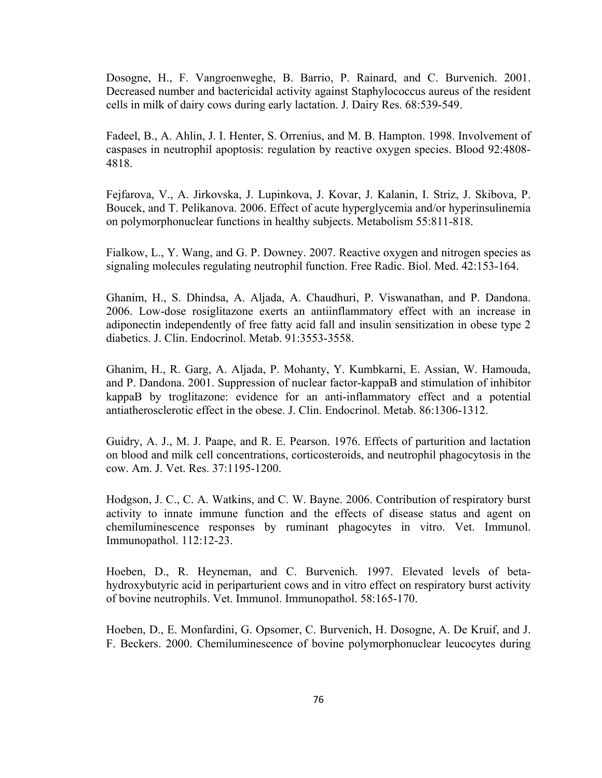Dosogne, H., F. Vangroenweghe, B. Barrio, P. Rainard, and C. Burvenich. 2001. Decreased number and bactericidal activity against Staphylococcus aureus of the resident cells in milk of dairy cows during early lactation. J. Dairy Res. 68:539-549.

Fadeel, B., A. Ahlin, J. I. Henter, S. Orrenius, and M. B. Hampton. 1998. Involvement of caspases in neutrophil apoptosis: regulation by reactive oxygen species. Blood 92:4808- 4818.

Fejfarova, V., A. Jirkovska, J. Lupinkova, J. Kovar, J. Kalanin, I. Striz, J. Skibova, P. Boucek, and T. Pelikanova. 2006. Effect of acute hyperglycemia and/or hyperinsulinemia on polymorphonuclear functions in healthy subjects. Metabolism 55:811-818.

Fialkow, L., Y. Wang, and G. P. Downey. 2007. Reactive oxygen and nitrogen species as signaling molecules regulating neutrophil function. Free Radic. Biol. Med. 42:153-164.

Ghanim, H., S. Dhindsa, A. Aljada, A. Chaudhuri, P. Viswanathan, and P. Dandona. 2006. Low-dose rosiglitazone exerts an antiinflammatory effect with an increase in adiponectin independently of free fatty acid fall and insulin sensitization in obese type 2 diabetics. J. Clin. Endocrinol. Metab. 91:3553-3558.

Ghanim, H., R. Garg, A. Aljada, P. Mohanty, Y. Kumbkarni, E. Assian, W. Hamouda, and P. Dandona. 2001. Suppression of nuclear factor-kappaB and stimulation of inhibitor kappaB by troglitazone: evidence for an anti-inflammatory effect and a potential antiatherosclerotic effect in the obese. J. Clin. Endocrinol. Metab. 86:1306-1312.

Guidry, A. J., M. J. Paape, and R. E. Pearson. 1976. Effects of parturition and lactation on blood and milk cell concentrations, corticosteroids, and neutrophil phagocytosis in the cow. Am. J. Vet. Res. 37:1195-1200.

Hodgson, J. C., C. A. Watkins, and C. W. Bayne. 2006. Contribution of respiratory burst activity to innate immune function and the effects of disease status and agent on chemiluminescence responses by ruminant phagocytes in vitro. Vet. Immunol. Immunopathol. 112:12-23.

Hoeben, D., R. Heyneman, and C. Burvenich. 1997. Elevated levels of betahydroxybutyric acid in periparturient cows and in vitro effect on respiratory burst activity of bovine neutrophils. Vet. Immunol. Immunopathol. 58:165-170.

Hoeben, D., E. Monfardini, G. Opsomer, C. Burvenich, H. Dosogne, A. De Kruif, and J. F. Beckers. 2000. Chemiluminescence of bovine polymorphonuclear leucocytes during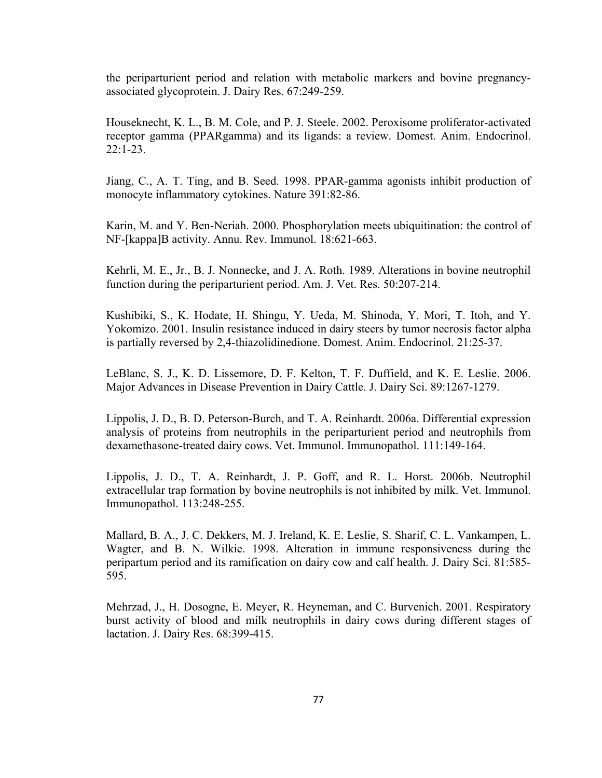the periparturient period and relation with metabolic markers and bovine pregnancyassociated glycoprotein. J. Dairy Res. 67:249-259.

Houseknecht, K. L., B. M. Cole, and P. J. Steele. 2002. Peroxisome proliferator-activated receptor gamma (PPARgamma) and its ligands: a review. Domest. Anim. Endocrinol. 22:1-23.

Jiang, C., A. T. Ting, and B. Seed. 1998. PPAR-gamma agonists inhibit production of monocyte inflammatory cytokines. Nature 391:82-86.

Karin, M. and Y. Ben-Neriah. 2000. Phosphorylation meets ubiquitination: the control of NF-[kappa]B activity. Annu. Rev. Immunol. 18:621-663.

Kehrli, M. E., Jr., B. J. Nonnecke, and J. A. Roth. 1989. Alterations in bovine neutrophil function during the periparturient period. Am. J. Vet. Res. 50:207-214.

Kushibiki, S., K. Hodate, H. Shingu, Y. Ueda, M. Shinoda, Y. Mori, T. Itoh, and Y. Yokomizo. 2001. Insulin resistance induced in dairy steers by tumor necrosis factor alpha is partially reversed by 2,4-thiazolidinedione. Domest. Anim. Endocrinol. 21:25-37.

LeBlanc, S. J., K. D. Lissemore, D. F. Kelton, T. F. Duffield, and K. E. Leslie. 2006. Major Advances in Disease Prevention in Dairy Cattle. J. Dairy Sci. 89:1267-1279.

Lippolis, J. D., B. D. Peterson-Burch, and T. A. Reinhardt. 2006a. Differential expression analysis of proteins from neutrophils in the periparturient period and neutrophils from dexamethasone-treated dairy cows. Vet. Immunol. Immunopathol. 111:149-164.

Lippolis, J. D., T. A. Reinhardt, J. P. Goff, and R. L. Horst. 2006b. Neutrophil extracellular trap formation by bovine neutrophils is not inhibited by milk. Vet. Immunol. Immunopathol. 113:248-255.

Mallard, B. A., J. C. Dekkers, M. J. Ireland, K. E. Leslie, S. Sharif, C. L. Vankampen, L. Wagter, and B. N. Wilkie. 1998. Alteration in immune responsiveness during the peripartum period and its ramification on dairy cow and calf health. J. Dairy Sci. 81:585- 595.

Mehrzad, J., H. Dosogne, E. Meyer, R. Heyneman, and C. Burvenich. 2001. Respiratory burst activity of blood and milk neutrophils in dairy cows during different stages of lactation. J. Dairy Res. 68:399-415.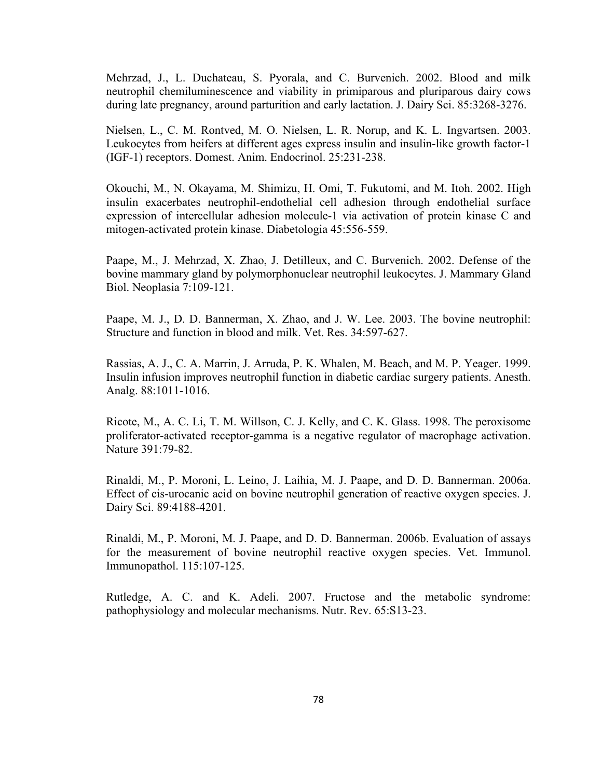Mehrzad, J., L. Duchateau, S. Pyorala, and C. Burvenich. 2002. Blood and milk neutrophil chemiluminescence and viability in primiparous and pluriparous dairy cows during late pregnancy, around parturition and early lactation. J. Dairy Sci. 85:3268-3276.

Nielsen, L., C. M. Rontved, M. O. Nielsen, L. R. Norup, and K. L. Ingvartsen. 2003. Leukocytes from heifers at different ages express insulin and insulin-like growth factor-1 (IGF-1) receptors. Domest. Anim. Endocrinol. 25:231-238.

Okouchi, M., N. Okayama, M. Shimizu, H. Omi, T. Fukutomi, and M. Itoh. 2002. High insulin exacerbates neutrophil-endothelial cell adhesion through endothelial surface expression of intercellular adhesion molecule-1 via activation of protein kinase C and mitogen-activated protein kinase. Diabetologia 45:556-559.

Paape, M., J. Mehrzad, X. Zhao, J. Detilleux, and C. Burvenich. 2002. Defense of the bovine mammary gland by polymorphonuclear neutrophil leukocytes. J. Mammary Gland Biol. Neoplasia 7:109-121.

Paape, M. J., D. D. Bannerman, X. Zhao, and J. W. Lee. 2003. The bovine neutrophil: Structure and function in blood and milk. Vet. Res. 34:597-627.

Rassias, A. J., C. A. Marrin, J. Arruda, P. K. Whalen, M. Beach, and M. P. Yeager. 1999. Insulin infusion improves neutrophil function in diabetic cardiac surgery patients. Anesth. Analg. 88:1011-1016.

Ricote, M., A. C. Li, T. M. Willson, C. J. Kelly, and C. K. Glass. 1998. The peroxisome proliferator-activated receptor-gamma is a negative regulator of macrophage activation. Nature 391:79-82.

Rinaldi, M., P. Moroni, L. Leino, J. Laihia, M. J. Paape, and D. D. Bannerman. 2006a. Effect of cis-urocanic acid on bovine neutrophil generation of reactive oxygen species. J. Dairy Sci. 89:4188-4201.

Rinaldi, M., P. Moroni, M. J. Paape, and D. D. Bannerman. 2006b. Evaluation of assays for the measurement of bovine neutrophil reactive oxygen species. Vet. Immunol. Immunopathol. 115:107-125.

Rutledge, A. C. and K. Adeli. 2007. Fructose and the metabolic syndrome: pathophysiology and molecular mechanisms. Nutr. Rev. 65:S13-23.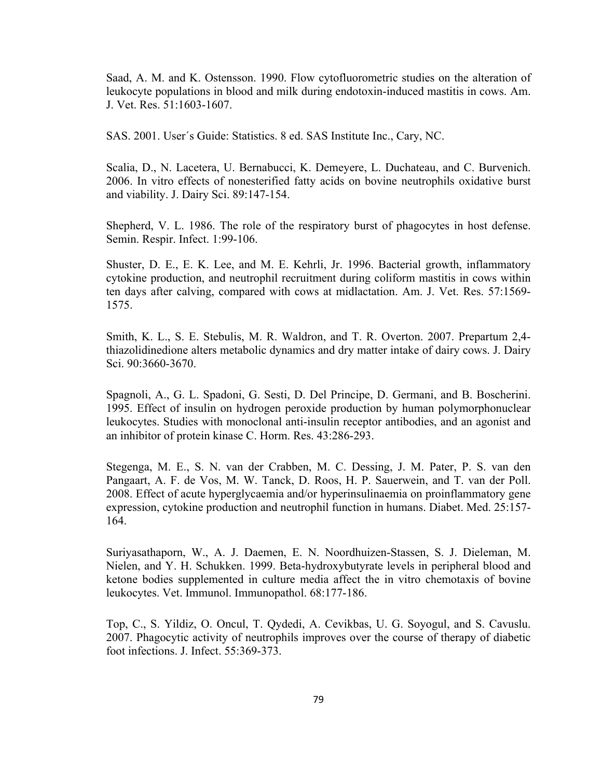Saad, A. M. and K. Ostensson. 1990. Flow cytofluorometric studies on the alteration of leukocyte populations in blood and milk during endotoxin-induced mastitis in cows. Am. J. Vet. Res. 51:1603-1607.

SAS. 2001. User´s Guide: Statistics. 8 ed. SAS Institute Inc., Cary, NC.

Scalia, D., N. Lacetera, U. Bernabucci, K. Demeyere, L. Duchateau, and C. Burvenich. 2006. In vitro effects of nonesterified fatty acids on bovine neutrophils oxidative burst and viability. J. Dairy Sci. 89:147-154.

Shepherd, V. L. 1986. The role of the respiratory burst of phagocytes in host defense. Semin. Respir. Infect. 1:99-106.

Shuster, D. E., E. K. Lee, and M. E. Kehrli, Jr. 1996. Bacterial growth, inflammatory cytokine production, and neutrophil recruitment during coliform mastitis in cows within ten days after calving, compared with cows at midlactation. Am. J. Vet. Res. 57:1569- 1575.

Smith, K. L., S. E. Stebulis, M. R. Waldron, and T. R. Overton. 2007. Prepartum 2,4 thiazolidinedione alters metabolic dynamics and dry matter intake of dairy cows. J. Dairy Sci. 90:3660-3670.

Spagnoli, A., G. L. Spadoni, G. Sesti, D. Del Principe, D. Germani, and B. Boscherini. 1995. Effect of insulin on hydrogen peroxide production by human polymorphonuclear leukocytes. Studies with monoclonal anti-insulin receptor antibodies, and an agonist and an inhibitor of protein kinase C. Horm. Res. 43:286-293.

Stegenga, M. E., S. N. van der Crabben, M. C. Dessing, J. M. Pater, P. S. van den Pangaart, A. F. de Vos, M. W. Tanck, D. Roos, H. P. Sauerwein, and T. van der Poll. 2008. Effect of acute hyperglycaemia and/or hyperinsulinaemia on proinflammatory gene expression, cytokine production and neutrophil function in humans. Diabet. Med. 25:157- 164.

Suriyasathaporn, W., A. J. Daemen, E. N. Noordhuizen-Stassen, S. J. Dieleman, M. Nielen, and Y. H. Schukken. 1999. Beta-hydroxybutyrate levels in peripheral blood and ketone bodies supplemented in culture media affect the in vitro chemotaxis of bovine leukocytes. Vet. Immunol. Immunopathol. 68:177-186.

Top, C., S. Yildiz, O. Oncul, T. Qydedi, A. Cevikbas, U. G. Soyogul, and S. Cavuslu. 2007. Phagocytic activity of neutrophils improves over the course of therapy of diabetic foot infections. J. Infect. 55:369-373.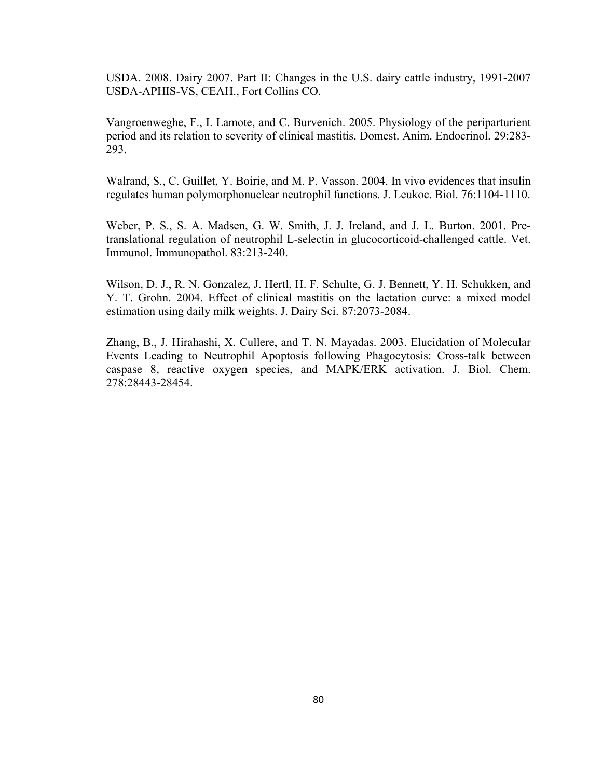USDA. 2008. Dairy 2007. Part II: Changes in the U.S. dairy cattle industry, 1991-2007 USDA-APHIS-VS, CEAH., Fort Collins CO.

Vangroenweghe, F., I. Lamote, and C. Burvenich. 2005. Physiology of the periparturient period and its relation to severity of clinical mastitis. Domest. Anim. Endocrinol. 29:283- 293.

Walrand, S., C. Guillet, Y. Boirie, and M. P. Vasson. 2004. In vivo evidences that insulin regulates human polymorphonuclear neutrophil functions. J. Leukoc. Biol. 76:1104-1110.

Weber, P. S., S. A. Madsen, G. W. Smith, J. J. Ireland, and J. L. Burton. 2001. Pretranslational regulation of neutrophil L-selectin in glucocorticoid-challenged cattle. Vet. Immunol. Immunopathol. 83:213-240.

Wilson, D. J., R. N. Gonzalez, J. Hertl, H. F. Schulte, G. J. Bennett, Y. H. Schukken, and Y. T. Grohn. 2004. Effect of clinical mastitis on the lactation curve: a mixed model estimation using daily milk weights. J. Dairy Sci. 87:2073-2084.

Zhang, B., J. Hirahashi, X. Cullere, and T. N. Mayadas. 2003. Elucidation of Molecular Events Leading to Neutrophil Apoptosis following Phagocytosis: Cross-talk between caspase 8, reactive oxygen species, and MAPK/ERK activation. J. Biol. Chem. 278:28443-28454.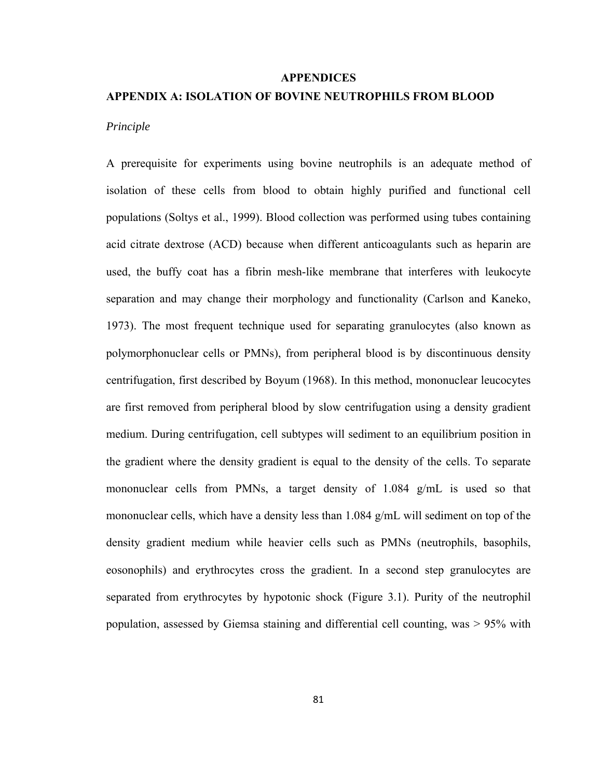#### **APPENDICES**

#### **APPENDIX A: ISOLATION OF BOVINE NEUTROPHILS FROM BLOOD**

#### *Principle*

A prerequisite for experiments using bovine neutrophils is an adequate method of isolation of these cells from blood to obtain highly purified and functional cell populations (Soltys et al., 1999). Blood collection was performed using tubes containing acid citrate dextrose (ACD) because when different anticoagulants such as heparin are used, the buffy coat has a fibrin mesh-like membrane that interferes with leukocyte separation and may change their morphology and functionality (Carlson and Kaneko, 1973). The most frequent technique used for separating granulocytes (also known as polymorphonuclear cells or PMNs), from peripheral blood is by discontinuous density centrifugation, first described by Boyum (1968). In this method, mononuclear leucocytes are first removed from peripheral blood by slow centrifugation using a density gradient medium. During centrifugation, cell subtypes will sediment to an equilibrium position in the gradient where the density gradient is equal to the density of the cells. To separate mononuclear cells from PMNs, a target density of 1.084 g/mL is used so that mononuclear cells, which have a density less than 1.084 g/mL will sediment on top of the density gradient medium while heavier cells such as PMNs (neutrophils, basophils, eosonophils) and erythrocytes cross the gradient. In a second step granulocytes are separated from erythrocytes by hypotonic shock (Figure 3.1). Purity of the neutrophil population, assessed by Giemsa staining and differential cell counting, was > 95% with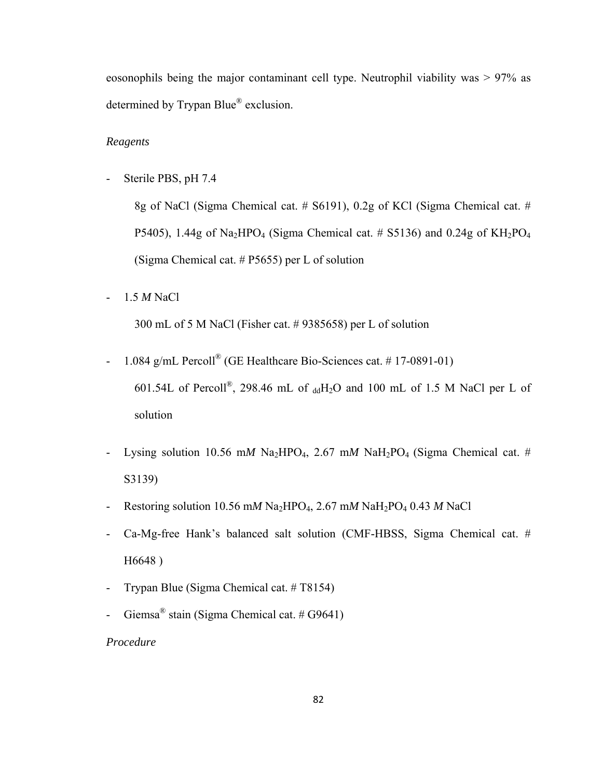eosonophils being the major contaminant cell type. Neutrophil viability was > 97% as determined by Trypan Blue® exclusion.

## *Reagents*

- Sterile PBS, pH 7.4

8g of NaCl (Sigma Chemical cat. # S6191), 0.2g of KCl (Sigma Chemical cat. # P5405), 1.44g of Na<sub>2</sub>HPO<sub>4</sub> (Sigma Chemical cat.  $\#$  S5136) and 0.24g of KH<sub>2</sub>PO<sub>4</sub> (Sigma Chemical cat. # P5655) per L of solution

- 1.5 *M* NaCl

300 mL of 5 M NaCl (Fisher cat. # 9385658) per L of solution

- 1.084 g/mL Percoll<sup>®</sup> (GE Healthcare Bio-Sciences cat.  $\#$  17-0891-01) 601.54L of Percoll<sup>®</sup>, 298.46 mL of  $_{dd}H_2O$  and 100 mL of 1.5 M NaCl per L of solution
- Lysing solution 10.56 mM Na<sub>2</sub>HPO<sub>4</sub>, 2.67 mM NaH<sub>2</sub>PO<sub>4</sub> (Sigma Chemical cat. # S3139)
- Restoring solution 10.56 mM Na<sub>2</sub>HPO<sub>4</sub>, 2.67 mM NaH<sub>2</sub>PO<sub>4</sub> 0.43 M NaCl
- Ca-Mg-free Hank's balanced salt solution (CMF-HBSS, Sigma Chemical cat. # H6648 )
- Trypan Blue (Sigma Chemical cat. # T8154)
- Giemsa<sup>®</sup> stain (Sigma Chemical cat. #  $G9641$ )

*Procedure*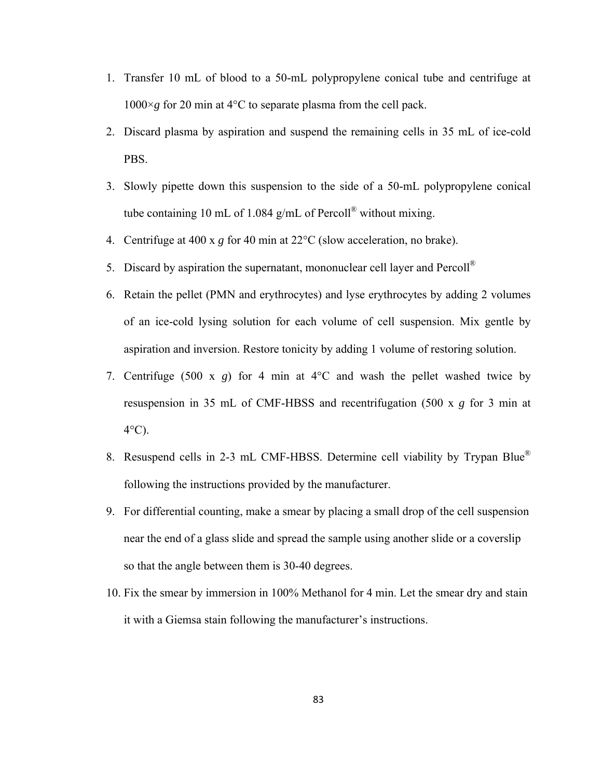- 1. Transfer 10 mL of blood to a 50-mL polypropylene conical tube and centrifuge at  $1000 \times g$  for 20 min at 4<sup>o</sup>C to separate plasma from the cell pack.
- 2. Discard plasma by aspiration and suspend the remaining cells in 35 mL of ice-cold PBS.
- 3. Slowly pipette down this suspension to the side of a 50-mL polypropylene conical tube containing 10 mL of 1.084 g/mL of Percoll<sup>®</sup> without mixing.
- 4. Centrifuge at 400 x *g* for 40 min at 22°C (slow acceleration, no brake).
- 5. Discard by aspiration the supernatant, mononuclear cell layer and  $Percoll^{\otimes}$
- 6. Retain the pellet (PMN and erythrocytes) and lyse erythrocytes by adding 2 volumes of an ice-cold lysing solution for each volume of cell suspension. Mix gentle by aspiration and inversion. Restore tonicity by adding 1 volume of restoring solution.
- 7. Centrifuge (500 x *g*) for 4 min at 4°C and wash the pellet washed twice by resuspension in 35 mL of CMF-HBSS and recentrifugation (500 x *g* for 3 min at  $4^{\circ}$ C).
- 8. Resuspend cells in 2-3 mL CMF-HBSS. Determine cell viability by Trypan Blue® following the instructions provided by the manufacturer.
- 9. For differential counting, make a smear by placing a small drop of the cell suspension near the end of a glass slide and spread the sample using another slide or a coverslip so that the angle between them is 30-40 degrees.
- 10. Fix the smear by immersion in 100% Methanol for 4 min. Let the smear dry and stain it with a Giemsa stain following the manufacturer's instructions.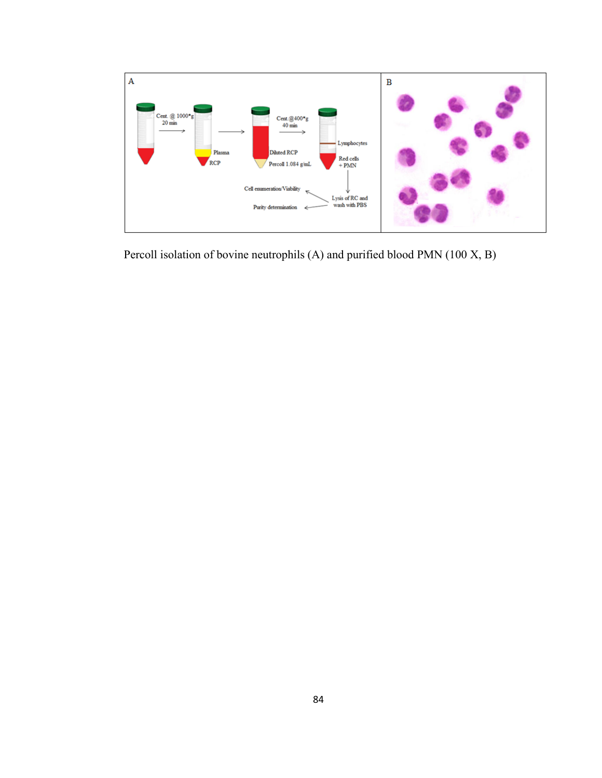

Percoll isolation of bovine neutrophils (A) and purified blood PMN (100 X, B)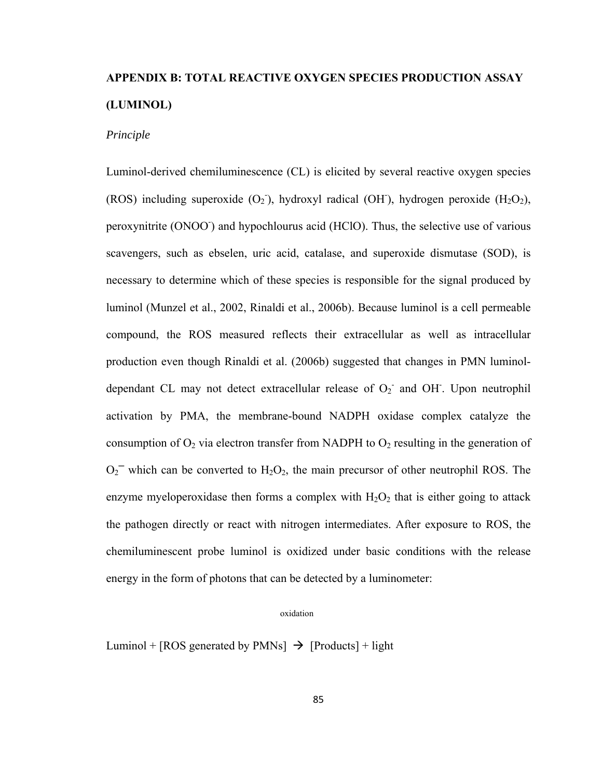# **APPENDIX B: TOTAL REACTIVE OXYGEN SPECIES PRODUCTION ASSAY (LUMINOL)**

## *Principle*

Luminol-derived chemiluminescence (CL) is elicited by several reactive oxygen species (ROS) including superoxide  $(O_2)$ , hydroxyl radical (OH), hydrogen peroxide  $(H_2O_2)$ , peroxynitrite (ONOO<sup>-</sup>) and hypochlourus acid (HClO). Thus, the selective use of various scavengers, such as ebselen, uric acid, catalase, and superoxide dismutase (SOD), is necessary to determine which of these species is responsible for the signal produced by luminol (Munzel et al., 2002, Rinaldi et al., 2006b). Because luminol is a cell permeable compound, the ROS measured reflects their extracellular as well as intracellular production even though Rinaldi et al. (2006b) suggested that changes in PMN luminoldependant CL may not detect extracellular release of  $O_2$  and OH. Upon neutrophil activation by PMA, the membrane-bound NADPH oxidase complex catalyze the consumption of  $O_2$  via electron transfer from NADPH to  $O_2$  resulting in the generation of  $O_2$ <sup>-</sup> which can be converted to  $H_2O_2$ , the main precursor of other neutrophil ROS. The enzyme myeloperoxidase then forms a complex with  $H_2O_2$  that is either going to attack the pathogen directly or react with nitrogen intermediates. After exposure to ROS, the chemiluminescent probe luminol is oxidized under basic conditions with the release energy in the form of photons that can be detected by a luminometer:

#### oxidation

Luminol + [ROS generated by PMNs]  $\rightarrow$  [Products] + light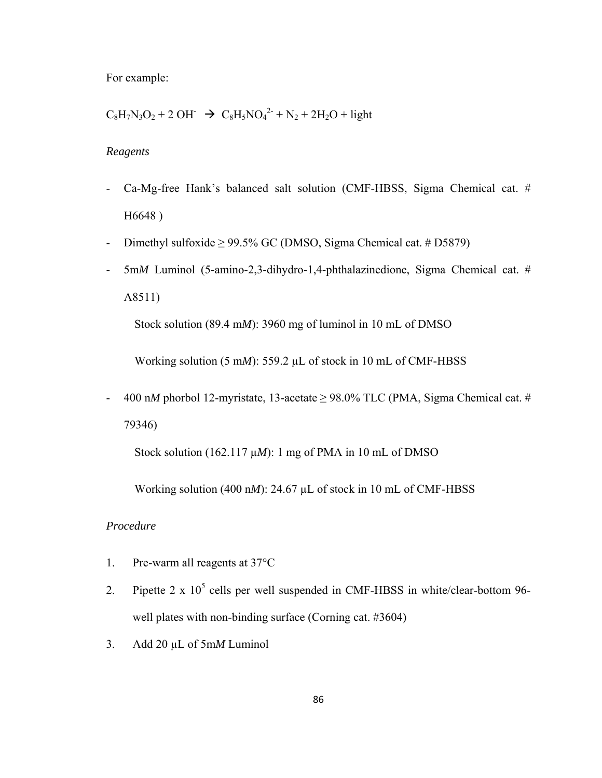For example:

 $C_8H_7N_3O_2 + 2 \text{ OH}^ \rightarrow C_8H_5NO_4^{2-} + N_2 + 2H_2O + \text{light}$ 

## *Reagents*

- Ca-Mg-free Hank's balanced salt solution (CMF-HBSS, Sigma Chemical cat. # H6648 )
- Dimethyl sulfoxide  $\geq$  99.5% GC (DMSO, Sigma Chemical cat. # D5879)
- 5m*M* Luminol (5-amino-2,3-dihydro-1,4-phthalazinedione, Sigma Chemical cat. # A8511)

Stock solution (89.4 m*M*): 3960 mg of luminol in 10 mL of DMSO

Working solution (5 m*M*): 559.2 µL of stock in 10 mL of CMF-HBSS

- 400 n*M* phorbol 12-myristate, 13-acetate  $\geq$  98.0% TLC (PMA, Sigma Chemical cat. # 79346)

Stock solution (162.117 µ*M*): 1 mg of PMA in 10 mL of DMSO

Working solution (400 n*M*): 24.67 µL of stock in 10 mL of CMF-HBSS

## *Procedure*

- 1. Pre-warm all reagents at 37°C
- 2. Pipette  $2 \times 10^5$  cells per well suspended in CMF-HBSS in white/clear-bottom 96well plates with non-binding surface (Corning cat. #3604)
- 3. Add 20 µL of 5m*M* Luminol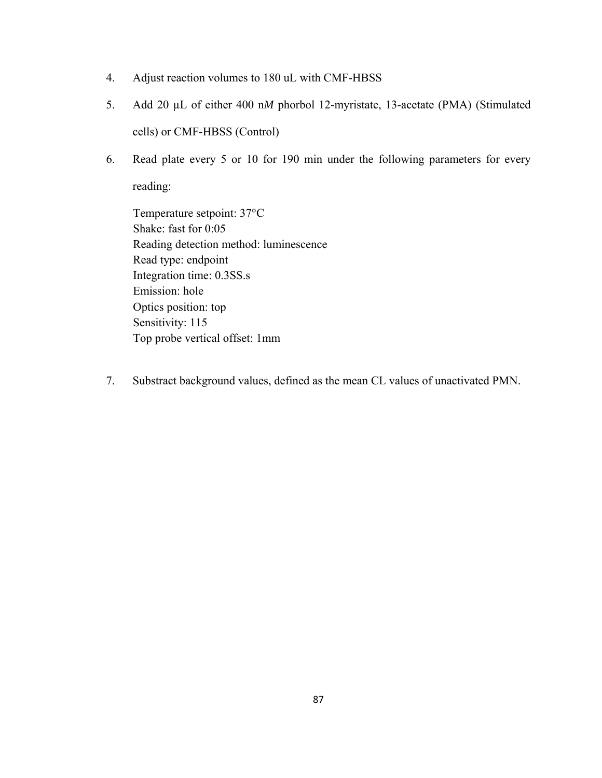- 4. Adjust reaction volumes to 180 uL with CMF-HBSS
- 5. Add 20 µL of either 400 n*M* phorbol 12-myristate, 13-acetate (PMA) (Stimulated cells) or CMF-HBSS (Control)
- 6. Read plate every 5 or 10 for 190 min under the following parameters for every reading:

Temperature setpoint: 37°C Shake: fast for 0:05 Reading detection method: luminescence Read type: endpoint Integration time: 0.3SS.s Emission: hole Optics position: top Sensitivity: 115 Top probe vertical offset: 1mm

7. Substract background values, defined as the mean CL values of unactivated PMN.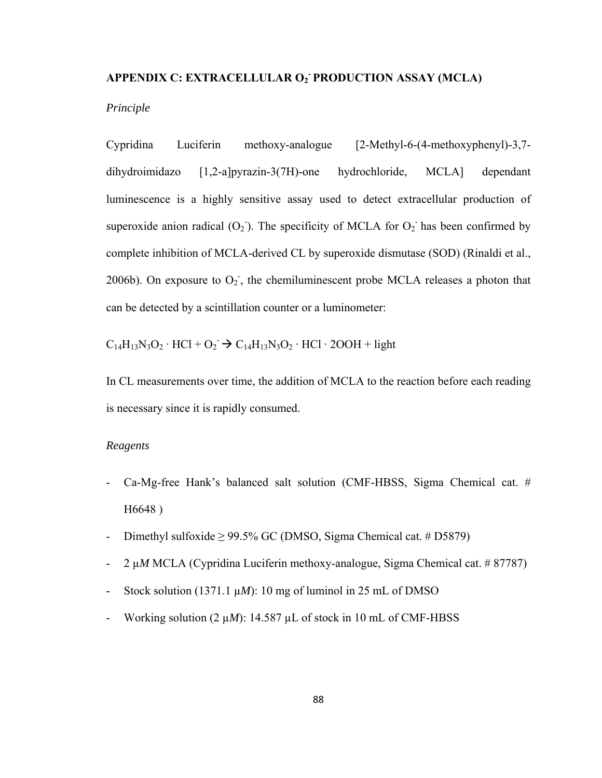## APPENDIX C: EXTRACELLULAR O<sub>2</sub> PRODUCTION ASSAY (MCLA)

## *Principle*

Cypridina Luciferin methoxy-analogue [2-Methyl-6-(4-methoxyphenyl)-3,7 dihydroimidazo [1,2-a]pyrazin-3(7H)-one hydrochloride, MCLA] dependant luminescence is a highly sensitive assay used to detect extracellular production of superoxide anion radical  $(O_2)$ . The specificity of MCLA for  $O_2$  has been confirmed by complete inhibition of MCLA-derived CL by superoxide dismutase (SOD) (Rinaldi et al., 2006b). On exposure to  $O_2$ , the chemiluminescent probe MCLA releases a photon that can be detected by a scintillation counter or a luminometer:

 $C_{14}H_{13}N_3O_2 \cdot HCl + O_2 \rightarrow C_{14}H_{13}N_3O_2 \cdot HCl \cdot 2OOH + light$ 

In CL measurements over time, the addition of MCLA to the reaction before each reading is necessary since it is rapidly consumed.

## *Reagents*

- Ca-Mg-free Hank's balanced salt solution (CMF-HBSS, Sigma Chemical cat. # H6648 )
- Dimethyl sulfoxide  $> 99.5\%$  GC (DMSO, Sigma Chemical cat. # D5879)
- 2 µ*M* MCLA (Cypridina Luciferin methoxy-analogue, Sigma Chemical cat. # 87787)
- Stock solution  $(1371.1 \mu M)$ : 10 mg of luminol in 25 mL of DMSO
- Working solution  $(2 \mu M)$ : 14.587  $\mu$ L of stock in 10 mL of CMF-HBSS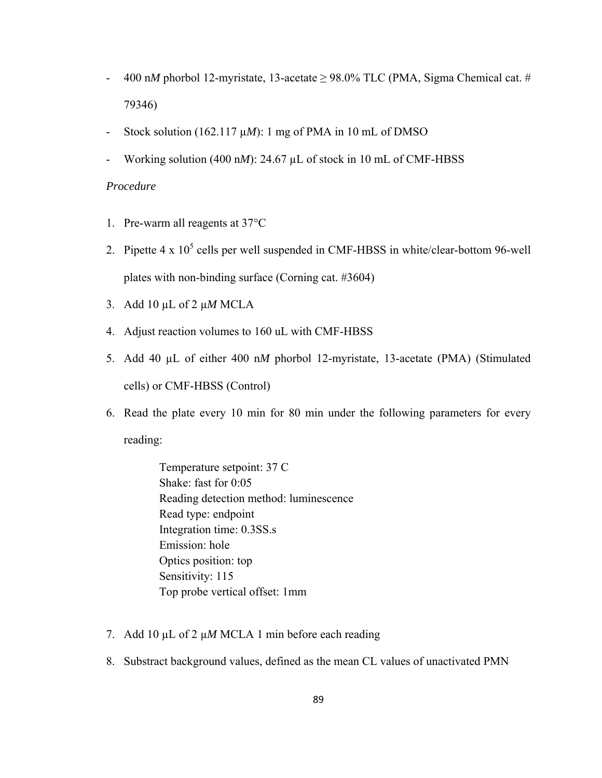- 400 n*M* phorbol 12-myristate, 13-acetate  $\geq$  98.0% TLC (PMA, Sigma Chemical cat. # 79346)
- Stock solution (162.117 µ*M*): 1 mg of PMA in 10 mL of DMSO
- Working solution (400 nM): 24.67 µL of stock in 10 mL of CMF-HBSS

## *Procedure*

- 1. Pre-warm all reagents at 37°C
- 2. Pipette  $4 \times 10^5$  cells per well suspended in CMF-HBSS in white/clear-bottom 96-well plates with non-binding surface (Corning cat. #3604)
- 3. Add 10 µL of 2 µ*M* MCLA
- 4. Adjust reaction volumes to 160 uL with CMF-HBSS
- 5. Add 40 µL of either 400 n*M* phorbol 12-myristate, 13-acetate (PMA) (Stimulated cells) or CMF-HBSS (Control)
- 6. Read the plate every 10 min for 80 min under the following parameters for every reading:
	- Temperature setpoint: 37 C Shake: fast for 0:05 Reading detection method: luminescence Read type: endpoint Integration time: 0.3SS.s Emission: hole Optics position: top Sensitivity: 115 Top probe vertical offset: 1mm
- 7. Add 10 µL of 2 µ*M* MCLA 1 min before each reading
- 8. Substract background values, defined as the mean CL values of unactivated PMN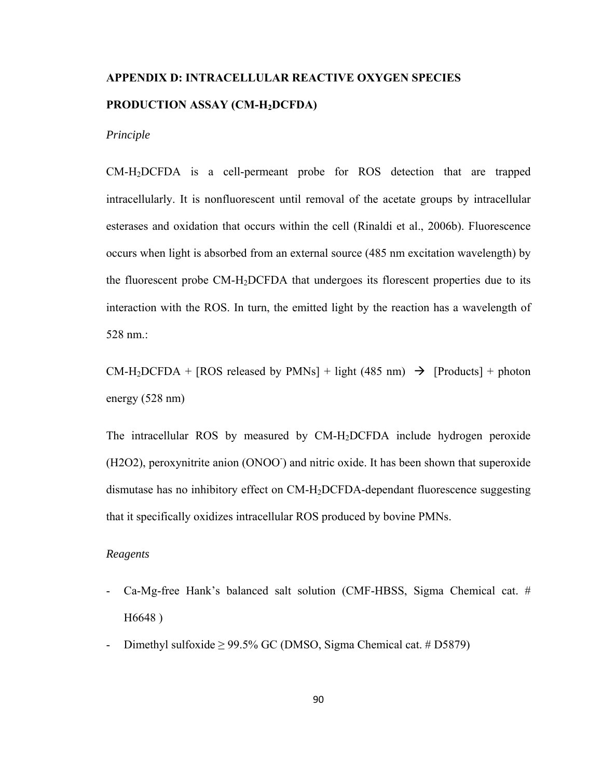# **APPENDIX D: INTRACELLULAR REACTIVE OXYGEN SPECIES PRODUCTION ASSAY (CM-H2DCFDA)**

*Principle* 

CM-H2DCFDA is a cell-permeant probe for ROS detection that are trapped intracellularly. It is nonfluorescent until removal of the acetate groups by intracellular esterases and oxidation that occurs within the cell (Rinaldi et al., 2006b). Fluorescence occurs when light is absorbed from an external source (485 nm excitation wavelength) by the fluorescent probe CM-H2DCFDA that undergoes its florescent properties due to its interaction with the ROS. In turn, the emitted light by the reaction has a wavelength of 528 nm.:

 $CM-H_2DCFDA + [ROS released by PMNs] + light (485 nm)$   $\rightarrow$  [Products] + photon energy (528 nm)

The intracellular ROS by measured by CM-H2DCFDA include hydrogen peroxide (H2O2), peroxynitrite anion (ONOO<sup>-</sup>) and nitric oxide. It has been shown that superoxide dismutase has no inhibitory effect on CM-H2DCFDA-dependant fluorescence suggesting that it specifically oxidizes intracellular ROS produced by bovine PMNs.

## *Reagents*

- Ca-Mg-free Hank's balanced salt solution (CMF-HBSS, Sigma Chemical cat. # H6648 )
- Dimethyl sulfoxide  $\geq$  99.5% GC (DMSO, Sigma Chemical cat. # D5879)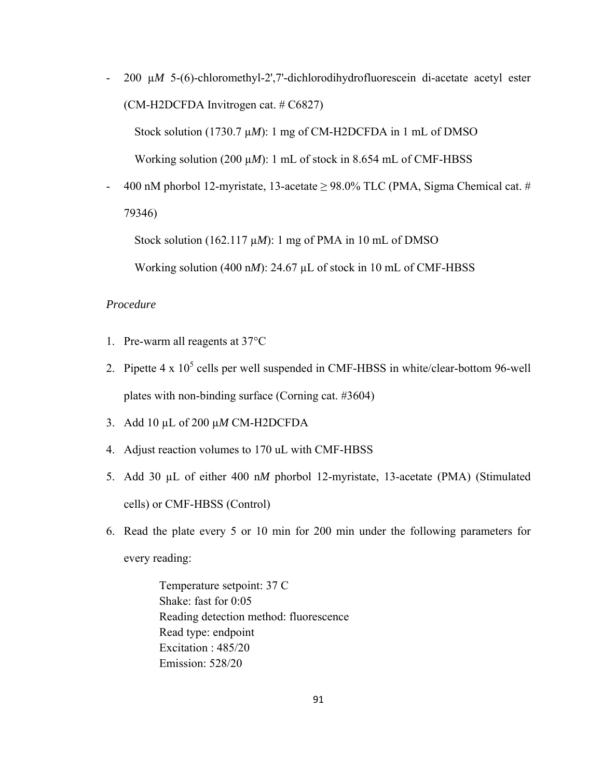- 200 µ*M* 5-(6)-chloromethyl-2',7'-dichlorodihydrofluorescein di-acetate acetyl ester (CM-H2DCFDA Invitrogen cat. # C6827)

Stock solution (1730.7  $\mu$ *M*): 1 mg of CM-H2DCFDA in 1 mL of DMSO

Working solution (200 µ*M*): 1 mL of stock in 8.654 mL of CMF-HBSS

400 nM phorbol 12-myristate, 13-acetate  $\geq$  98.0% TLC (PMA, Sigma Chemical cat. # 79346)

Stock solution (162.117 µ*M*): 1 mg of PMA in 10 mL of DMSO

Working solution (400 n*M*): 24.67 µL of stock in 10 mL of CMF-HBSS

## *Procedure*

- 1. Pre-warm all reagents at 37°C
- 2. Pipette  $4 \times 10^5$  cells per well suspended in CMF-HBSS in white/clear-bottom 96-well plates with non-binding surface (Corning cat. #3604)
- 3. Add 10 µL of 200 µ*M* CM-H2DCFDA
- 4. Adjust reaction volumes to 170 uL with CMF-HBSS
- 5. Add 30 µL of either 400 n*M* phorbol 12-myristate, 13-acetate (PMA) (Stimulated cells) or CMF-HBSS (Control)
- 6. Read the plate every 5 or 10 min for 200 min under the following parameters for every reading:

Temperature setpoint: 37 C Shake: fast for 0:05 Reading detection method: fluorescence Read type: endpoint Excitation : 485/20 Emission: 528/20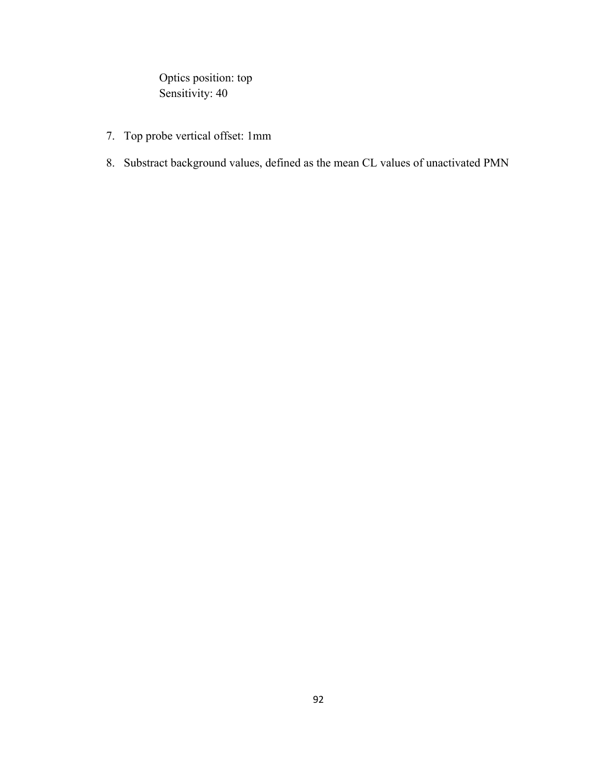Optics position: top Sensitivity: 40

- 7. Top probe vertical offset: 1mm
- 8. Substract background values, defined as the mean CL values of unactivated PMN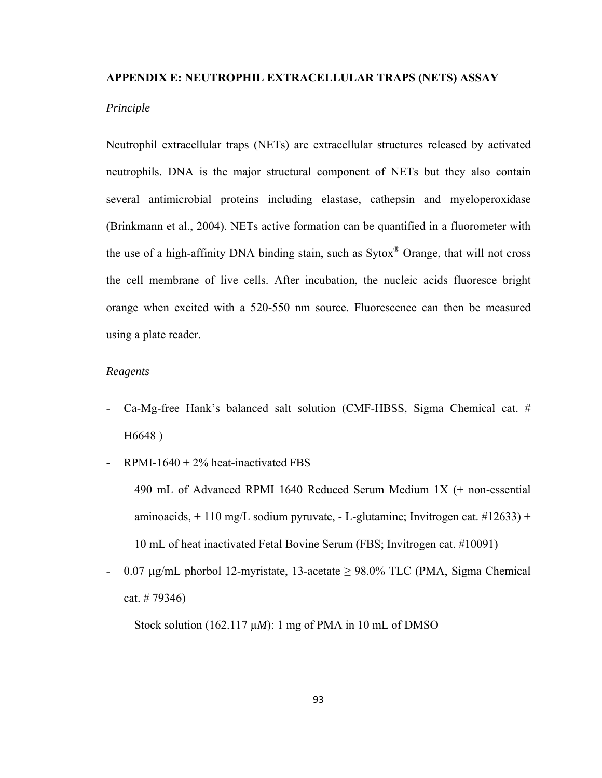## **APPENDIX E: NEUTROPHIL EXTRACELLULAR TRAPS (NETS) ASSAY**

## *Principle*

Neutrophil extracellular traps (NETs) are extracellular structures released by activated neutrophils. DNA is the major structural component of NETs but they also contain several antimicrobial proteins including elastase, cathepsin and myeloperoxidase (Brinkmann et al., 2004). NETs active formation can be quantified in a fluorometer with the use of a high-affinity DNA binding stain, such as Sytox® Orange, that will not cross the cell membrane of live cells. After incubation, the nucleic acids fluoresce bright orange when excited with a 520-550 nm source. Fluorescence can then be measured using a plate reader.

## *Reagents*

- Ca-Mg-free Hank's balanced salt solution (CMF-HBSS, Sigma Chemical cat. # H6648 )
- RPMI-1640 +  $2\%$  heat-inactivated FBS

490 mL of Advanced RPMI 1640 Reduced Serum Medium 1X (+ non-essential aminoacids,  $+110$  mg/L sodium pyruvate,  $-$  L-glutamine; Invitrogen cat.  $\#12633$ ) + 10 mL of heat inactivated Fetal Bovine Serum (FBS; Invitrogen cat. #10091)

- 0.07  $\mu$ g/mL phorbol 12-myristate, 13-acetate  $\geq$  98.0% TLC (PMA, Sigma Chemical cat. # 79346)

Stock solution (162.117 µ*M*): 1 mg of PMA in 10 mL of DMSO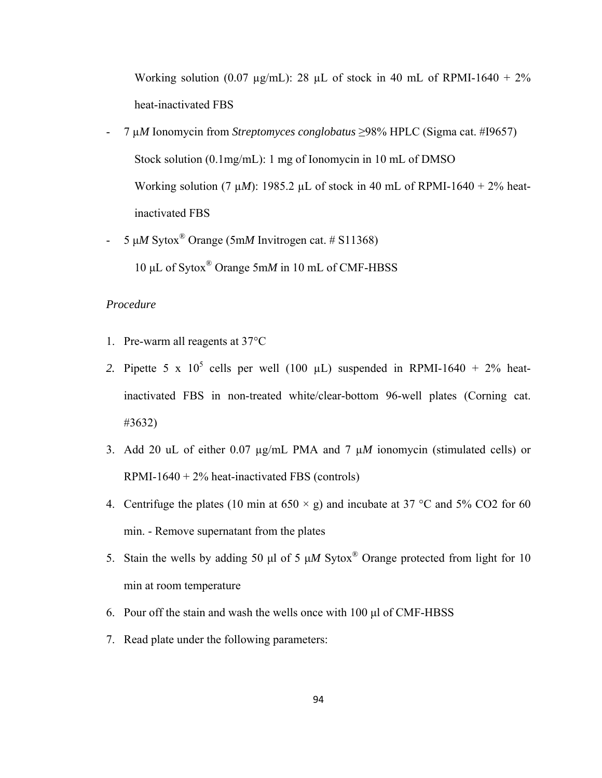Working solution (0.07  $\mu$ g/mL): 28  $\mu$ L of stock in 40 mL of RPMI-1640 + 2% heat-inactivated FBS

- 7 µ*M* Ionomycin from *Streptomyces conglobatus* ≥98% HPLC (Sigma cat. #I9657) Stock solution (0.1mg/mL): 1 mg of Ionomycin in 10 mL of DMSO Working solution (7  $\mu$ *M*): 1985.2  $\mu$ L of stock in 40 mL of RPMI-1640 + 2% heatinactivated FBS
- 5 μ*M* Sytox® Orange (5m*M* Invitrogen cat. # S11368) 10 μL of Sytox® Orange 5m*M* in 10 mL of CMF-HBSS

## *Procedure*

- 1. Pre-warm all reagents at 37°C
- 2. Pipette 5 x  $10^5$  cells per well (100  $\mu$ L) suspended in RPMI-1640 + 2% heatinactivated FBS in non-treated white/clear-bottom 96-well plates (Corning cat. #3632)
- 3. Add 20 uL of either 0.07 µg/mL PMA and 7 µ*M* ionomycin (stimulated cells) or RPMI-1640 +  $2\%$  heat-inactivated FBS (controls)
- 4. Centrifuge the plates (10 min at  $650 \times g$ ) and incubate at 37 °C and 5% CO2 for 60 min. - Remove supernatant from the plates
- 5. Stain the wells by adding 50 μl of 5 μ*M* Sytox® Orange protected from light for 10 min at room temperature
- 6. Pour off the stain and wash the wells once with 100 μl of CMF-HBSS
- 7. Read plate under the following parameters: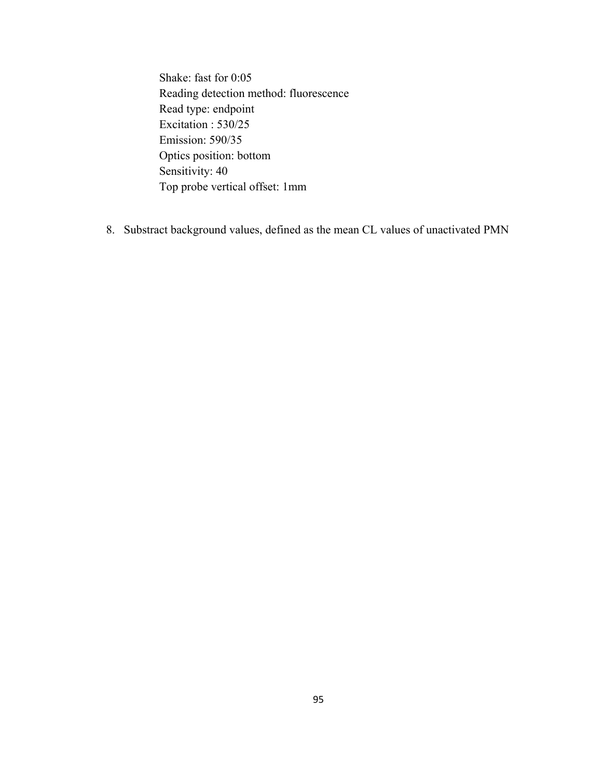Shake: fast for 0:05 Reading detection method: fluorescence Read type: endpoint Excitation : 530/25 Emission: 590/35 Optics position: bottom Sensitivity: 40 Top probe vertical offset: 1mm

8. Substract background values, defined as the mean CL values of unactivated PMN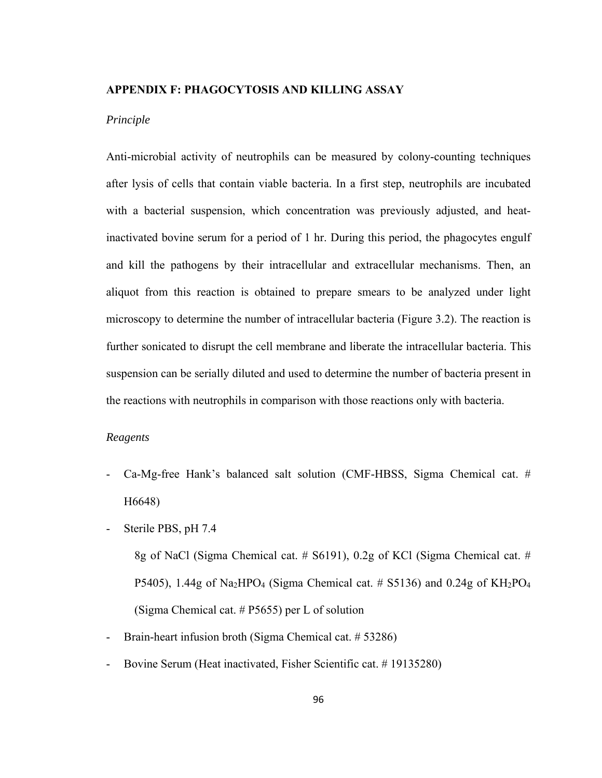## **APPENDIX F: PHAGOCYTOSIS AND KILLING ASSAY**

## *Principle*

Anti-microbial activity of neutrophils can be measured by colony-counting techniques after lysis of cells that contain viable bacteria. In a first step, neutrophils are incubated with a bacterial suspension, which concentration was previously adjusted, and heatinactivated bovine serum for a period of 1 hr. During this period, the phagocytes engulf and kill the pathogens by their intracellular and extracellular mechanisms. Then, an aliquot from this reaction is obtained to prepare smears to be analyzed under light microscopy to determine the number of intracellular bacteria (Figure 3.2). The reaction is further sonicated to disrupt the cell membrane and liberate the intracellular bacteria. This suspension can be serially diluted and used to determine the number of bacteria present in the reactions with neutrophils in comparison with those reactions only with bacteria.

## *Reagents*

- Ca-Mg-free Hank's balanced salt solution (CMF-HBSS, Sigma Chemical cat. # H6648)
- Sterile PBS, pH 7.4

8g of NaCl (Sigma Chemical cat. # S6191), 0.2g of KCl (Sigma Chemical cat. # P5405), 1.44g of Na<sub>2</sub>HPO<sub>4</sub> (Sigma Chemical cat. # S5136) and 0.24g of  $KH_2PO_4$ (Sigma Chemical cat. # P5655) per L of solution

- Brain-heart infusion broth (Sigma Chemical cat. # 53286)
- Bovine Serum (Heat inactivated, Fisher Scientific cat. # 19135280)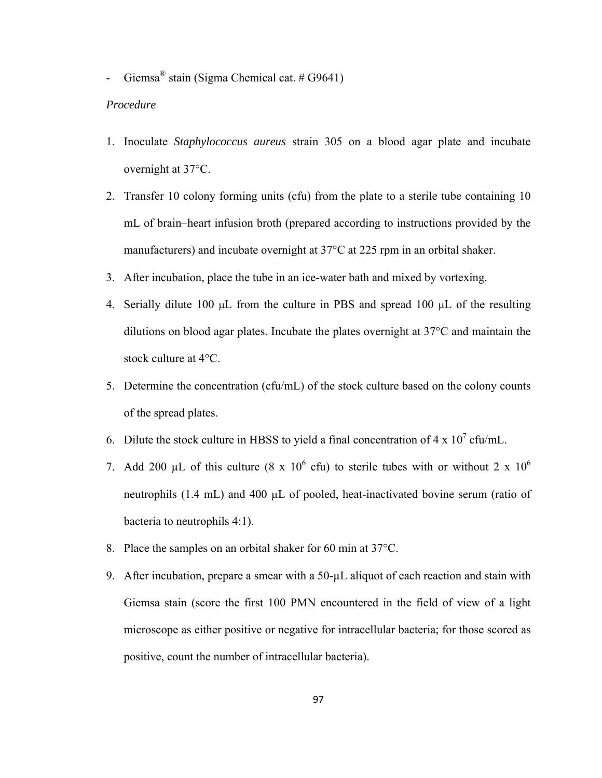- Giemsa<sup>®</sup> stain (Sigma Chemical cat. #  $G9641$ )

## *Procedure*

- 1. Inoculate *Staphylococcus aureus* strain 305 on a blood agar plate and incubate overnight at 37°C.
- 2. Transfer 10 colony forming units (cfu) from the plate to a sterile tube containing 10 mL of brain–heart infusion broth (prepared according to instructions provided by the manufacturers) and incubate overnight at 37°C at 225 rpm in an orbital shaker.
- 3. After incubation, place the tube in an ice-water bath and mixed by vortexing.
- 4. Serially dilute 100 μL from the culture in PBS and spread 100 μL of the resulting dilutions on blood agar plates. Incubate the plates overnight at 37°C and maintain the stock culture at 4°C.
- 5. Determine the concentration (cfu/mL) of the stock culture based on the colony counts of the spread plates.
- 6. Dilute the stock culture in HBSS to yield a final concentration of  $4 \times 10^7$  cfu/mL.
- 7. Add 200 µL of this culture (8 x  $10^6$  cfu) to sterile tubes with or without 2 x  $10^6$ neutrophils (1.4 mL) and 400 µL of pooled, heat-inactivated bovine serum (ratio of bacteria to neutrophils 4:1).
- 8. Place the samples on an orbital shaker for 60 min at 37°C.
- 9. After incubation, prepare a smear with a 50-µL aliquot of each reaction and stain with Giemsa stain (score the first 100 PMN encountered in the field of view of a light microscope as either positive or negative for intracellular bacteria; for those scored as positive, count the number of intracellular bacteria).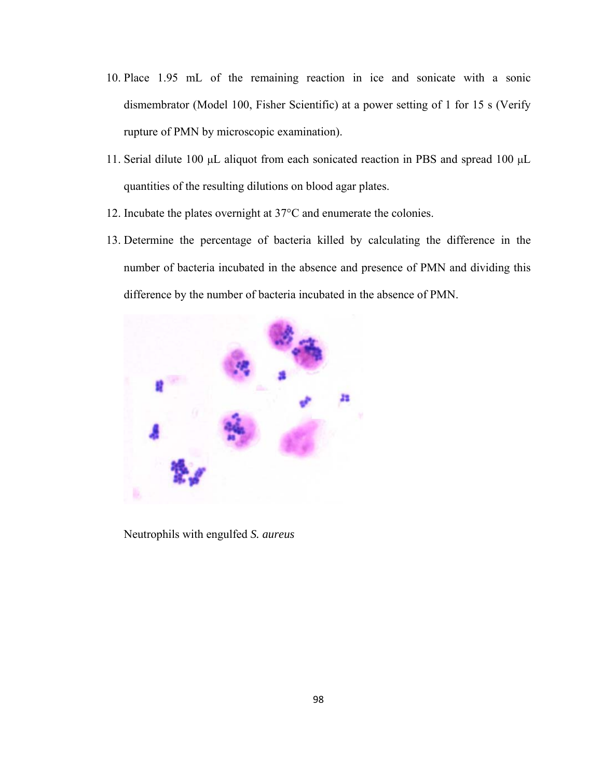- 10. Place 1.95 mL of the remaining reaction in ice and sonicate with a sonic dismembrator (Model 100, Fisher Scientific) at a power setting of 1 for 15 s (Verify rupture of PMN by microscopic examination).
- 11. Serial dilute 100 μL aliquot from each sonicated reaction in PBS and spread 100 μL quantities of the resulting dilutions on blood agar plates.
- 12. Incubate the plates overnight at 37°C and enumerate the colonies.
- 13. Determine the percentage of bacteria killed by calculating the difference in the number of bacteria incubated in the absence and presence of PMN and dividing this difference by the number of bacteria incubated in the absence of PMN.



Neutrophils with engulfed *S. aureus*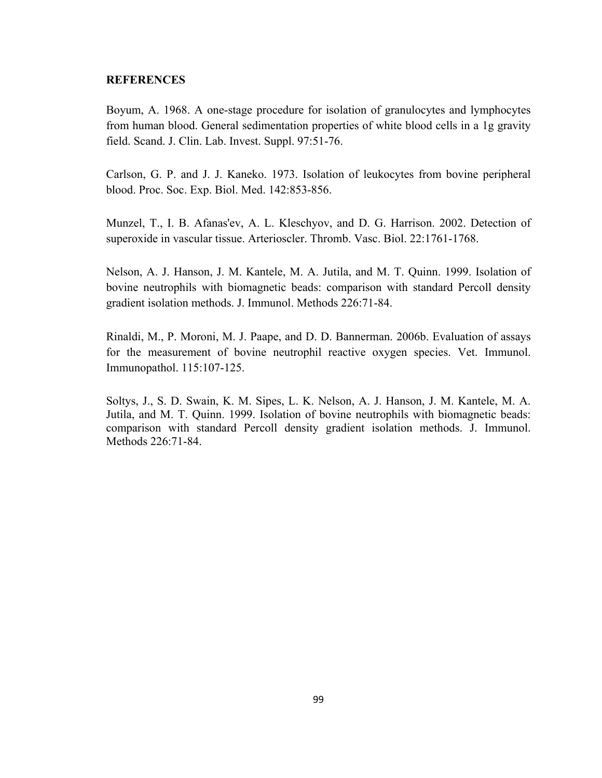## **REFERENCES**

Boyum, A. 1968. A one-stage procedure for isolation of granulocytes and lymphocytes from human blood. General sedimentation properties of white blood cells in a 1g gravity field. Scand. J. Clin. Lab. Invest. Suppl. 97:51-76.

Carlson, G. P. and J. J. Kaneko. 1973. Isolation of leukocytes from bovine peripheral blood. Proc. Soc. Exp. Biol. Med. 142:853-856.

Munzel, T., I. B. Afanas'ev, A. L. Kleschyov, and D. G. Harrison. 2002. Detection of superoxide in vascular tissue. Arterioscler. Thromb. Vasc. Biol. 22:1761-1768.

Nelson, A. J. Hanson, J. M. Kantele, M. A. Jutila, and M. T. Quinn. 1999. Isolation of bovine neutrophils with biomagnetic beads: comparison with standard Percoll density gradient isolation methods. J. Immunol. Methods 226:71-84.

Rinaldi, M., P. Moroni, M. J. Paape, and D. D. Bannerman. 2006b. Evaluation of assays for the measurement of bovine neutrophil reactive oxygen species. Vet. Immunol. Immunopathol. 115:107-125.

Soltys, J., S. D. Swain, K. M. Sipes, L. K. Nelson, A. J. Hanson, J. M. Kantele, M. A. Jutila, and M. T. Quinn. 1999. Isolation of bovine neutrophils with biomagnetic beads: comparison with standard Percoll density gradient isolation methods. J. Immunol. Methods 226:71-84.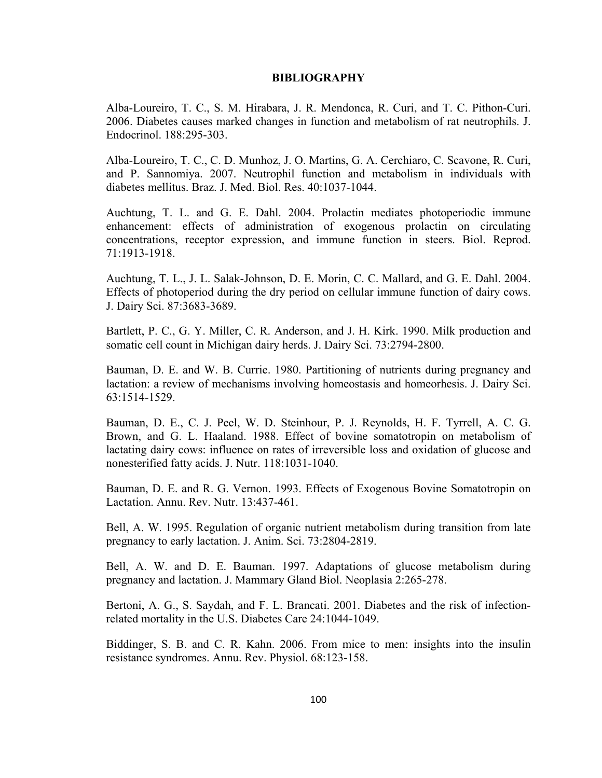## **BIBLIOGRAPHY**

Alba-Loureiro, T. C., S. M. Hirabara, J. R. Mendonca, R. Curi, and T. C. Pithon-Curi. 2006. Diabetes causes marked changes in function and metabolism of rat neutrophils. J. Endocrinol. 188:295-303.

Alba-Loureiro, T. C., C. D. Munhoz, J. O. Martins, G. A. Cerchiaro, C. Scavone, R. Curi, and P. Sannomiya. 2007. Neutrophil function and metabolism in individuals with diabetes mellitus. Braz. J. Med. Biol. Res. 40:1037-1044.

Auchtung, T. L. and G. E. Dahl. 2004. Prolactin mediates photoperiodic immune enhancement: effects of administration of exogenous prolactin on circulating concentrations, receptor expression, and immune function in steers. Biol. Reprod. 71:1913-1918.

Auchtung, T. L., J. L. Salak-Johnson, D. E. Morin, C. C. Mallard, and G. E. Dahl. 2004. Effects of photoperiod during the dry period on cellular immune function of dairy cows. J. Dairy Sci. 87:3683-3689.

Bartlett, P. C., G. Y. Miller, C. R. Anderson, and J. H. Kirk. 1990. Milk production and somatic cell count in Michigan dairy herds. J. Dairy Sci. 73:2794-2800.

Bauman, D. E. and W. B. Currie. 1980. Partitioning of nutrients during pregnancy and lactation: a review of mechanisms involving homeostasis and homeorhesis. J. Dairy Sci. 63:1514-1529.

Bauman, D. E., C. J. Peel, W. D. Steinhour, P. J. Reynolds, H. F. Tyrrell, A. C. G. Brown, and G. L. Haaland. 1988. Effect of bovine somatotropin on metabolism of lactating dairy cows: influence on rates of irreversible loss and oxidation of glucose and nonesterified fatty acids. J. Nutr. 118:1031-1040.

Bauman, D. E. and R. G. Vernon. 1993. Effects of Exogenous Bovine Somatotropin on Lactation. Annu. Rev. Nutr. 13:437-461.

Bell, A. W. 1995. Regulation of organic nutrient metabolism during transition from late pregnancy to early lactation. J. Anim. Sci. 73:2804-2819.

Bell, A. W. and D. E. Bauman. 1997. Adaptations of glucose metabolism during pregnancy and lactation. J. Mammary Gland Biol. Neoplasia 2:265-278.

Bertoni, A. G., S. Saydah, and F. L. Brancati. 2001. Diabetes and the risk of infectionrelated mortality in the U.S. Diabetes Care 24:1044-1049.

Biddinger, S. B. and C. R. Kahn. 2006. From mice to men: insights into the insulin resistance syndromes. Annu. Rev. Physiol. 68:123-158.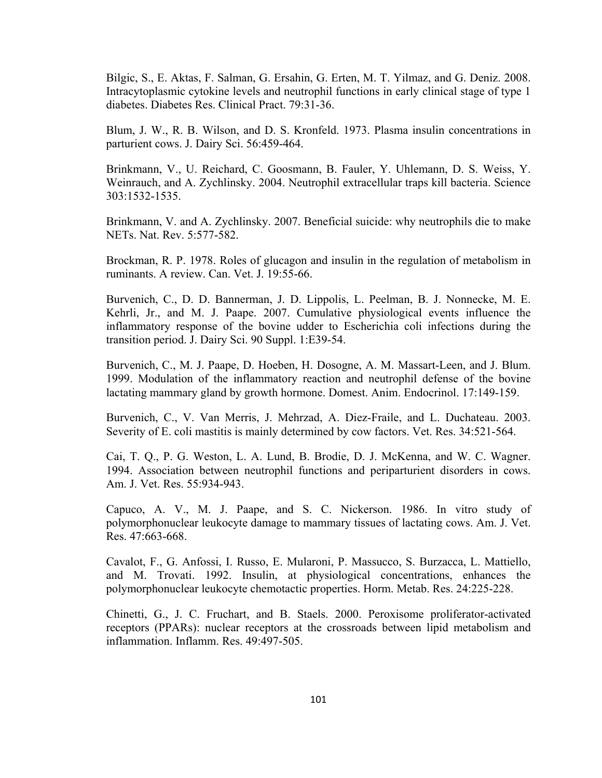Bilgic, S., E. Aktas, F. Salman, G. Ersahin, G. Erten, M. T. Yilmaz, and G. Deniz. 2008. Intracytoplasmic cytokine levels and neutrophil functions in early clinical stage of type 1 diabetes. Diabetes Res. Clinical Pract. 79:31-36.

Blum, J. W., R. B. Wilson, and D. S. Kronfeld. 1973. Plasma insulin concentrations in parturient cows. J. Dairy Sci. 56:459-464.

Brinkmann, V., U. Reichard, C. Goosmann, B. Fauler, Y. Uhlemann, D. S. Weiss, Y. Weinrauch, and A. Zychlinsky. 2004. Neutrophil extracellular traps kill bacteria. Science 303:1532-1535.

Brinkmann, V. and A. Zychlinsky. 2007. Beneficial suicide: why neutrophils die to make NETs. Nat. Rev. 5:577-582.

Brockman, R. P. 1978. Roles of glucagon and insulin in the regulation of metabolism in ruminants. A review. Can. Vet. J. 19:55-66.

Burvenich, C., D. D. Bannerman, J. D. Lippolis, L. Peelman, B. J. Nonnecke, M. E. Kehrli, Jr., and M. J. Paape. 2007. Cumulative physiological events influence the inflammatory response of the bovine udder to Escherichia coli infections during the transition period. J. Dairy Sci. 90 Suppl. 1:E39-54.

Burvenich, C., M. J. Paape, D. Hoeben, H. Dosogne, A. M. Massart-Leen, and J. Blum. 1999. Modulation of the inflammatory reaction and neutrophil defense of the bovine lactating mammary gland by growth hormone. Domest. Anim. Endocrinol. 17:149-159.

Burvenich, C., V. Van Merris, J. Mehrzad, A. Diez-Fraile, and L. Duchateau. 2003. Severity of E. coli mastitis is mainly determined by cow factors. Vet. Res. 34:521-564.

Cai, T. Q., P. G. Weston, L. A. Lund, B. Brodie, D. J. McKenna, and W. C. Wagner. 1994. Association between neutrophil functions and periparturient disorders in cows. Am. J. Vet. Res. 55:934-943.

Capuco, A. V., M. J. Paape, and S. C. Nickerson. 1986. In vitro study of polymorphonuclear leukocyte damage to mammary tissues of lactating cows. Am. J. Vet. Res. 47:663-668.

Cavalot, F., G. Anfossi, I. Russo, E. Mularoni, P. Massucco, S. Burzacca, L. Mattiello, and M. Trovati. 1992. Insulin, at physiological concentrations, enhances the polymorphonuclear leukocyte chemotactic properties. Horm. Metab. Res. 24:225-228.

Chinetti, G., J. C. Fruchart, and B. Staels. 2000. Peroxisome proliferator-activated receptors (PPARs): nuclear receptors at the crossroads between lipid metabolism and inflammation. Inflamm. Res. 49:497-505.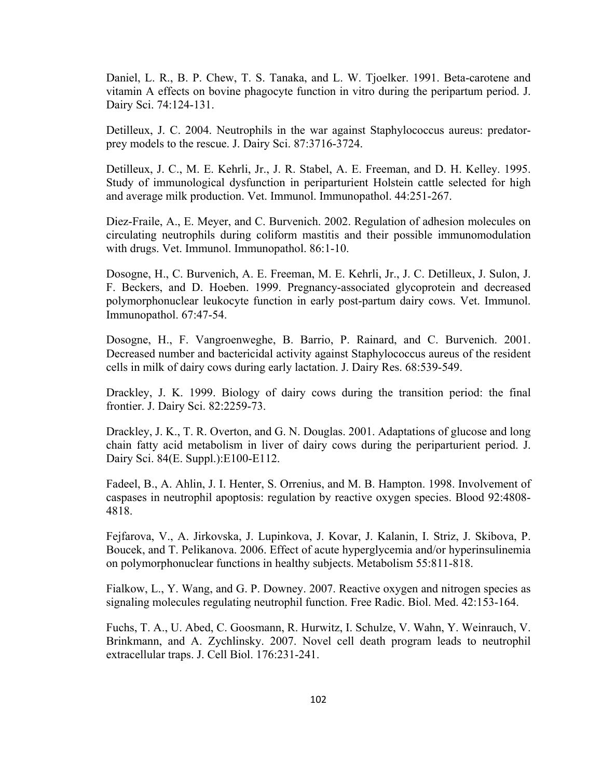Daniel, L. R., B. P. Chew, T. S. Tanaka, and L. W. Tjoelker. 1991. Beta-carotene and vitamin A effects on bovine phagocyte function in vitro during the peripartum period. J. Dairy Sci. 74:124-131.

Detilleux, J. C. 2004. Neutrophils in the war against Staphylococcus aureus: predatorprey models to the rescue. J. Dairy Sci. 87:3716-3724.

Detilleux, J. C., M. E. Kehrli, Jr., J. R. Stabel, A. E. Freeman, and D. H. Kelley. 1995. Study of immunological dysfunction in periparturient Holstein cattle selected for high and average milk production. Vet. Immunol. Immunopathol. 44:251-267.

Diez-Fraile, A., E. Meyer, and C. Burvenich. 2002. Regulation of adhesion molecules on circulating neutrophils during coliform mastitis and their possible immunomodulation with drugs. Vet. Immunol. Immunopathol. 86:1-10.

Dosogne, H., C. Burvenich, A. E. Freeman, M. E. Kehrli, Jr., J. C. Detilleux, J. Sulon, J. F. Beckers, and D. Hoeben. 1999. Pregnancy-associated glycoprotein and decreased polymorphonuclear leukocyte function in early post-partum dairy cows. Vet. Immunol. Immunopathol. 67:47-54.

Dosogne, H., F. Vangroenweghe, B. Barrio, P. Rainard, and C. Burvenich. 2001. Decreased number and bactericidal activity against Staphylococcus aureus of the resident cells in milk of dairy cows during early lactation. J. Dairy Res. 68:539-549.

Drackley, J. K. 1999. Biology of dairy cows during the transition period: the final frontier. J. Dairy Sci. 82:2259-73.

Drackley, J. K., T. R. Overton, and G. N. Douglas. 2001. Adaptations of glucose and long chain fatty acid metabolism in liver of dairy cows during the periparturient period. J. Dairy Sci. 84(E. Suppl.):E100-E112.

Fadeel, B., A. Ahlin, J. I. Henter, S. Orrenius, and M. B. Hampton. 1998. Involvement of caspases in neutrophil apoptosis: regulation by reactive oxygen species. Blood 92:4808- 4818.

Fejfarova, V., A. Jirkovska, J. Lupinkova, J. Kovar, J. Kalanin, I. Striz, J. Skibova, P. Boucek, and T. Pelikanova. 2006. Effect of acute hyperglycemia and/or hyperinsulinemia on polymorphonuclear functions in healthy subjects. Metabolism 55:811-818.

Fialkow, L., Y. Wang, and G. P. Downey. 2007. Reactive oxygen and nitrogen species as signaling molecules regulating neutrophil function. Free Radic. Biol. Med. 42:153-164.

Fuchs, T. A., U. Abed, C. Goosmann, R. Hurwitz, I. Schulze, V. Wahn, Y. Weinrauch, V. Brinkmann, and A. Zychlinsky. 2007. Novel cell death program leads to neutrophil extracellular traps. J. Cell Biol. 176:231-241.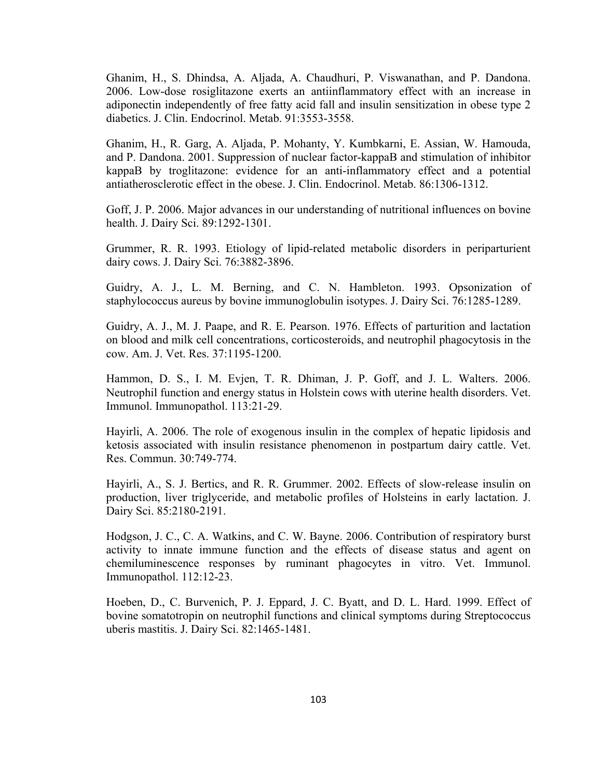Ghanim, H., S. Dhindsa, A. Aljada, A. Chaudhuri, P. Viswanathan, and P. Dandona. 2006. Low-dose rosiglitazone exerts an antiinflammatory effect with an increase in adiponectin independently of free fatty acid fall and insulin sensitization in obese type 2 diabetics. J. Clin. Endocrinol. Metab. 91:3553-3558.

Ghanim, H., R. Garg, A. Aljada, P. Mohanty, Y. Kumbkarni, E. Assian, W. Hamouda, and P. Dandona. 2001. Suppression of nuclear factor-kappaB and stimulation of inhibitor kappaB by troglitazone: evidence for an anti-inflammatory effect and a potential antiatherosclerotic effect in the obese. J. Clin. Endocrinol. Metab. 86:1306-1312.

Goff, J. P. 2006. Major advances in our understanding of nutritional influences on bovine health. J. Dairy Sci. 89:1292-1301.

Grummer, R. R. 1993. Etiology of lipid-related metabolic disorders in periparturient dairy cows. J. Dairy Sci. 76:3882-3896.

Guidry, A. J., L. M. Berning, and C. N. Hambleton. 1993. Opsonization of staphylococcus aureus by bovine immunoglobulin isotypes. J. Dairy Sci. 76:1285-1289.

Guidry, A. J., M. J. Paape, and R. E. Pearson. 1976. Effects of parturition and lactation on blood and milk cell concentrations, corticosteroids, and neutrophil phagocytosis in the cow. Am. J. Vet. Res. 37:1195-1200.

Hammon, D. S., I. M. Evjen, T. R. Dhiman, J. P. Goff, and J. L. Walters. 2006. Neutrophil function and energy status in Holstein cows with uterine health disorders. Vet. Immunol. Immunopathol. 113:21-29.

Hayirli, A. 2006. The role of exogenous insulin in the complex of hepatic lipidosis and ketosis associated with insulin resistance phenomenon in postpartum dairy cattle. Vet. Res. Commun. 30:749-774.

Hayirli, A., S. J. Bertics, and R. R. Grummer. 2002. Effects of slow-release insulin on production, liver triglyceride, and metabolic profiles of Holsteins in early lactation. J. Dairy Sci. 85:2180-2191.

Hodgson, J. C., C. A. Watkins, and C. W. Bayne. 2006. Contribution of respiratory burst activity to innate immune function and the effects of disease status and agent on chemiluminescence responses by ruminant phagocytes in vitro. Vet. Immunol. Immunopathol. 112:12-23.

Hoeben, D., C. Burvenich, P. J. Eppard, J. C. Byatt, and D. L. Hard. 1999. Effect of bovine somatotropin on neutrophil functions and clinical symptoms during Streptococcus uberis mastitis. J. Dairy Sci. 82:1465-1481.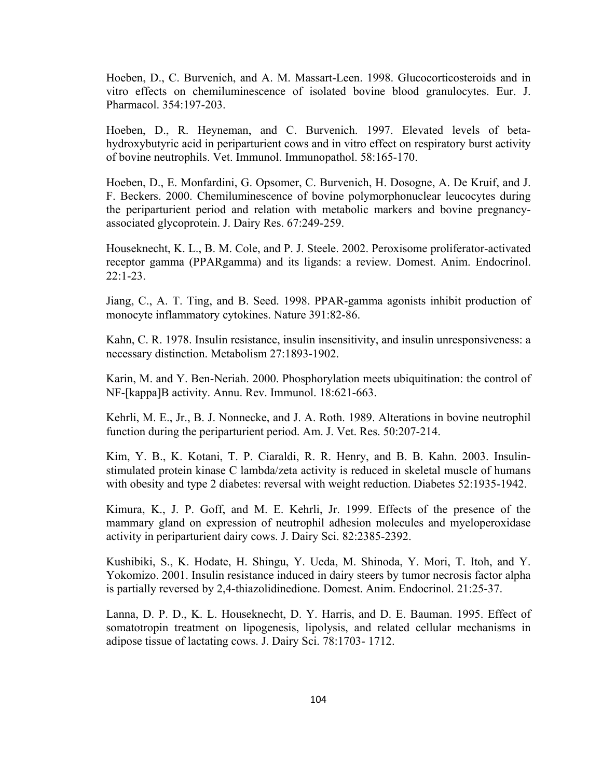Hoeben, D., C. Burvenich, and A. M. Massart-Leen. 1998. Glucocorticosteroids and in vitro effects on chemiluminescence of isolated bovine blood granulocytes. Eur. J. Pharmacol. 354:197-203.

Hoeben, D., R. Heyneman, and C. Burvenich. 1997. Elevated levels of betahydroxybutyric acid in periparturient cows and in vitro effect on respiratory burst activity of bovine neutrophils. Vet. Immunol. Immunopathol. 58:165-170.

Hoeben, D., E. Monfardini, G. Opsomer, C. Burvenich, H. Dosogne, A. De Kruif, and J. F. Beckers. 2000. Chemiluminescence of bovine polymorphonuclear leucocytes during the periparturient period and relation with metabolic markers and bovine pregnancyassociated glycoprotein. J. Dairy Res. 67:249-259.

Houseknecht, K. L., B. M. Cole, and P. J. Steele. 2002. Peroxisome proliferator-activated receptor gamma (PPARgamma) and its ligands: a review. Domest. Anim. Endocrinol. 22:1-23.

Jiang, C., A. T. Ting, and B. Seed. 1998. PPAR-gamma agonists inhibit production of monocyte inflammatory cytokines. Nature 391:82-86.

Kahn, C. R. 1978. Insulin resistance, insulin insensitivity, and insulin unresponsiveness: a necessary distinction. Metabolism 27:1893-1902.

Karin, M. and Y. Ben-Neriah. 2000. Phosphorylation meets ubiquitination: the control of NF-[kappa]B activity. Annu. Rev. Immunol. 18:621-663.

Kehrli, M. E., Jr., B. J. Nonnecke, and J. A. Roth. 1989. Alterations in bovine neutrophil function during the periparturient period. Am. J. Vet. Res. 50:207-214.

Kim, Y. B., K. Kotani, T. P. Ciaraldi, R. R. Henry, and B. B. Kahn. 2003. Insulinstimulated protein kinase C lambda/zeta activity is reduced in skeletal muscle of humans with obesity and type 2 diabetes: reversal with weight reduction. Diabetes 52:1935-1942.

Kimura, K., J. P. Goff, and M. E. Kehrli, Jr. 1999. Effects of the presence of the mammary gland on expression of neutrophil adhesion molecules and myeloperoxidase activity in periparturient dairy cows. J. Dairy Sci. 82:2385-2392.

Kushibiki, S., K. Hodate, H. Shingu, Y. Ueda, M. Shinoda, Y. Mori, T. Itoh, and Y. Yokomizo. 2001. Insulin resistance induced in dairy steers by tumor necrosis factor alpha is partially reversed by 2,4-thiazolidinedione. Domest. Anim. Endocrinol. 21:25-37.

Lanna, D. P. D., K. L. Houseknecht, D. Y. Harris, and D. E. Bauman. 1995. Effect of somatotropin treatment on lipogenesis, lipolysis, and related cellular mechanisms in adipose tissue of lactating cows. J. Dairy Sci. 78:1703- 1712.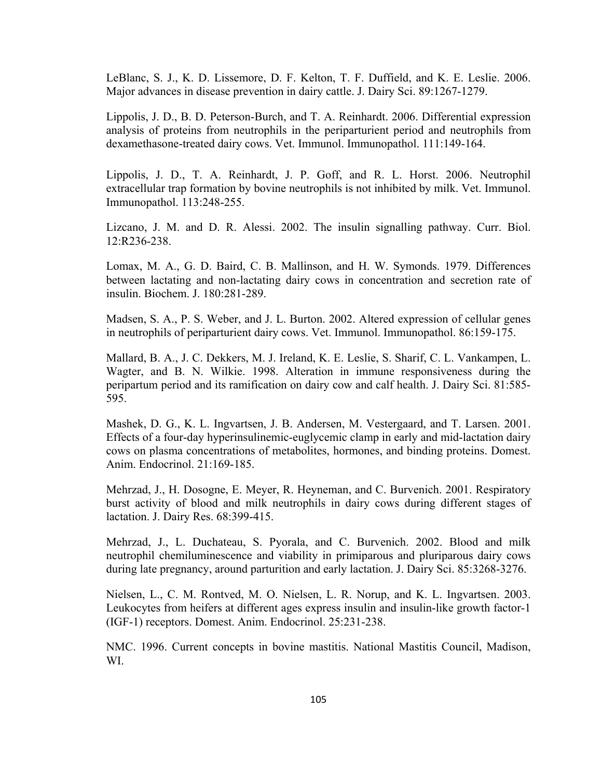LeBlanc, S. J., K. D. Lissemore, D. F. Kelton, T. F. Duffield, and K. E. Leslie. 2006. Major advances in disease prevention in dairy cattle. J. Dairy Sci. 89:1267-1279.

Lippolis, J. D., B. D. Peterson-Burch, and T. A. Reinhardt. 2006. Differential expression analysis of proteins from neutrophils in the periparturient period and neutrophils from dexamethasone-treated dairy cows. Vet. Immunol. Immunopathol. 111:149-164.

Lippolis, J. D., T. A. Reinhardt, J. P. Goff, and R. L. Horst. 2006. Neutrophil extracellular trap formation by bovine neutrophils is not inhibited by milk. Vet. Immunol. Immunopathol. 113:248-255.

Lizcano, J. M. and D. R. Alessi. 2002. The insulin signalling pathway. Curr. Biol. 12:R236-238.

Lomax, M. A., G. D. Baird, C. B. Mallinson, and H. W. Symonds. 1979. Differences between lactating and non-lactating dairy cows in concentration and secretion rate of insulin. Biochem. J. 180:281-289.

Madsen, S. A., P. S. Weber, and J. L. Burton. 2002. Altered expression of cellular genes in neutrophils of periparturient dairy cows. Vet. Immunol. Immunopathol. 86:159-175.

Mallard, B. A., J. C. Dekkers, M. J. Ireland, K. E. Leslie, S. Sharif, C. L. Vankampen, L. Wagter, and B. N. Wilkie. 1998. Alteration in immune responsiveness during the peripartum period and its ramification on dairy cow and calf health. J. Dairy Sci. 81:585- 595.

Mashek, D. G., K. L. Ingvartsen, J. B. Andersen, M. Vestergaard, and T. Larsen. 2001. Effects of a four-day hyperinsulinemic-euglycemic clamp in early and mid-lactation dairy cows on plasma concentrations of metabolites, hormones, and binding proteins. Domest. Anim. Endocrinol. 21:169-185.

Mehrzad, J., H. Dosogne, E. Meyer, R. Heyneman, and C. Burvenich. 2001. Respiratory burst activity of blood and milk neutrophils in dairy cows during different stages of lactation. J. Dairy Res. 68:399-415.

Mehrzad, J., L. Duchateau, S. Pyorala, and C. Burvenich. 2002. Blood and milk neutrophil chemiluminescence and viability in primiparous and pluriparous dairy cows during late pregnancy, around parturition and early lactation. J. Dairy Sci. 85:3268-3276.

Nielsen, L., C. M. Rontved, M. O. Nielsen, L. R. Norup, and K. L. Ingvartsen. 2003. Leukocytes from heifers at different ages express insulin and insulin-like growth factor-1 (IGF-1) receptors. Domest. Anim. Endocrinol. 25:231-238.

NMC. 1996. Current concepts in bovine mastitis. National Mastitis Council, Madison, WI.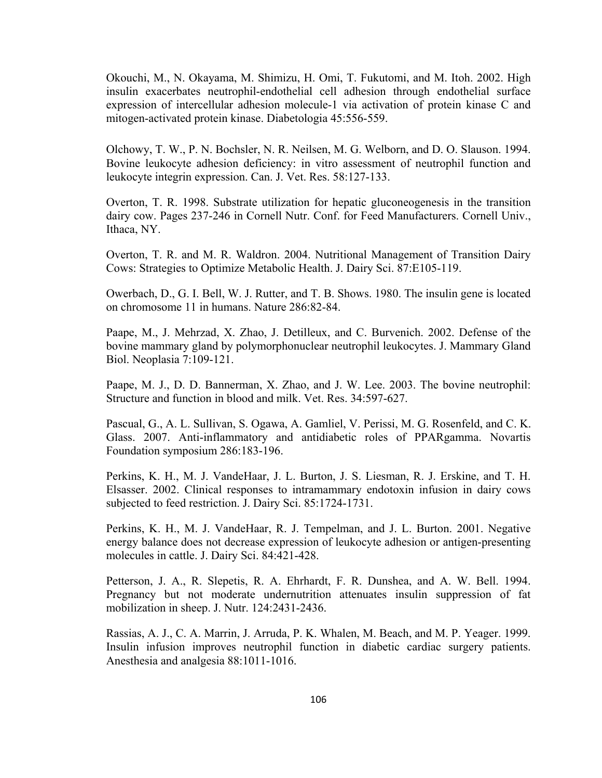Okouchi, M., N. Okayama, M. Shimizu, H. Omi, T. Fukutomi, and M. Itoh. 2002. High insulin exacerbates neutrophil-endothelial cell adhesion through endothelial surface expression of intercellular adhesion molecule-1 via activation of protein kinase C and mitogen-activated protein kinase. Diabetologia 45:556-559.

Olchowy, T. W., P. N. Bochsler, N. R. Neilsen, M. G. Welborn, and D. O. Slauson. 1994. Bovine leukocyte adhesion deficiency: in vitro assessment of neutrophil function and leukocyte integrin expression. Can. J. Vet. Res. 58:127-133.

Overton, T. R. 1998. Substrate utilization for hepatic gluconeogenesis in the transition dairy cow. Pages 237-246 in Cornell Nutr. Conf. for Feed Manufacturers. Cornell Univ., Ithaca, NY.

Overton, T. R. and M. R. Waldron. 2004. Nutritional Management of Transition Dairy Cows: Strategies to Optimize Metabolic Health. J. Dairy Sci. 87:E105-119.

Owerbach, D., G. I. Bell, W. J. Rutter, and T. B. Shows. 1980. The insulin gene is located on chromosome 11 in humans. Nature 286:82-84.

Paape, M., J. Mehrzad, X. Zhao, J. Detilleux, and C. Burvenich. 2002. Defense of the bovine mammary gland by polymorphonuclear neutrophil leukocytes. J. Mammary Gland Biol. Neoplasia 7:109-121.

Paape, M. J., D. D. Bannerman, X. Zhao, and J. W. Lee. 2003. The bovine neutrophil: Structure and function in blood and milk. Vet. Res. 34:597-627.

Pascual, G., A. L. Sullivan, S. Ogawa, A. Gamliel, V. Perissi, M. G. Rosenfeld, and C. K. Glass. 2007. Anti-inflammatory and antidiabetic roles of PPARgamma. Novartis Foundation symposium 286:183-196.

Perkins, K. H., M. J. VandeHaar, J. L. Burton, J. S. Liesman, R. J. Erskine, and T. H. Elsasser. 2002. Clinical responses to intramammary endotoxin infusion in dairy cows subjected to feed restriction. J. Dairy Sci. 85:1724-1731.

Perkins, K. H., M. J. VandeHaar, R. J. Tempelman, and J. L. Burton. 2001. Negative energy balance does not decrease expression of leukocyte adhesion or antigen-presenting molecules in cattle. J. Dairy Sci. 84:421-428.

Petterson, J. A., R. Slepetis, R. A. Ehrhardt, F. R. Dunshea, and A. W. Bell. 1994. Pregnancy but not moderate undernutrition attenuates insulin suppression of fat mobilization in sheep. J. Nutr. 124:2431-2436.

Rassias, A. J., C. A. Marrin, J. Arruda, P. K. Whalen, M. Beach, and M. P. Yeager. 1999. Insulin infusion improves neutrophil function in diabetic cardiac surgery patients. Anesthesia and analgesia 88:1011-1016.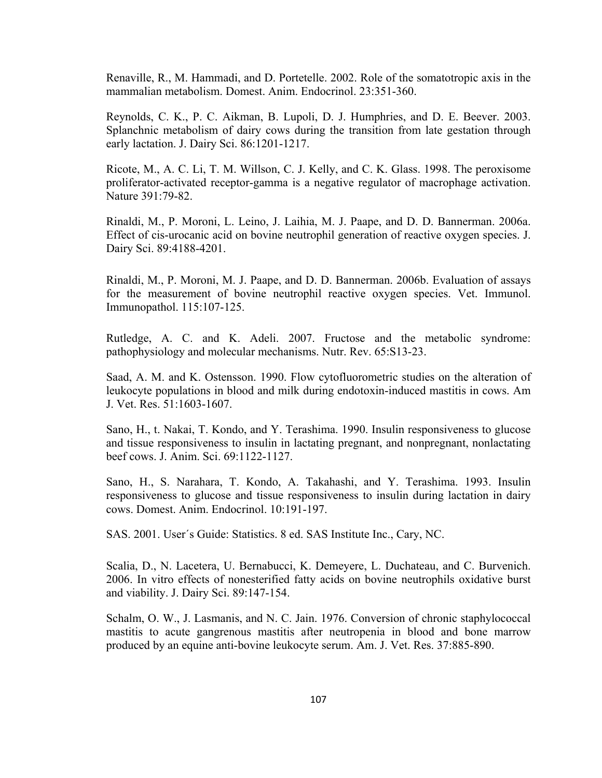Renaville, R., M. Hammadi, and D. Portetelle. 2002. Role of the somatotropic axis in the mammalian metabolism. Domest. Anim. Endocrinol. 23:351-360.

Reynolds, C. K., P. C. Aikman, B. Lupoli, D. J. Humphries, and D. E. Beever. 2003. Splanchnic metabolism of dairy cows during the transition from late gestation through early lactation. J. Dairy Sci. 86:1201-1217.

Ricote, M., A. C. Li, T. M. Willson, C. J. Kelly, and C. K. Glass. 1998. The peroxisome proliferator-activated receptor-gamma is a negative regulator of macrophage activation. Nature 391:79-82.

Rinaldi, M., P. Moroni, L. Leino, J. Laihia, M. J. Paape, and D. D. Bannerman. 2006a. Effect of cis-urocanic acid on bovine neutrophil generation of reactive oxygen species. J. Dairy Sci. 89:4188-4201.

Rinaldi, M., P. Moroni, M. J. Paape, and D. D. Bannerman. 2006b. Evaluation of assays for the measurement of bovine neutrophil reactive oxygen species. Vet. Immunol. Immunopathol. 115:107-125.

Rutledge, A. C. and K. Adeli. 2007. Fructose and the metabolic syndrome: pathophysiology and molecular mechanisms. Nutr. Rev. 65:S13-23.

Saad, A. M. and K. Ostensson. 1990. Flow cytofluorometric studies on the alteration of leukocyte populations in blood and milk during endotoxin-induced mastitis in cows. Am J. Vet. Res. 51:1603-1607.

Sano, H., t. Nakai, T. Kondo, and Y. Terashima. 1990. Insulin responsiveness to glucose and tissue responsiveness to insulin in lactating pregnant, and nonpregnant, nonlactating beef cows. J. Anim. Sci. 69:1122-1127.

Sano, H., S. Narahara, T. Kondo, A. Takahashi, and Y. Terashima. 1993. Insulin responsiveness to glucose and tissue responsiveness to insulin during lactation in dairy cows. Domest. Anim. Endocrinol. 10:191-197.

SAS. 2001. User´s Guide: Statistics. 8 ed. SAS Institute Inc., Cary, NC.

Scalia, D., N. Lacetera, U. Bernabucci, K. Demeyere, L. Duchateau, and C. Burvenich. 2006. In vitro effects of nonesterified fatty acids on bovine neutrophils oxidative burst and viability. J. Dairy Sci. 89:147-154.

Schalm, O. W., J. Lasmanis, and N. C. Jain. 1976. Conversion of chronic staphylococcal mastitis to acute gangrenous mastitis after neutropenia in blood and bone marrow produced by an equine anti-bovine leukocyte serum. Am. J. Vet. Res. 37:885-890.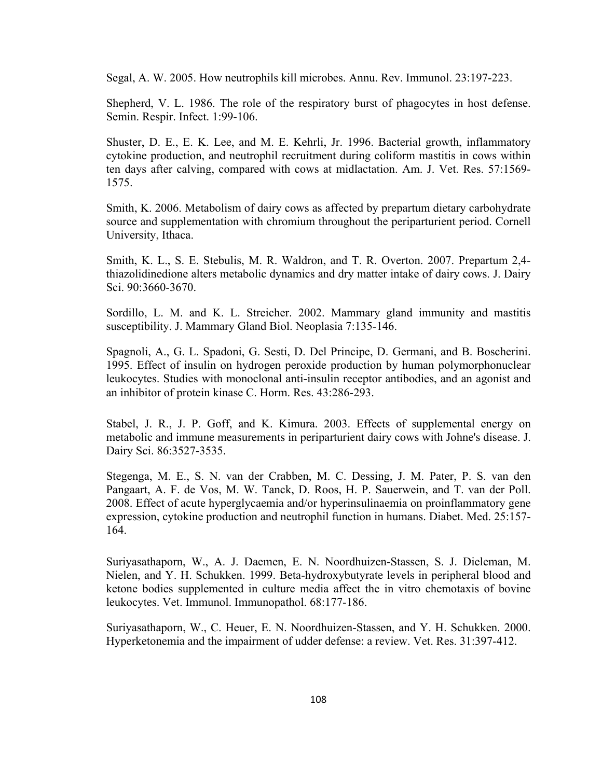Segal, A. W. 2005. How neutrophils kill microbes. Annu. Rev. Immunol. 23:197-223.

Shepherd, V. L. 1986. The role of the respiratory burst of phagocytes in host defense. Semin. Respir. Infect. 1:99-106.

Shuster, D. E., E. K. Lee, and M. E. Kehrli, Jr. 1996. Bacterial growth, inflammatory cytokine production, and neutrophil recruitment during coliform mastitis in cows within ten days after calving, compared with cows at midlactation. Am. J. Vet. Res. 57:1569- 1575.

Smith, K. 2006. Metabolism of dairy cows as affected by prepartum dietary carbohydrate source and supplementation with chromium throughout the periparturient period. Cornell University, Ithaca.

Smith, K. L., S. E. Stebulis, M. R. Waldron, and T. R. Overton. 2007. Prepartum 2,4 thiazolidinedione alters metabolic dynamics and dry matter intake of dairy cows. J. Dairy Sci. 90:3660-3670.

Sordillo, L. M. and K. L. Streicher. 2002. Mammary gland immunity and mastitis susceptibility. J. Mammary Gland Biol. Neoplasia 7:135-146.

Spagnoli, A., G. L. Spadoni, G. Sesti, D. Del Principe, D. Germani, and B. Boscherini. 1995. Effect of insulin on hydrogen peroxide production by human polymorphonuclear leukocytes. Studies with monoclonal anti-insulin receptor antibodies, and an agonist and an inhibitor of protein kinase C. Horm. Res. 43:286-293.

Stabel, J. R., J. P. Goff, and K. Kimura. 2003. Effects of supplemental energy on metabolic and immune measurements in periparturient dairy cows with Johne's disease. J. Dairy Sci. 86:3527-3535.

Stegenga, M. E., S. N. van der Crabben, M. C. Dessing, J. M. Pater, P. S. van den Pangaart, A. F. de Vos, M. W. Tanck, D. Roos, H. P. Sauerwein, and T. van der Poll. 2008. Effect of acute hyperglycaemia and/or hyperinsulinaemia on proinflammatory gene expression, cytokine production and neutrophil function in humans. Diabet. Med. 25:157- 164.

Suriyasathaporn, W., A. J. Daemen, E. N. Noordhuizen-Stassen, S. J. Dieleman, M. Nielen, and Y. H. Schukken. 1999. Beta-hydroxybutyrate levels in peripheral blood and ketone bodies supplemented in culture media affect the in vitro chemotaxis of bovine leukocytes. Vet. Immunol. Immunopathol. 68:177-186.

Suriyasathaporn, W., C. Heuer, E. N. Noordhuizen-Stassen, and Y. H. Schukken. 2000. Hyperketonemia and the impairment of udder defense: a review. Vet. Res. 31:397-412.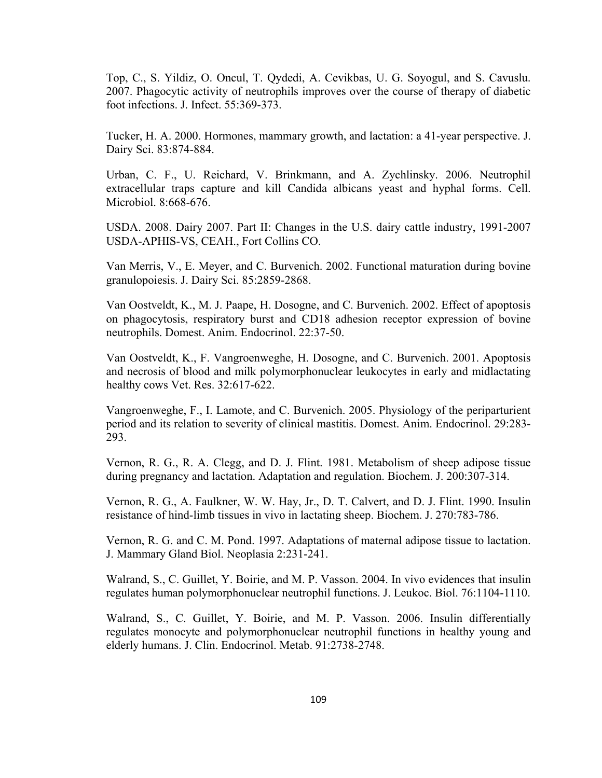Top, C., S. Yildiz, O. Oncul, T. Qydedi, A. Cevikbas, U. G. Soyogul, and S. Cavuslu. 2007. Phagocytic activity of neutrophils improves over the course of therapy of diabetic foot infections. J. Infect. 55:369-373.

Tucker, H. A. 2000. Hormones, mammary growth, and lactation: a 41-year perspective. J. Dairy Sci. 83:874-884.

Urban, C. F., U. Reichard, V. Brinkmann, and A. Zychlinsky. 2006. Neutrophil extracellular traps capture and kill Candida albicans yeast and hyphal forms. Cell. Microbiol. 8:668-676.

USDA. 2008. Dairy 2007. Part II: Changes in the U.S. dairy cattle industry, 1991-2007 USDA-APHIS-VS, CEAH., Fort Collins CO.

Van Merris, V., E. Meyer, and C. Burvenich. 2002. Functional maturation during bovine granulopoiesis. J. Dairy Sci. 85:2859-2868.

Van Oostveldt, K., M. J. Paape, H. Dosogne, and C. Burvenich. 2002. Effect of apoptosis on phagocytosis, respiratory burst and CD18 adhesion receptor expression of bovine neutrophils. Domest. Anim. Endocrinol. 22:37-50.

Van Oostveldt, K., F. Vangroenweghe, H. Dosogne, and C. Burvenich. 2001. Apoptosis and necrosis of blood and milk polymorphonuclear leukocytes in early and midlactating healthy cows Vet. Res. 32:617-622.

Vangroenweghe, F., I. Lamote, and C. Burvenich. 2005. Physiology of the periparturient period and its relation to severity of clinical mastitis. Domest. Anim. Endocrinol. 29:283- 293.

Vernon, R. G., R. A. Clegg, and D. J. Flint. 1981. Metabolism of sheep adipose tissue during pregnancy and lactation. Adaptation and regulation. Biochem. J. 200:307-314.

Vernon, R. G., A. Faulkner, W. W. Hay, Jr., D. T. Calvert, and D. J. Flint. 1990. Insulin resistance of hind-limb tissues in vivo in lactating sheep. Biochem. J. 270:783-786.

Vernon, R. G. and C. M. Pond. 1997. Adaptations of maternal adipose tissue to lactation. J. Mammary Gland Biol. Neoplasia 2:231-241.

Walrand, S., C. Guillet, Y. Boirie, and M. P. Vasson. 2004. In vivo evidences that insulin regulates human polymorphonuclear neutrophil functions. J. Leukoc. Biol. 76:1104-1110.

Walrand, S., C. Guillet, Y. Boirie, and M. P. Vasson. 2006. Insulin differentially regulates monocyte and polymorphonuclear neutrophil functions in healthy young and elderly humans. J. Clin. Endocrinol. Metab. 91:2738-2748.